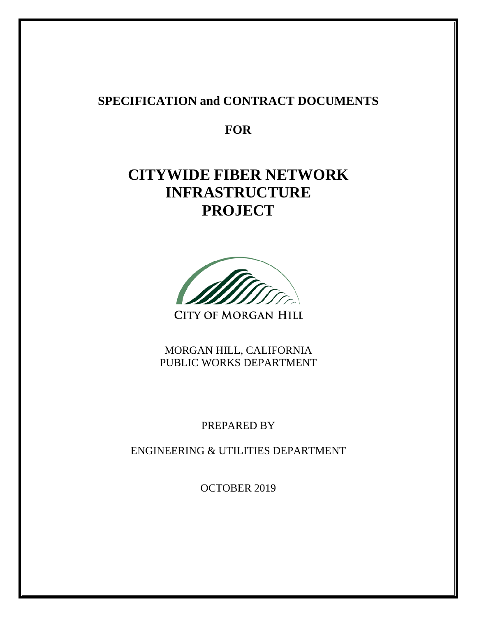# **SPECIFICATION and CONTRACT DOCUMENTS**

**FOR** 

# **CITYWIDE FIBER NETWORK INFRASTRUCTURE PROJECT**



**CITY OF MORGAN HILL** 

MORGAN HILL, CALIFORNIA PUBLIC WORKS DEPARTMENT

PREPARED BY

ENGINEERING & UTILITIES DEPARTMENT

OCTOBER 2019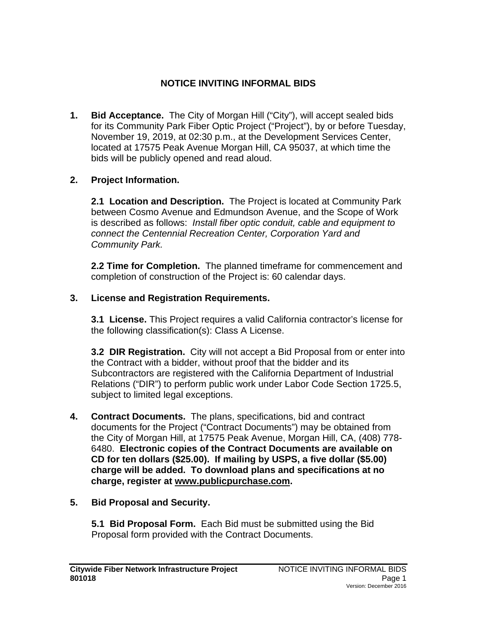# **NOTICE INVITING INFORMAL BIDS**

**1. Bid Acceptance.** The City of Morgan Hill ("City"), will accept sealed bids for its Community Park Fiber Optic Project ("Project"), by or before Tuesday, November 19, 2019, at 02:30 p.m., at the Development Services Center, located at 17575 Peak Avenue Morgan Hill, CA 95037, at which time the bids will be publicly opened and read aloud.

# **2. Project Information.**

**2.1 Location and Description.** The Project is located at Community Park between Cosmo Avenue and Edmundson Avenue, and the Scope of Work is described as follows: *Install fiber optic conduit, cable and equipment to connect the Centennial Recreation Center, Corporation Yard and Community Park.*

**2.2 Time for Completion.** The planned timeframe for commencement and completion of construction of the Project is: 60 calendar days.

# **3. License and Registration Requirements.**

**3.1 License.** This Project requires a valid California contractor's license for the following classification(s): Class A License.

**3.2 DIR Registration.** City will not accept a Bid Proposal from or enter into the Contract with a bidder, without proof that the bidder and its Subcontractors are registered with the California Department of Industrial Relations ("DIR") to perform public work under Labor Code Section 1725.5, subject to limited legal exceptions.

**4. Contract Documents.** The plans, specifications, bid and contract documents for the Project ("Contract Documents") may be obtained from the City of Morgan Hill, at 17575 Peak Avenue, Morgan Hill, CA, (408) 778- 6480. **Electronic copies of the Contract Documents are available on CD for ten dollars (\$25.00). If mailing by USPS, a five dollar (\$5.00) charge will be added. To download plans and specifications at no charge, register at [www.publicpurchase.com.](http://www.publicpurchase.com/)**

#### **5. Bid Proposal and Security.**

**5.1 Bid Proposal Form.** Each Bid must be submitted using the Bid Proposal form provided with the Contract Documents.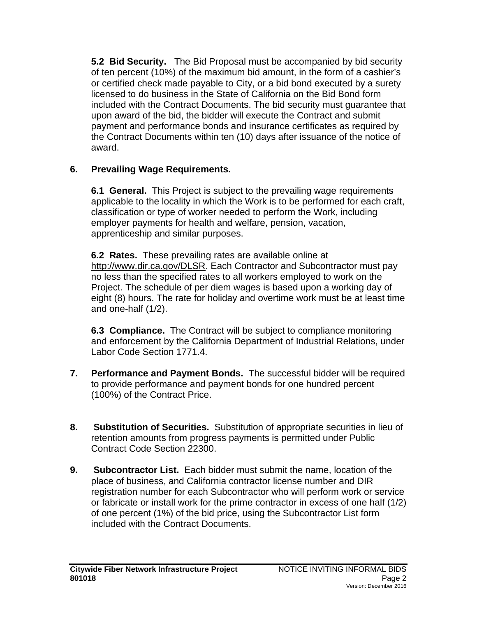**5.2 Bid Security.** The Bid Proposal must be accompanied by bid security of ten percent (10%) of the maximum bid amount, in the form of a cashier's or certified check made payable to City, or a bid bond executed by a surety licensed to do business in the State of California on the Bid Bond form included with the Contract Documents. The bid security must guarantee that upon award of the bid, the bidder will execute the Contract and submit payment and performance bonds and insurance certificates as required by the Contract Documents within ten (10) days after issuance of the notice of award.

# **6. Prevailing Wage Requirements.**

**6.1 General.**This Project is subject to the prevailing wage requirements applicable to the locality in which the Work is to be performed for each craft, classification or type of worker needed to perform the Work, including employer payments for health and welfare, pension, vacation, apprenticeship and similar purposes.

**6.2 Rates.**These prevailing rates are available online at [http://www.dir.ca.gov/DLSR.](http://www.dir.ca.gov/DLSR) Each Contractor and Subcontractor must pay no less than the specified rates to all workers employed to work on the Project. The schedule of per diem wages is based upon a working day of eight (8) hours. The rate for holiday and overtime work must be at least time and one-half (1/2).

**6.3 Compliance.** The Contract will be subject to compliance monitoring and enforcement by the California Department of Industrial Relations, under Labor Code Section 1771.4.

- **7. Performance and Payment Bonds.** The successful bidder will be required to provide performance and payment bonds for one hundred percent (100%) of the Contract Price.
- **8. Substitution of Securities.** Substitution of appropriate securities in lieu of retention amounts from progress payments is permitted under Public Contract Code Section 22300.
- **9. Subcontractor List.** Each bidder must submit the name, location of the place of business, and California contractor license number and DIR registration number for each Subcontractor who will perform work or service or fabricate or install work for the prime contractor in excess of one half (1/2) of one percent (1%) of the bid price, using the Subcontractor List form included with the Contract Documents.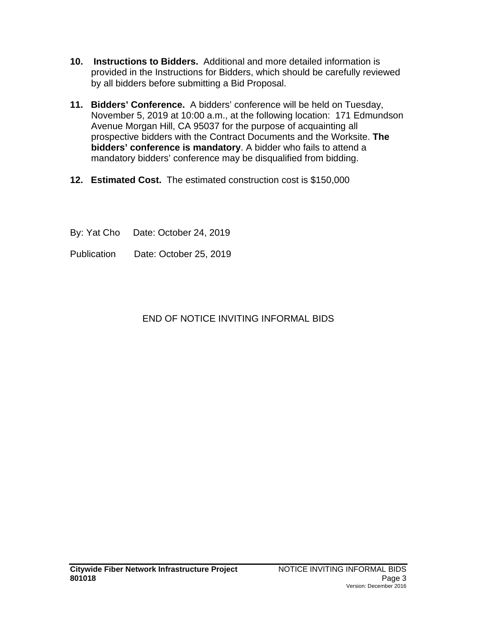- **10. Instructions to Bidders.** Additional and more detailed information is provided in the Instructions for Bidders, which should be carefully reviewed by all bidders before submitting a Bid Proposal.
- **11. Bidders' Conference.** A bidders' conference will be held on Tuesday, November 5, 2019 at 10:00 a.m., at the following location: 171 Edmundson Avenue Morgan Hill, CA 95037 for the purpose of acquainting all prospective bidders with the Contract Documents and the Worksite. **The bidders' conference is mandatory**. A bidder who fails to attend a mandatory bidders' conference may be disqualified from bidding.
- **12. Estimated Cost.** The estimated construction cost is \$150,000
- By: Yat Cho Date: October 24, 2019
- Publication Date: October 25, 2019

# END OF NOTICE INVITING INFORMAL BIDS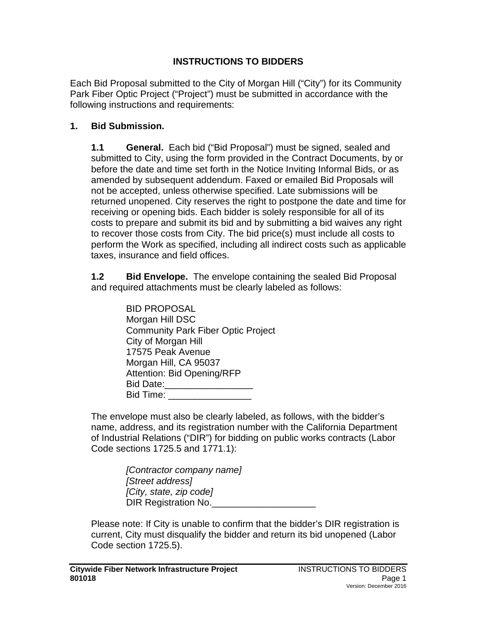#### **INSTRUCTIONS TO BIDDERS**

Each Bid Proposal submitted to the City of Morgan Hill ("City") for its Community Park Fiber Optic Project ("Project") must be submitted in accordance with the following instructions and requirements:

#### **1. Bid Submission.**

**1.1 General.** Each bid ("Bid Proposal") must be signed, sealed and submitted to City, using the form provided in the Contract Documents, by or before the date and time set forth in the Notice Inviting Informal Bids, or as amended by subsequent addendum. Faxed or emailed Bid Proposals will not be accepted, unless otherwise specified. Late submissions will be returned unopened. City reserves the right to postpone the date and time for receiving or opening bids. Each bidder is solely responsible for all of its costs to prepare and submit its bid and by submitting a bid waives any right to recover those costs from City. The bid price(s) must include all costs to perform the Work as specified, including all indirect costs such as applicable taxes, insurance and field offices.

**1.2 Bid Envelope.** The envelope containing the sealed Bid Proposal and required attachments must be clearly labeled as follows:

The envelope must also be clearly labeled, as follows, with the bidder's name, address, and its registration number with the California Department of Industrial Relations ("DIR") for bidding on public works contracts (Labor Code sections 1725.5 and 1771.1):

> *[Contractor company name] [Street address] [City, state, zip code]* DIR Registration No.

Please note: If City is unable to confirm that the bidder's DIR registration is current, City must disqualify the bidder and return its bid unopened (Labor Code section 1725.5).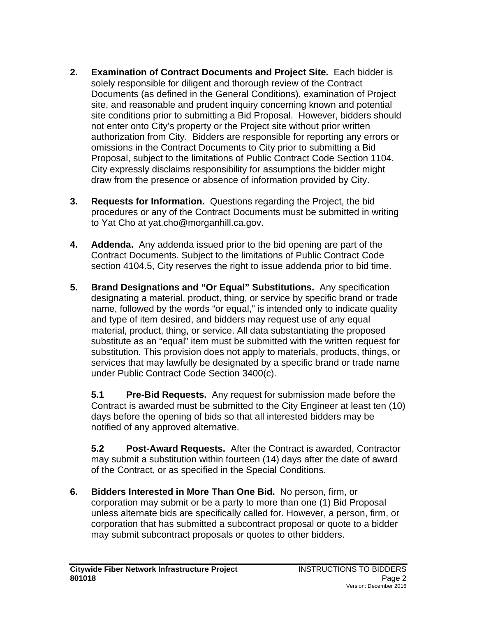- **2. Examination of Contract Documents and Project Site.** Each bidder is solely responsible for diligent and thorough review of the Contract Documents (as defined in the General Conditions), examination of Project site, and reasonable and prudent inquiry concerning known and potential site conditions prior to submitting a Bid Proposal. However, bidders should not enter onto City's property or the Project site without prior written authorization from City. Bidders are responsible for reporting any errors or omissions in the Contract Documents to City prior to submitting a Bid Proposal, subject to the limitations of Public Contract Code Section 1104. City expressly disclaims responsibility for assumptions the bidder might draw from the presence or absence of information provided by City.
- **3. Requests for Information.** Questions regarding the Project, the bid procedures or any of the Contract Documents must be submitted in writing to Yat Cho at yat.cho@morganhill.ca.gov.
- **4. Addenda.** Any addenda issued prior to the bid opening are part of the Contract Documents. Subject to the limitations of Public Contract Code section 4104.5, City reserves the right to issue addenda prior to bid time.
- **5. Brand Designations and "Or Equal" Substitutions.** Any specification designating a material, product, thing, or service by specific brand or trade name, followed by the words "or equal," is intended only to indicate quality and type of item desired, and bidders may request use of any equal material, product, thing, or service. All data substantiating the proposed substitute as an "equal" item must be submitted with the written request for substitution. This provision does not apply to materials, products, things, or services that may lawfully be designated by a specific brand or trade name under Public Contract Code Section 3400(c).

**5.1 Pre-Bid Requests.** Any request for submission made before the Contract is awarded must be submitted to the City Engineer at least ten (10) days before the opening of bids so that all interested bidders may be notified of any approved alternative.

**5.2 Post-Award Requests.** After the Contract is awarded, Contractor may submit a substitution within fourteen (14) days after the date of award of the Contract, or as specified in the Special Conditions.

**6. Bidders Interested in More Than One Bid.** No person, firm, or corporation may submit or be a party to more than one (1) Bid Proposal unless alternate bids are specifically called for. However, a person, firm, or corporation that has submitted a subcontract proposal or quote to a bidder may submit subcontract proposals or quotes to other bidders.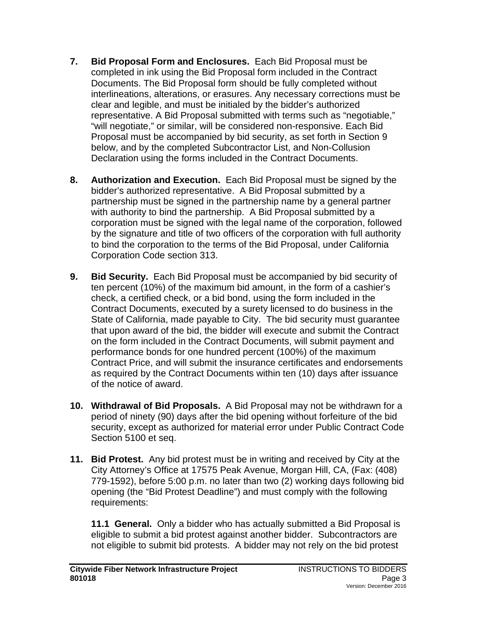- **7. Bid Proposal Form and Enclosures.** Each Bid Proposal must be completed in ink using the Bid Proposal form included in the Contract Documents. The Bid Proposal form should be fully completed without interlineations, alterations, or erasures. Any necessary corrections must be clear and legible, and must be initialed by the bidder's authorized representative. A Bid Proposal submitted with terms such as "negotiable," "will negotiate," or similar, will be considered non-responsive. Each Bid Proposal must be accompanied by bid security, as set forth in Section 9 below, and by the completed Subcontractor List, and Non-Collusion Declaration using the forms included in the Contract Documents.
- **8. Authorization and Execution.** Each Bid Proposal must be signed by the bidder's authorized representative. A Bid Proposal submitted by a partnership must be signed in the partnership name by a general partner with authority to bind the partnership. A Bid Proposal submitted by a corporation must be signed with the legal name of the corporation, followed by the signature and title of two officers of the corporation with full authority to bind the corporation to the terms of the Bid Proposal, under California Corporation Code section 313.
- **9. Bid Security.** Each Bid Proposal must be accompanied by bid security of ten percent (10%) of the maximum bid amount, in the form of a cashier's check, a certified check, or a bid bond, using the form included in the Contract Documents, executed by a surety licensed to do business in the State of California, made payable to City. The bid security must guarantee that upon award of the bid, the bidder will execute and submit the Contract on the form included in the Contract Documents, will submit payment and performance bonds for one hundred percent (100%) of the maximum Contract Price, and will submit the insurance certificates and endorsements as required by the Contract Documents within ten (10) days after issuance of the notice of award.
- **10. Withdrawal of Bid Proposals.** A Bid Proposal may not be withdrawn for a period of ninety (90) days after the bid opening without forfeiture of the bid security, except as authorized for material error under Public Contract Code Section 5100 et seq.
- **11. Bid Protest.** Any bid protest must be in writing and received by City at the City Attorney's Office at 17575 Peak Avenue, Morgan Hill, CA, (Fax: (408) 779-1592), before 5:00 p.m. no later than two (2) working days following bid opening (the "Bid Protest Deadline") and must comply with the following requirements:

**11.1 General.**Only a bidder who has actually submitted a Bid Proposal is eligible to submit a bid protest against another bidder. Subcontractors are not eligible to submit bid protests. A bidder may not rely on the bid protest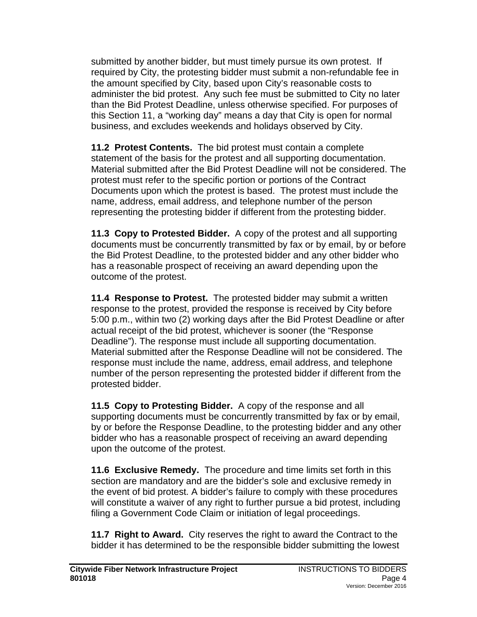submitted by another bidder, but must timely pursue its own protest. If required by City, the protesting bidder must submit a non-refundable fee in the amount specified by City, based upon City's reasonable costs to administer the bid protest. Any such fee must be submitted to City no later than the Bid Protest Deadline, unless otherwise specified. For purposes of this Section 11, a "working day" means a day that City is open for normal business, and excludes weekends and holidays observed by City.

**11.2 Protest Contents.** The bid protest must contain a complete statement of the basis for the protest and all supporting documentation. Material submitted after the Bid Protest Deadline will not be considered. The protest must refer to the specific portion or portions of the Contract Documents upon which the protest is based. The protest must include the name, address, email address, and telephone number of the person representing the protesting bidder if different from the protesting bidder.

**11.3 Copy to Protested Bidder.**A copy of the protest and all supporting documents must be concurrently transmitted by fax or by email, by or before the Bid Protest Deadline, to the protested bidder and any other bidder who has a reasonable prospect of receiving an award depending upon the outcome of the protest.

**11.4 Response to Protest.**The protested bidder may submit a written response to the protest, provided the response is received by City before 5:00 p.m., within two (2) working days after the Bid Protest Deadline or after actual receipt of the bid protest, whichever is sooner (the "Response Deadline"). The response must include all supporting documentation. Material submitted after the Response Deadline will not be considered. The response must include the name, address, email address, and telephone number of the person representing the protested bidder if different from the protested bidder.

**11.5 Copy to Protesting Bidder.**A copy of the response and all supporting documents must be concurrently transmitted by fax or by email, by or before the Response Deadline, to the protesting bidder and any other bidder who has a reasonable prospect of receiving an award depending upon the outcome of the protest.

**11.6 Exclusive Remedy.**The procedure and time limits set forth in this section are mandatory and are the bidder's sole and exclusive remedy in the event of bid protest. A bidder's failure to comply with these procedures will constitute a waiver of any right to further pursue a bid protest, including filing a Government Code Claim or initiation of legal proceedings.

**11.7 Right to Award.**City reserves the right to award the Contract to the bidder it has determined to be the responsible bidder submitting the lowest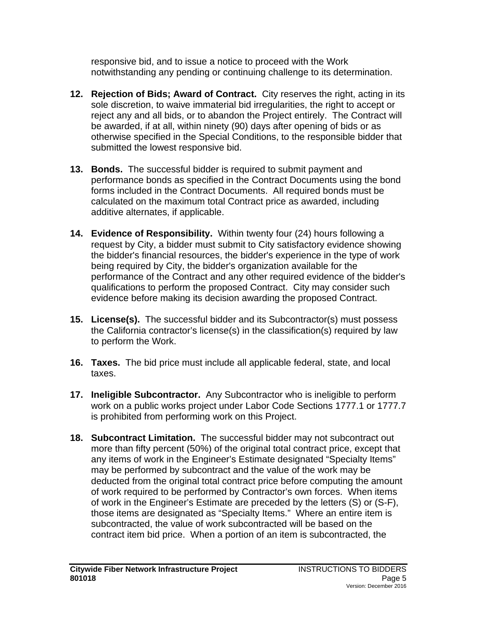responsive bid, and to issue a notice to proceed with the Work notwithstanding any pending or continuing challenge to its determination.

- **12. Rejection of Bids; Award of Contract.** City reserves the right, acting in its sole discretion, to waive immaterial bid irregularities, the right to accept or reject any and all bids, or to abandon the Project entirely. The Contract will be awarded, if at all, within ninety (90) days after opening of bids or as otherwise specified in the Special Conditions, to the responsible bidder that submitted the lowest responsive bid.
- **13. Bonds.** The successful bidder is required to submit payment and performance bonds as specified in the Contract Documents using the bond forms included in the Contract Documents. All required bonds must be calculated on the maximum total Contract price as awarded, including additive alternates, if applicable.
- **14. Evidence of Responsibility.** Within twenty four (24) hours following a request by City, a bidder must submit to City satisfactory evidence showing the bidder's financial resources, the bidder's experience in the type of work being required by City, the bidder's organization available for the performance of the Contract and any other required evidence of the bidder's qualifications to perform the proposed Contract. City may consider such evidence before making its decision awarding the proposed Contract.
- **15. License(s).** The successful bidder and its Subcontractor(s) must possess the California contractor's license(s) in the classification(s) required by law to perform the Work.
- **16. Taxes.** The bid price must include all applicable federal, state, and local taxes.
- **17. Ineligible Subcontractor.** Any Subcontractor who is ineligible to perform work on a public works project under Labor Code Sections 1777.1 or 1777.7 is prohibited from performing work on this Project.
- **18. Subcontract Limitation.** The successful bidder may not subcontract out more than fifty percent (50%) of the original total contract price, except that any items of work in the Engineer's Estimate designated "Specialty Items" may be performed by subcontract and the value of the work may be deducted from the original total contract price before computing the amount of work required to be performed by Contractor's own forces. When items of work in the Engineer's Estimate are preceded by the letters (S) or (S-F), those items are designated as "Specialty Items." Where an entire item is subcontracted, the value of work subcontracted will be based on the contract item bid price. When a portion of an item is subcontracted, the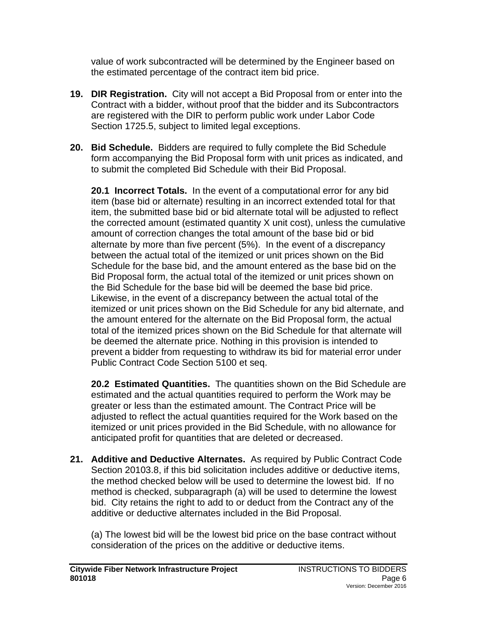value of work subcontracted will be determined by the Engineer based on the estimated percentage of the contract item bid price.

- **19. DIR Registration.** City will not accept a Bid Proposal from or enter into the Contract with a bidder, without proof that the bidder and its Subcontractors are registered with the DIR to perform public work under Labor Code Section 1725.5, subject to limited legal exceptions.
- **20. Bid Schedule.** Bidders are required to fully complete the Bid Schedule form accompanying the Bid Proposal form with unit prices as indicated, and to submit the completed Bid Schedule with their Bid Proposal.

**20.1 Incorrect Totals.** In the event of a computational error for any bid item (base bid or alternate) resulting in an incorrect extended total for that item, the submitted base bid or bid alternate total will be adjusted to reflect the corrected amount (estimated quantity X unit cost), unless the cumulative amount of correction changes the total amount of the base bid or bid alternate by more than five percent (5%). In the event of a discrepancy between the actual total of the itemized or unit prices shown on the Bid Schedule for the base bid, and the amount entered as the base bid on the Bid Proposal form, the actual total of the itemized or unit prices shown on the Bid Schedule for the base bid will be deemed the base bid price. Likewise, in the event of a discrepancy between the actual total of the itemized or unit prices shown on the Bid Schedule for any bid alternate, and the amount entered for the alternate on the Bid Proposal form, the actual total of the itemized prices shown on the Bid Schedule for that alternate will be deemed the alternate price. Nothing in this provision is intended to prevent a bidder from requesting to withdraw its bid for material error under Public Contract Code Section 5100 et seq.

**20.2 Estimated Quantities.** The quantities shown on the Bid Schedule are estimated and the actual quantities required to perform the Work may be greater or less than the estimated amount. The Contract Price will be adjusted to reflect the actual quantities required for the Work based on the itemized or unit prices provided in the Bid Schedule, with no allowance for anticipated profit for quantities that are deleted or decreased.

**21. Additive and Deductive Alternates.** As required by Public Contract Code Section 20103.8, if this bid solicitation includes additive or deductive items, the method checked below will be used to determine the lowest bid. If no method is checked, subparagraph (a) will be used to determine the lowest bid. City retains the right to add to or deduct from the Contract any of the additive or deductive alternates included in the Bid Proposal.

(a) The lowest bid will be the lowest bid price on the base contract without consideration of the prices on the additive or deductive items.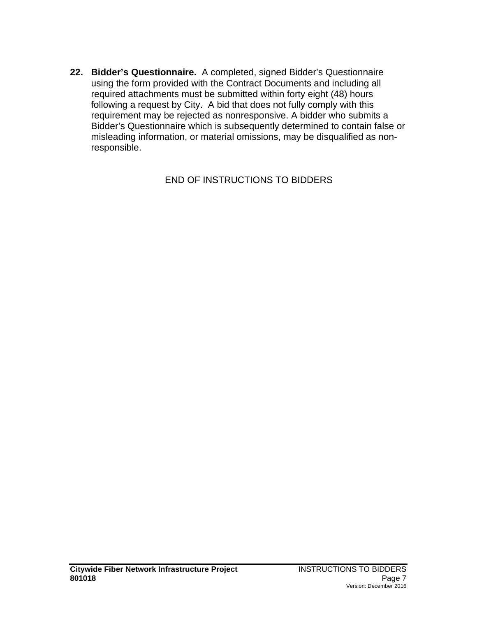**22. Bidder's Questionnaire.** A completed, signed Bidder's Questionnaire using the form provided with the Contract Documents and including all required attachments must be submitted within forty eight (48) hours following a request by City. A bid that does not fully comply with this requirement may be rejected as nonresponsive. A bidder who submits a Bidder's Questionnaire which is subsequently determined to contain false or misleading information, or material omissions, may be disqualified as nonresponsible.

END OF INSTRUCTIONS TO BIDDERS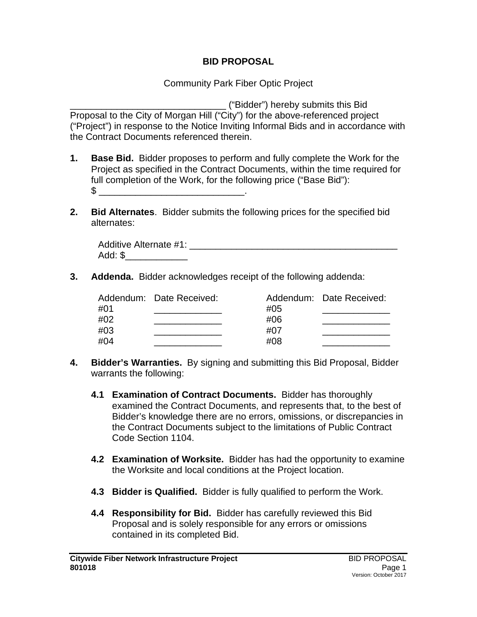#### **BID PROPOSAL**

Community Park Fiber Optic Project

\_\_\_\_\_\_\_\_\_\_\_\_\_\_\_\_\_\_\_\_\_\_\_\_\_\_\_\_\_\_ ("Bidder") hereby submits this Bid Proposal to the City of Morgan Hill ("City") for the above-referenced project ("Project") in response to the Notice Inviting Informal Bids and in accordance with the Contract Documents referenced therein.

- **1. Base Bid.** Bidder proposes to perform and fully complete the Work for the Project as specified in the Contract Documents, within the time required for full completion of the Work, for the following price ("Base Bid"):  $\texttt{\$}$
- **2. Bid Alternates**. Bidder submits the following prices for the specified bid alternates:

| Additive Alternate #1: |  |
|------------------------|--|
| Add: \$                |  |

**3. Addenda.** Bidder acknowledges receipt of the following addenda:

| #01<br>#02<br>#03 | Addendum: Date Received: | #05<br>#06<br>#07 | Addendum: Date Received: |
|-------------------|--------------------------|-------------------|--------------------------|
| #04               |                          | #08               |                          |

- **4. Bidder's Warranties.** By signing and submitting this Bid Proposal, Bidder warrants the following:
	- **4.1 Examination of Contract Documents.**Bidder has thoroughly examined the Contract Documents, and represents that, to the best of Bidder's knowledge there are no errors, omissions, or discrepancies in the Contract Documents subject to the limitations of Public Contract Code Section 1104.
	- **4.2 Examination of Worksite.** Bidder has had the opportunity to examine the Worksite and local conditions at the Project location.
	- **4.3 Bidder is Qualified.**Bidder is fully qualified to perform the Work.
	- **4.4 Responsibility for Bid.**Bidder has carefully reviewed this Bid Proposal and is solely responsible for any errors or omissions contained in its completed Bid.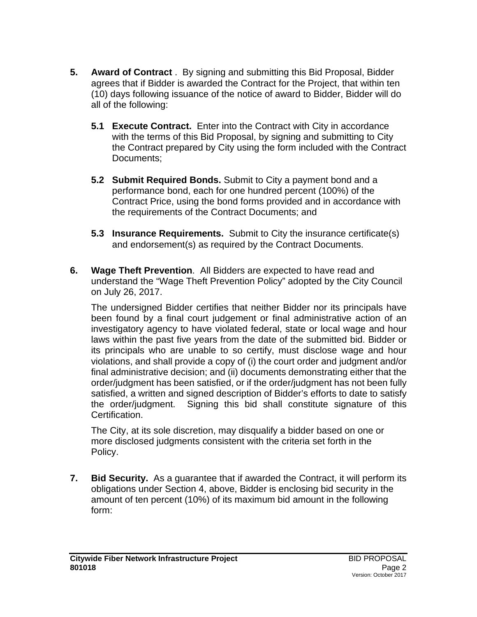- **5. Award of Contract** . By signing and submitting this Bid Proposal, Bidder agrees that if Bidder is awarded the Contract for the Project, that within ten (10) days following issuance of the notice of award to Bidder, Bidder will do all of the following:
	- **5.1 Execute Contract.** Enter into the Contract with City in accordance with the terms of this Bid Proposal, by signing and submitting to City the Contract prepared by City using the form included with the Contract Documents;
	- **5.2 Submit Required Bonds.** Submit to City a payment bond and a performance bond, each for one hundred percent (100%) of the Contract Price, using the bond forms provided and in accordance with the requirements of the Contract Documents; and
	- **5.3 Insurance Requirements.** Submit to City the insurance certificate(s) and endorsement(s) as required by the Contract Documents.
- **6. Wage Theft Prevention**. All Bidders are expected to have read and understand the "Wage Theft Prevention Policy" adopted by the City Council on July 26, 2017.

The undersigned Bidder certifies that neither Bidder nor its principals have been found by a final court judgement or final administrative action of an investigatory agency to have violated federal, state or local wage and hour laws within the past five years from the date of the submitted bid. Bidder or its principals who are unable to so certify, must disclose wage and hour violations, and shall provide a copy of (i) the court order and judgment and/or final administrative decision; and (ii) documents demonstrating either that the order/judgment has been satisfied, or if the order/judgment has not been fully satisfied, a written and signed description of Bidder's efforts to date to satisfy the order/judgment. Signing this bid shall constitute signature of this Certification.

The City, at its sole discretion, may disqualify a bidder based on one or more disclosed judgments consistent with the criteria set forth in the Policy.

**7. Bid Security.** As a guarantee that if awarded the Contract, it will perform its obligations under Section 4, above, Bidder is enclosing bid security in the amount of ten percent (10%) of its maximum bid amount in the following form: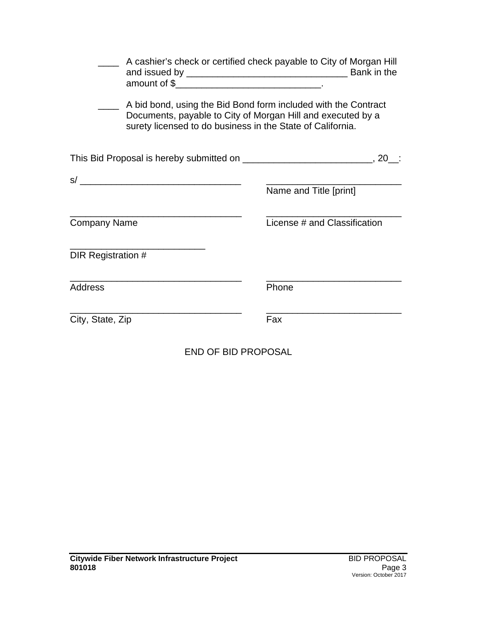| surety licensed to do business in the State of California.                      | A cashier's check or certified check payable to City of Morgan Hill<br>A bid bond, using the Bid Bond form included with the Contract<br>Documents, payable to City of Morgan Hill and executed by a |
|---------------------------------------------------------------------------------|------------------------------------------------------------------------------------------------------------------------------------------------------------------------------------------------------|
| This Bid Proposal is hereby submitted on __________________________________, 20 |                                                                                                                                                                                                      |
|                                                                                 |                                                                                                                                                                                                      |
|                                                                                 | Name and Title [print]                                                                                                                                                                               |
| <b>Company Name</b>                                                             | License # and Classification                                                                                                                                                                         |
| DIR Registration #                                                              |                                                                                                                                                                                                      |
| Address                                                                         | Phone                                                                                                                                                                                                |
| City, State, Zip                                                                | Fax                                                                                                                                                                                                  |

END OF BID PROPOSAL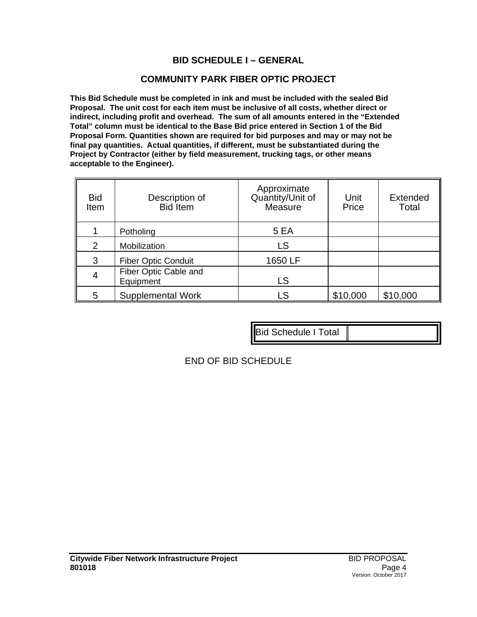#### **BID SCHEDULE I – GENERAL**

#### **COMMUNITY PARK FIBER OPTIC PROJECT**

**This Bid Schedule must be completed in ink and must be included with the sealed Bid Proposal. The unit cost for each item must be inclusive of all costs, whether direct or indirect, including profit and overhead. The sum of all amounts entered in the "Extended Total" column must be identical to the Base Bid price entered in Section 1 of the Bid Proposal Form. Quantities shown are required for bid purposes and may or may not be final pay quantities. Actual quantities, if different, must be substantiated during the Project by Contractor (either by field measurement, trucking tags, or other means acceptable to the Engineer).**

| <b>Bid</b><br>Item | Description of<br><b>Bid</b> Item  | Approximate<br>Quantity/Unit of<br>Measure | Unit<br>Price | <b>Extended</b><br>Total |
|--------------------|------------------------------------|--------------------------------------------|---------------|--------------------------|
|                    | Potholing                          | 5 EA                                       |               |                          |
| 2                  | Mobilization                       | LS                                         |               |                          |
| 3                  | <b>Fiber Optic Conduit</b>         | 1650 LF                                    |               |                          |
| 4                  | Fiber Optic Cable and<br>Equipment | LS                                         |               |                          |
| 5                  | <b>Supplemental Work</b>           | LS                                         | \$10,000      | \$10,000                 |

Bid Schedule I Total

END OF BID SCHEDULE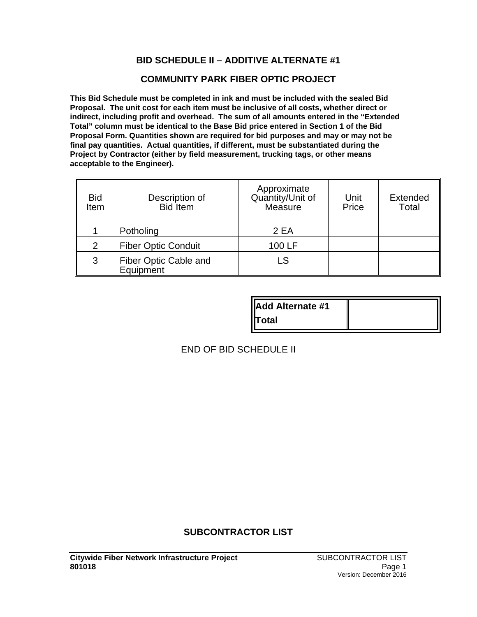#### **BID SCHEDULE II – ADDITIVE ALTERNATE #1**

#### **COMMUNITY PARK FIBER OPTIC PROJECT**

**This Bid Schedule must be completed in ink and must be included with the sealed Bid Proposal. The unit cost for each item must be inclusive of all costs, whether direct or indirect, including profit and overhead. The sum of all amounts entered in the "Extended Total" column must be identical to the Base Bid price entered in Section 1 of the Bid Proposal Form. Quantities shown are required for bid purposes and may or may not be final pay quantities. Actual quantities, if different, must be substantiated during the Project by Contractor (either by field measurement, trucking tags, or other means acceptable to the Engineer).**

| <b>Bid</b><br>Item | Description of<br><b>Bid</b> Item  | Approximate<br>Quantity/Unit of<br>Measure | Unit<br>Price | <b>Extended</b><br>Total |
|--------------------|------------------------------------|--------------------------------------------|---------------|--------------------------|
|                    | Potholing                          | 2 EA                                       |               |                          |
| $\overline{2}$     | <b>Fiber Optic Conduit</b>         | 100 LF                                     |               |                          |
| 3                  | Fiber Optic Cable and<br>Equipment | LS                                         |               |                          |

| <b>IAdd Alternate #1</b> |  |
|--------------------------|--|
| <b>I</b> Total           |  |

END OF BID SCHEDULE II

#### **SUBCONTRACTOR LIST**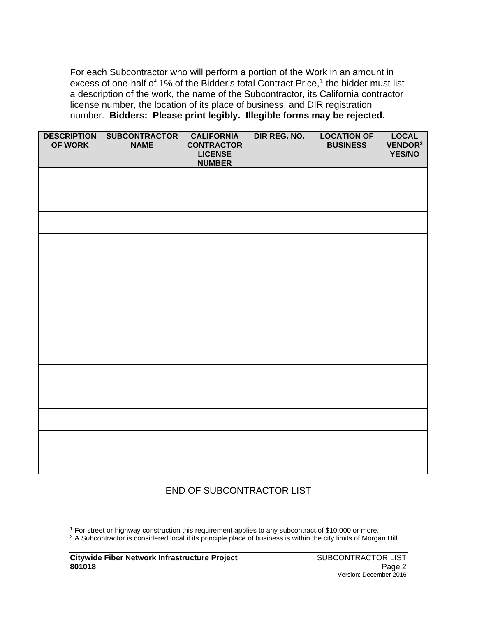For each Subcontractor who will perform a portion of the Work in an amount in excess of one-half of [1](#page-16-0)% of the Bidder's total Contract Price, $1$  the bidder must list a description of the work, the name of the Subcontractor, its California contractor license number, the location of its place of business, and DIR registration number. **Bidders: Please print legibly. Illegible forms may be rejected.**

| <b>DESCRIPTION</b><br>OF WORK | <b>SUBCONTRACTOR</b><br><b>NAME</b> | <b>CALIFORNIA</b><br><b>CONTRACTOR</b><br><b>LICENSE</b><br><b>NUMBER</b> | DIR REG. NO. | <b>LOCATION OF</b><br><b>BUSINESS</b> | <b>LOCAL</b><br>VENDOR <sup>2</sup><br><b>YES/NO</b> |
|-------------------------------|-------------------------------------|---------------------------------------------------------------------------|--------------|---------------------------------------|------------------------------------------------------|
|                               |                                     |                                                                           |              |                                       |                                                      |
|                               |                                     |                                                                           |              |                                       |                                                      |
|                               |                                     |                                                                           |              |                                       |                                                      |
|                               |                                     |                                                                           |              |                                       |                                                      |
|                               |                                     |                                                                           |              |                                       |                                                      |
|                               |                                     |                                                                           |              |                                       |                                                      |
|                               |                                     |                                                                           |              |                                       |                                                      |
|                               |                                     |                                                                           |              |                                       |                                                      |
|                               |                                     |                                                                           |              |                                       |                                                      |
|                               |                                     |                                                                           |              |                                       |                                                      |
|                               |                                     |                                                                           |              |                                       |                                                      |
|                               |                                     |                                                                           |              |                                       |                                                      |
|                               |                                     |                                                                           |              |                                       |                                                      |
|                               |                                     |                                                                           |              |                                       |                                                      |

#### END OF SUBCONTRACTOR LIST

<span id="page-16-0"></span><sup>&</sup>lt;sup>1</sup> For street or highway construction this requirement applies to any subcontract of \$10,000 or more.

<sup>&</sup>lt;sup>2</sup> A Subcontractor is considered local if its principle place of business is within the city limits of Morgan Hill.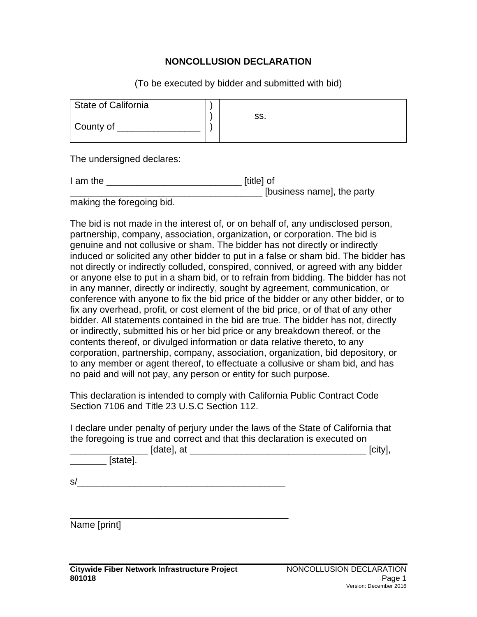#### **NONCOLLUSION DECLARATION**

(To be executed by bidder and submitted with bid)

| State of California |     |
|---------------------|-----|
|                     | SS. |
|                     |     |
| County of           |     |
|                     |     |

The undersigned declares:

| I am the                                                                                                                                                                                                                       | [title] of                 |
|--------------------------------------------------------------------------------------------------------------------------------------------------------------------------------------------------------------------------------|----------------------------|
|                                                                                                                                                                                                                                | [business name], the party |
| the contribution of the contribution of the contribution of the contribution of the contribution of the contribution of the contribution of the contribution of the contribution of the contribution of the contribution of th |                            |

making the foregoing bid.

The bid is not made in the interest of, or on behalf of, any undisclosed person, partnership, company, association, organization, or corporation. The bid is genuine and not collusive or sham. The bidder has not directly or indirectly induced or solicited any other bidder to put in a false or sham bid. The bidder has not directly or indirectly colluded, conspired, connived, or agreed with any bidder or anyone else to put in a sham bid, or to refrain from bidding. The bidder has not in any manner, directly or indirectly, sought by agreement, communication, or conference with anyone to fix the bid price of the bidder or any other bidder, or to fix any overhead, profit, or cost element of the bid price, or of that of any other bidder. All statements contained in the bid are true. The bidder has not, directly or indirectly, submitted his or her bid price or any breakdown thereof, or the contents thereof, or divulged information or data relative thereto, to any corporation, partnership, company, association, organization, bid depository, or to any member or agent thereof, to effectuate a collusive or sham bid, and has no paid and will not pay, any person or entity for such purpose.

This declaration is intended to comply with California Public Contract Code Section 7106 and Title 23 U.S.C Section 112.

I declare under penalty of perjury under the laws of the State of California that the foregoing is true and correct and that this declaration is executed on

| [date], at | ícity |
|------------|-------|
| [state].   |       |

 $s/$ 

\_\_\_\_\_\_\_\_\_\_\_\_\_\_\_\_\_\_\_\_\_\_\_\_\_\_\_\_\_\_\_\_\_\_\_\_\_\_\_\_\_\_ Name [print]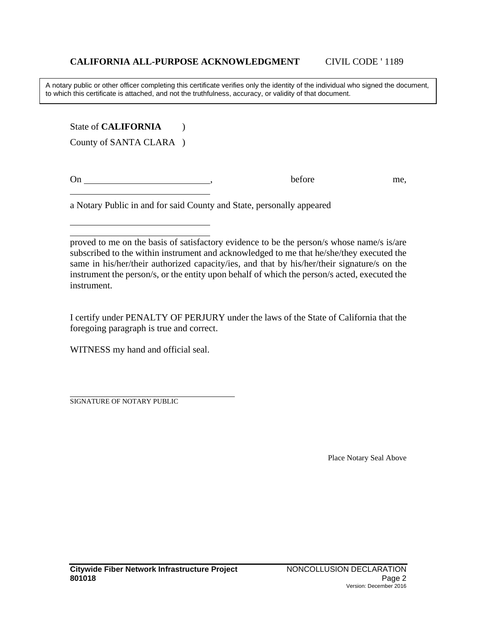A notary public or other officer completing this certificate verifies only the identity of the individual who signed the document, to which this certificate is attached, and not the truthfulness, accuracy, or validity of that document.

State of **CALIFORNIA** (1) County of SANTA CLARA )

On before me,

a Notary Public in and for said County and State, personally appeared

I certify under PENALTY OF PERJURY under the laws of the State of California that the foregoing paragraph is true and correct.

WITNESS my hand and official seal.

SIGNATURE OF NOTARY PUBLIC

Place Notary Seal Above

proved to me on the basis of satisfactory evidence to be the person/s whose name/s is/are subscribed to the within instrument and acknowledged to me that he/she/they executed the same in his/her/their authorized capacity/ies, and that by his/her/their signature/s on the instrument the person/s, or the entity upon behalf of which the person/s acted, executed the instrument.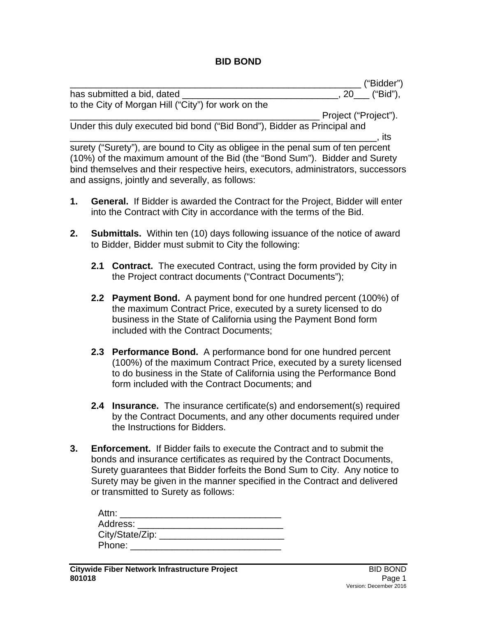#### **BID BOND**

|    |                                                                                                                                                              | ("Bidder")        |
|----|--------------------------------------------------------------------------------------------------------------------------------------------------------------|-------------------|
|    | has submitted a bid, dated _                                                                                                                                 | _, 20___ ("Bid"), |
|    | to the City of Morgan Hill ("City") for work on the                                                                                                          |                   |
|    | Project ("Project").                                                                                                                                         |                   |
|    | Under this duly executed bid bond ("Bid Bond"), Bidder as Principal and                                                                                      |                   |
|    |                                                                                                                                                              | ⊣ts               |
|    | surety ("Surety"), are bound to City as obligee in the penal sum of ten percent                                                                              |                   |
|    | (10%) of the maximum amount of the Bid (the "Bond Sum"). Bidder and Surety                                                                                   |                   |
|    | bind themselves and their respective heirs, executors, administrators, successors<br>and assigns, jointly and severally, as follows:                         |                   |
| 1. | <b>General.</b> If Bidder is awarded the Contract for the Project, Bidder will enter<br>into the Contract with City in accordance with the terms of the Bid. |                   |

- **2. Submittals.** Within ten (10) days following issuance of the notice of award to Bidder, Bidder must submit to City the following:
	- **2.1 Contract.** The executed Contract, using the form provided by City in the Project contract documents ("Contract Documents");
	- **2.2 Payment Bond.** A payment bond for one hundred percent (100%) of the maximum Contract Price, executed by a surety licensed to do business in the State of California using the Payment Bond form included with the Contract Documents;
	- **2.3 Performance Bond.** A performance bond for one hundred percent (100%) of the maximum Contract Price, executed by a surety licensed to do business in the State of California using the Performance Bond form included with the Contract Documents; and
	- **2.4 Insurance.** The insurance certificate(s) and endorsement(s) required by the Contract Documents, and any other documents required under the Instructions for Bidders.
- **3. Enforcement.** If Bidder fails to execute the Contract and to submit the bonds and insurance certificates as required by the Contract Documents, Surety guarantees that Bidder forfeits the Bond Sum to City. Any notice to Surety may be given in the manner specified in the Contract and delivered or transmitted to Surety as follows:

| Attn:                                                                                                           |  |
|-----------------------------------------------------------------------------------------------------------------|--|
| Address: Andreas Address and Address and American Address and American American Address and America and America |  |
| City/State/Zip: _                                                                                               |  |
| Phone:                                                                                                          |  |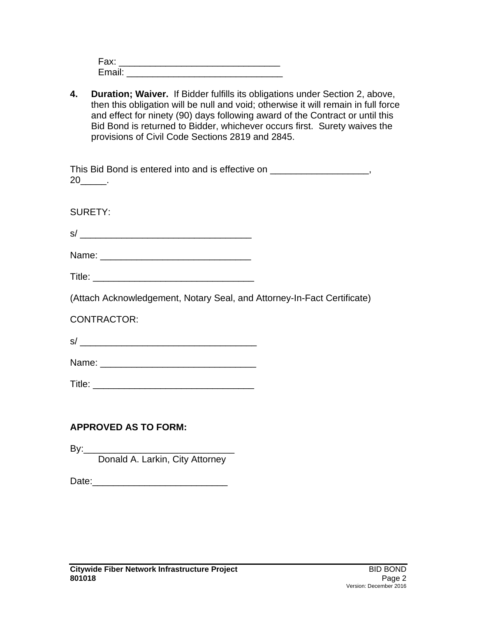| Fax:   |  |  |  |
|--------|--|--|--|
| Email: |  |  |  |

**4. Duration; Waiver.** If Bidder fulfills its obligations under Section 2, above, then this obligation will be null and void; otherwise it will remain in full force and effect for ninety (90) days following award of the Contract or until this Bid Bond is returned to Bidder, whichever occurs first. Surety waives the provisions of Civil Code Sections 2819 and 2845.

| This Bid Bond is entered into and is effective on _____________________,<br>$20$ <sub>______</sub> . |  |
|------------------------------------------------------------------------------------------------------|--|
| <b>SURETY:</b>                                                                                       |  |
|                                                                                                      |  |
|                                                                                                      |  |
|                                                                                                      |  |
| (Attach Acknowledgement, Notary Seal, and Attorney-In-Fact Certificate)                              |  |
| <b>CONTRACTOR:</b>                                                                                   |  |
|                                                                                                      |  |
|                                                                                                      |  |
|                                                                                                      |  |
|                                                                                                      |  |
| <b>APPROVED AS TO FORM:</b>                                                                          |  |

By:\_\_\_\_\_\_\_\_\_\_\_\_\_\_\_\_\_\_\_\_\_\_\_\_\_\_\_\_\_ Donald A. Larkin, City Attorney

Date:\_\_\_\_\_\_\_\_\_\_\_\_\_\_\_\_\_\_\_\_\_\_\_\_\_\_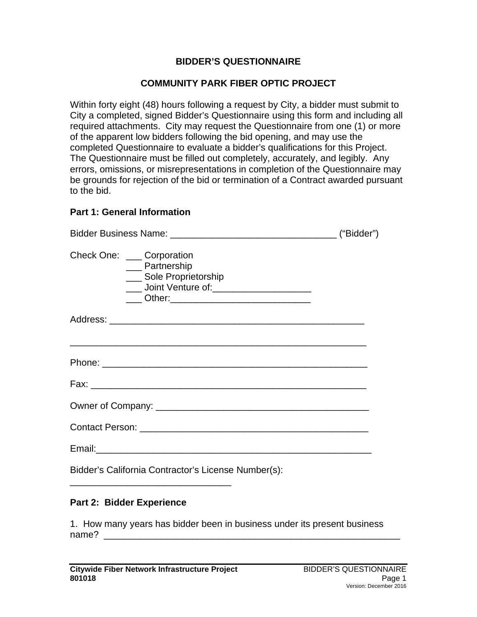#### **BIDDER'S QUESTIONNAIRE**

#### **COMMUNITY PARK FIBER OPTIC PROJECT**

Within forty eight (48) hours following a request by City, a bidder must submit to City a completed, signed Bidder's Questionnaire using this form and including all required attachments. City may request the Questionnaire from one (1) or more of the apparent low bidders following the bid opening, and may use the completed Questionnaire to evaluate a bidder's qualifications for this Project. The Questionnaire must be filled out completely, accurately, and legibly. Any errors, omissions, or misrepresentations in completion of the Questionnaire may be grounds for rejection of the bid or termination of a Contract awarded pursuant to the bid.

#### **Part 1: General Information**

| Check One: ____ Corporation | __ Partnership<br>Sole Proprietorship<br>____ Joint Venture of: _______________________<br>____ Other:_________________________________ |  |
|-----------------------------|-----------------------------------------------------------------------------------------------------------------------------------------|--|
|                             |                                                                                                                                         |  |
|                             | <u> 1989 - Johann Harry Harry Harry Harry Harry Harry Harry Harry Harry Harry Harry Harry Harry Harry Harry Harry</u>                   |  |
|                             |                                                                                                                                         |  |
|                             |                                                                                                                                         |  |
|                             |                                                                                                                                         |  |
|                             |                                                                                                                                         |  |
|                             | Bidder's California Contractor's License Number(s):                                                                                     |  |

#### **Part 2: Bidder Experience**

1. How many years has bidder been in business under its present business name? \_\_\_\_\_\_\_\_\_\_\_\_\_\_\_\_\_\_\_\_\_\_\_\_\_\_\_\_\_\_\_\_\_\_\_\_\_\_\_\_\_\_\_\_\_\_\_\_\_\_\_\_\_\_\_\_\_

\_\_\_\_\_\_\_\_\_\_\_\_\_\_\_\_\_\_\_\_\_\_\_\_\_\_\_\_\_\_\_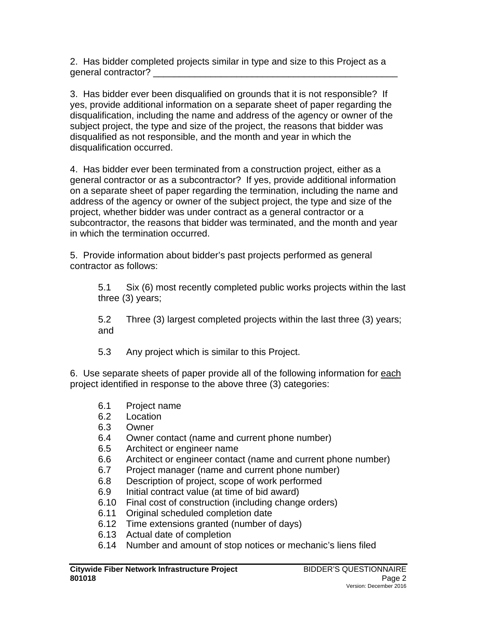2. Has bidder completed projects similar in type and size to this Project as a general contractor? \_\_\_\_\_\_\_\_\_\_\_\_\_\_\_\_\_\_\_\_\_\_\_\_\_\_\_\_\_\_\_\_\_\_\_\_\_\_\_\_\_\_\_\_\_\_\_

3. Has bidder ever been disqualified on grounds that it is not responsible? If yes, provide additional information on a separate sheet of paper regarding the disqualification, including the name and address of the agency or owner of the subject project, the type and size of the project, the reasons that bidder was disqualified as not responsible, and the month and year in which the disqualification occurred.

4. Has bidder ever been terminated from a construction project, either as a general contractor or as a subcontractor? If yes, provide additional information on a separate sheet of paper regarding the termination, including the name and address of the agency or owner of the subject project, the type and size of the project, whether bidder was under contract as a general contractor or a subcontractor, the reasons that bidder was terminated, and the month and year in which the termination occurred.

5. Provide information about bidder's past projects performed as general contractor as follows:

5.1 Six (6) most recently completed public works projects within the last three (3) years;

5.2 Three (3) largest completed projects within the last three (3) years; and

5.3 Any project which is similar to this Project.

6. Use separate sheets of paper provide all of the following information for each project identified in response to the above three (3) categories:

- 6.1 Project name
- 6.2 Location
- 6.3 Owner
- 6.4 Owner contact (name and current phone number)
- 6.5 Architect or engineer name
- 6.6 Architect or engineer contact (name and current phone number)
- 6.7 Project manager (name and current phone number)<br>6.8 Description of project. scope of work performed
- Description of project, scope of work performed
- 6.9 Initial contract value (at time of bid award)
- 6.10 Final cost of construction (including change orders)
- 6.11 Original scheduled completion date
- 6.12 Time extensions granted (number of days)
- 6.13 Actual date of completion
- 6.14 Number and amount of stop notices or mechanic's liens filed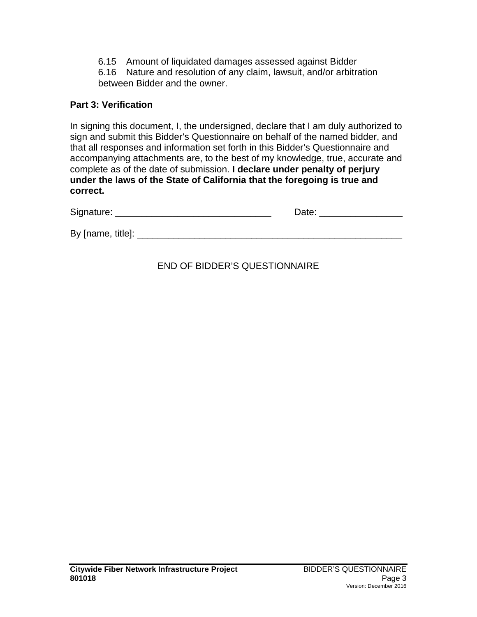6.15 Amount of liquidated damages assessed against Bidder

6.16 Nature and resolution of any claim, lawsuit, and/or arbitration between Bidder and the owner.

### **Part 3: Verification**

In signing this document, I, the undersigned, declare that I am duly authorized to sign and submit this Bidder's Questionnaire on behalf of the named bidder, and that all responses and information set forth in this Bidder's Questionnaire and accompanying attachments are, to the best of my knowledge, true, accurate and complete as of the date of submission. **I declare under penalty of perjury under the laws of the State of California that the foregoing is true and correct.**

| Signature:        | Date: |
|-------------------|-------|
|                   |       |
| By [name, title]: |       |

# END OF BIDDER'S QUESTIONNAIRE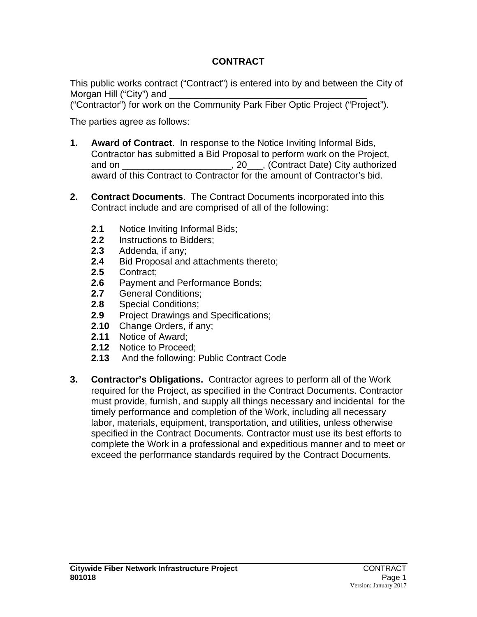# **CONTRACT**

This public works contract ("Contract") is entered into by and between the City of Morgan Hill ("City") and

("Contractor") for work on the Community Park Fiber Optic Project ("Project").

The parties agree as follows:

- **1. Award of Contract**. In response to the Notice Inviting Informal Bids, Contractor has submitted a Bid Proposal to perform work on the Project, and on \_\_\_\_\_\_\_\_\_\_\_\_\_\_\_\_\_\_\_\_\_\_\_, 20\_\_\_, (Contract Date) City authorized award of this Contract to Contractor for the amount of Contractor's bid.
- **2. Contract Documents**. The Contract Documents incorporated into this Contract include and are comprised of all of the following:
	- 2.1 Notice Inviting Informal Bids;<br>2.2 Instructions to Bidders:
	- 2.2 Instructions to Bidders;<br>2.3 Addenda. if anv:
	- **2.3** Addenda, if any;
	- 2.4 Bid Proposal and attachments thereto;<br>2.5 Contract:
	- **2.5** Contract;
	- 2.6 Payment and Performance Bonds;<br>2.7 General Conditions:
	- 2.7 General Conditions;<br>2.8 Special Conditions:
	- **2.8** Special Conditions;
	- **2.9** Project Drawings and Specifications;
	- **2.10** Change Orders, if any;
	- **2.11** Notice of Award;
	- **2.12** Notice to Proceed;
	- **2.13** And the following: Public Contract Code
- **3. Contractor's Obligations.** Contractor agrees to perform all of the Work required for the Project, as specified in the Contract Documents. Contractor must provide, furnish, and supply all things necessary and incidental for the timely performance and completion of the Work, including all necessary labor, materials, equipment, transportation, and utilities, unless otherwise specified in the Contract Documents. Contractor must use its best efforts to complete the Work in a professional and expeditious manner and to meet or exceed the performance standards required by the Contract Documents.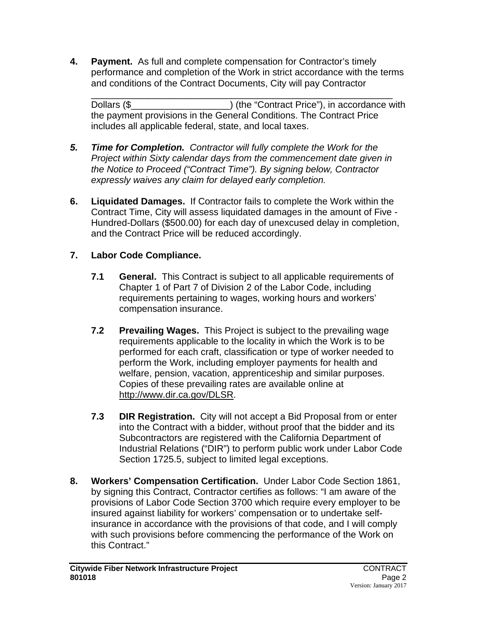**4. Payment.** As full and complete compensation for Contractor's timely performance and completion of the Work in strict accordance with the terms and conditions of the Contract Documents, City will pay Contractor

\_\_\_\_\_\_\_\_\_\_\_\_\_\_\_\_\_\_\_\_\_\_\_\_\_\_\_\_\_\_\_\_\_\_\_\_\_\_\_\_\_\_\_\_\_\_\_\_\_\_\_\_\_\_\_\_\_\_ Dollars (\$ the payment provisions in the General Conditions. The Contract Price includes all applicable federal, state, and local taxes.

- *5. Time for Completion. Contractor will fully complete the Work for the Project within Sixty calendar days from the commencement date given in the Notice to Proceed ("Contract Time"). By signing below, Contractor expressly waives any claim for delayed early completion.*
- **6. Liquidated Damages.** If Contractor fails to complete the Work within the Contract Time, City will assess liquidated damages in the amount of Five - Hundred-Dollars (\$500.00) for each day of unexcused delay in completion, and the Contract Price will be reduced accordingly.

# **7. Labor Code Compliance.**

- **7.1 General.** This Contract is subject to all applicable requirements of Chapter 1 of Part 7 of Division 2 of the Labor Code, including requirements pertaining to wages, working hours and workers' compensation insurance.
- **7.2 Prevailing Wages.** This Project is subject to the prevailing wage requirements applicable to the locality in which the Work is to be performed for each craft, classification or type of worker needed to perform the Work, including employer payments for health and welfare, pension, vacation, apprenticeship and similar purposes. Copies of these prevailing rates are available online at [http://www.dir.ca.gov/DLSR.](http://www.dir.ca.gov/DLSR)
- **7.3 DIR Registration.**City will not accept a Bid Proposal from or enter into the Contract with a bidder, without proof that the bidder and its Subcontractors are registered with the California Department of Industrial Relations ("DIR") to perform public work under Labor Code Section 1725.5, subject to limited legal exceptions.
- **8. Workers' Compensation Certification.** Under Labor Code Section 1861, by signing this Contract, Contractor certifies as follows: "I am aware of the provisions of Labor Code Section 3700 which require every employer to be insured against liability for workers' compensation or to undertake selfinsurance in accordance with the provisions of that code, and I will comply with such provisions before commencing the performance of the Work on this Contract."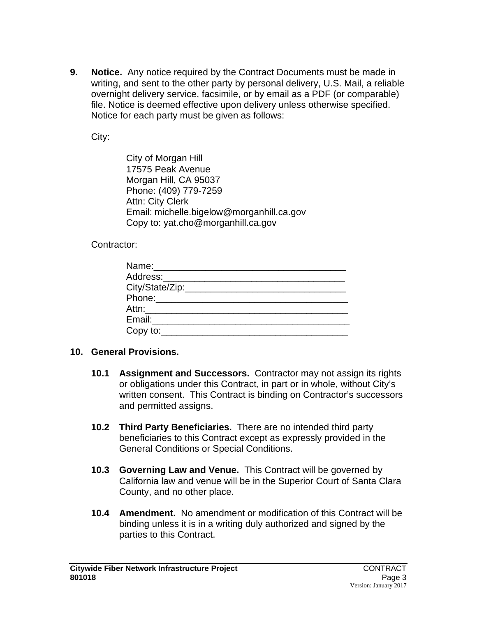**9. Notice.** Any notice required by the Contract Documents must be made in writing, and sent to the other party by personal delivery, U.S. Mail, a reliable overnight delivery service, facsimile, or by email as a PDF (or comparable) file. Notice is deemed effective upon delivery unless otherwise specified. Notice for each party must be given as follows:

City:

City of Morgan Hill 17575 Peak Avenue Morgan Hill, CA 95037 Phone: (409) 779-7259 Attn: City Clerk Email: michelle.bigelow@morganhill.ca.gov Copy to: yat.cho@morganhill.ca.gov

Contractor:

| Name:________________________        |  |
|--------------------------------------|--|
| Address:____________________________ |  |
|                                      |  |
| Phone:________________________       |  |
| Attn:___________________________     |  |
| Email:_____________________          |  |
| Copy to:_______________________      |  |

#### **10. General Provisions.**

- **10.1 Assignment and Successors.** Contractor may not assign its rights or obligations under this Contract, in part or in whole, without City's written consent. This Contract is binding on Contractor's successors and permitted assigns.
- **10.2 Third Party Beneficiaries.** There are no intended third party beneficiaries to this Contract except as expressly provided in the General Conditions or Special Conditions.
- **10.3 Governing Law and Venue.** This Contract will be governed by California law and venue will be in the Superior Court of Santa Clara County, and no other place.
- **10.4 Amendment.** No amendment or modification of this Contract will be binding unless it is in a writing duly authorized and signed by the parties to this Contract.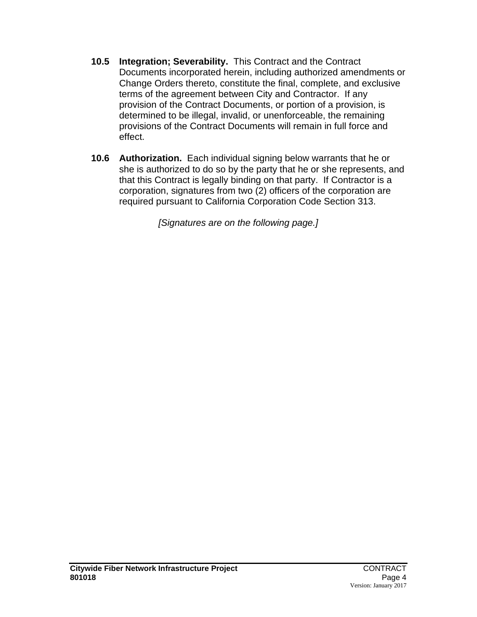- **10.5 Integration; Severability.** This Contract and the Contract Documents incorporated herein, including authorized amendments or Change Orders thereto, constitute the final, complete, and exclusive terms of the agreement between City and Contractor. If any provision of the Contract Documents, or portion of a provision, is determined to be illegal, invalid, or unenforceable, the remaining provisions of the Contract Documents will remain in full force and effect.
- **10.6 Authorization.** Each individual signing below warrants that he or she is authorized to do so by the party that he or she represents, and that this Contract is legally binding on that party. If Contractor is a corporation, signatures from two (2) officers of the corporation are required pursuant to California Corporation Code Section 313.

*[Signatures are on the following page.]*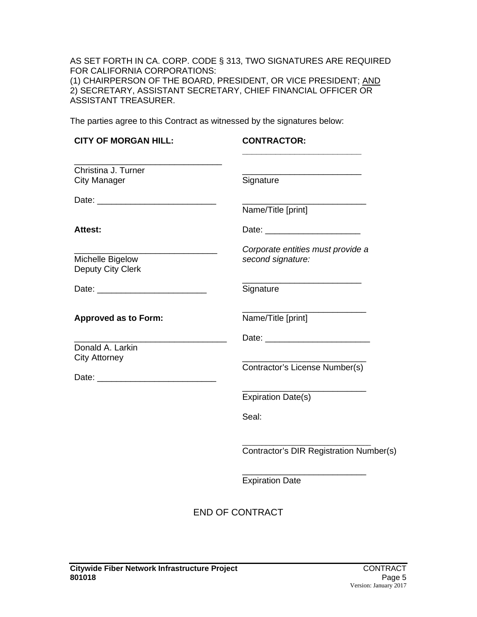AS SET FORTH IN CA. CORP. CODE § 313, TWO SIGNATURES ARE REQUIRED FOR CALIFORNIA CORPORATIONS: (1) CHAIRPERSON OF THE BOARD, PRESIDENT, OR VICE PRESIDENT; <u>AND</u> 2) SECRETARY, ASSISTANT SECRETARY, CHIEF FINANCIAL OFFICER OR ASSISTANT TREASURER.

The parties agree to this Contract as witnessed by the signatures below:

| <b>CONTRACTOR:</b>                                                |
|-------------------------------------------------------------------|
| Signature                                                         |
| Name/Title [print]                                                |
|                                                                   |
| Corporate entities must provide a<br>second signature:            |
| Signature                                                         |
| Name/Title [print]                                                |
| Contractor's License Number(s)                                    |
| <b>Expiration Date(s)</b><br>Seal:                                |
| Contractor's DIR Registration Number(s)<br><b>Expiration Date</b> |
|                                                                   |

END OF CONTRACT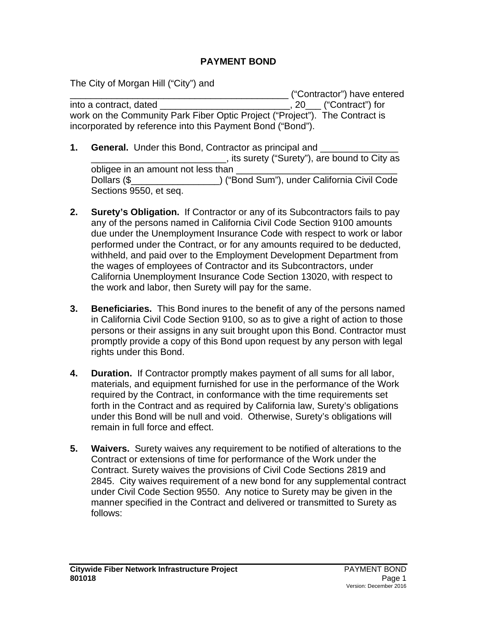#### **PAYMENT BOND**

The City of Morgan Hill ("City") and

\_\_\_\_\_\_\_\_\_\_\_\_\_\_\_\_\_\_\_\_\_\_\_\_\_\_\_\_\_\_\_\_\_\_\_\_\_\_\_\_\_\_ ("Contractor") have entered into a contract, dated \_\_\_\_\_\_\_\_\_\_\_\_\_\_\_\_\_\_\_\_\_\_\_\_\_, 20\_\_\_ ("Contract") for work on the Community Park Fiber Optic Project ("Project"). The Contract is incorporated by reference into this Payment Bond ("Bond").

- **1. General.** Under this Bond, Contractor as principal and \_\_\_\_\_\_\_\_\_\_\_\_\_\_\_\_\_\_\_\_\_\_\_\_\_\_, its surety ("Surety"), are bound to City as obligee in an amount not less than Dollars (\$\_\_\_\_\_\_\_\_\_\_\_\_\_\_\_\_\_) ("Bond Sum"), under California Civil Code Sections 9550, et seq.
- **2. Surety's Obligation.** If Contractor or any of its Subcontractors fails to pay any of the persons named in California Civil Code Section 9100 amounts due under the Unemployment Insurance Code with respect to work or labor performed under the Contract, or for any amounts required to be deducted, withheld, and paid over to the Employment Development Department from the wages of employees of Contractor and its Subcontractors, under California Unemployment Insurance Code Section 13020, with respect to the work and labor, then Surety will pay for the same.
- **3. Beneficiaries.** This Bond inures to the benefit of any of the persons named in California Civil Code Section 9100, so as to give a right of action to those persons or their assigns in any suit brought upon this Bond. Contractor must promptly provide a copy of this Bond upon request by any person with legal rights under this Bond.
- **4. Duration.** If Contractor promptly makes payment of all sums for all labor, materials, and equipment furnished for use in the performance of the Work required by the Contract, in conformance with the time requirements set forth in the Contract and as required by California law, Surety's obligations under this Bond will be null and void. Otherwise, Surety's obligations will remain in full force and effect.
- **5. Waivers.** Surety waives any requirement to be notified of alterations to the Contract or extensions of time for performance of the Work under the Contract. Surety waives the provisions of Civil Code Sections 2819 and 2845. City waives requirement of a new bond for any supplemental contract under Civil Code Section 9550. Any notice to Surety may be given in the manner specified in the Contract and delivered or transmitted to Surety as follows: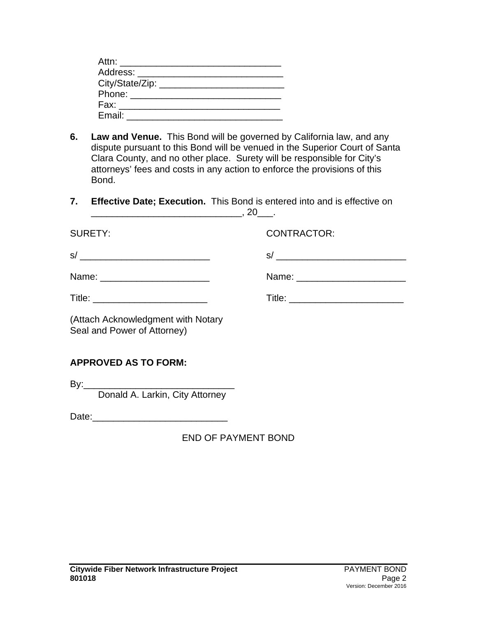| Attn: ______________                  |  |  |
|---------------------------------------|--|--|
| Address: ____________________         |  |  |
| City/State/Zip: _____________________ |  |  |
| Phone: _____________________          |  |  |
| Fax: _________________________        |  |  |
| Email:                                |  |  |

- **6. Law and Venue.** This Bond will be governed by California law, and any dispute pursuant to this Bond will be venued in the Superior Court of Santa Clara County, and no other place. Surety will be responsible for City's attorneys' fees and costs in any action to enforce the provisions of this Bond.
- **7. Effective Date; Execution.** This Bond is entered into and is effective on \_\_\_\_\_\_\_\_\_\_\_\_\_\_\_\_\_\_\_\_\_\_\_\_\_\_\_\_\_, 20\_\_\_.

| <b>SURETY:</b>                                                    | <b>CONTRACTOR:</b> |
|-------------------------------------------------------------------|--------------------|
|                                                                   |                    |
| Name: _________________________                                   |                    |
|                                                                   |                    |
| (Attach Acknowledgment with Notary<br>Seal and Power of Attorney) |                    |
| <b>APPROVED AS TO FORM:</b>                                       |                    |

By:\_\_\_\_\_\_\_\_\_\_\_\_\_\_\_\_\_\_\_\_\_\_\_\_\_\_\_\_\_

Donald A. Larkin, City Attorney

Date:\_\_\_\_\_\_\_\_\_\_\_\_\_\_\_\_\_\_\_\_\_\_\_\_\_\_

END OF PAYMENT BOND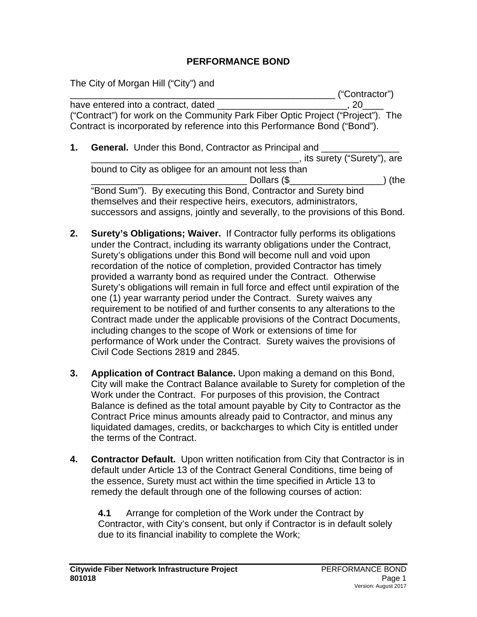#### **PERFORMANCE BOND**

The City of Morgan Hill ("City") and

\_\_\_\_\_\_\_\_\_\_\_\_\_\_\_\_\_\_\_\_\_\_\_\_\_\_\_\_\_\_\_\_\_\_\_\_\_\_\_\_\_\_\_\_\_\_\_\_\_\_\_ ("Contractor") have entered into a contract, dated \_\_\_\_\_\_\_\_\_\_\_\_\_\_\_\_\_\_\_\_\_\_\_\_\_, 20\_\_\_\_ ("Contract") for work on the Community Park Fiber Optic Project ("Project"). The Contract is incorporated by reference into this Performance Bond ("Bond").

- **1. General.** Under this Bond, Contractor as Principal and \_\_\_\_\_\_\_\_\_\_\_\_\_\_\_\_\_\_\_\_\_\_\_\_\_\_\_\_\_\_\_\_\_\_\_\_\_\_\_\_, its surety ("Surety"), are bound to City as obligee for an amount not less than \_\_\_\_\_\_\_\_\_\_\_\_\_\_\_\_\_\_\_\_\_\_\_\_\_\_\_\_\_\_ Dollars (\$\_\_\_\_\_\_\_\_\_\_\_\_\_\_\_\_\_\_) (the "Bond Sum"). By executing this Bond, Contractor and Surety bind themselves and their respective heirs, executors, administrators, successors and assigns, jointly and severally, to the provisions of this Bond.
- **2. Surety's Obligations; Waiver.** If Contractor fully performs its obligations under the Contract, including its warranty obligations under the Contract, Surety's obligations under this Bond will become null and void upon recordation of the notice of completion, provided Contractor has timely provided a warranty bond as required under the Contract. Otherwise Surety's obligations will remain in full force and effect until expiration of the one (1) year warranty period under the Contract. Surety waives any requirement to be notified of and further consents to any alterations to the Contract made under the applicable provisions of the Contract Documents, including changes to the scope of Work or extensions of time for performance of Work under the Contract. Surety waives the provisions of Civil Code Sections 2819 and 2845.
- **3. Application of Contract Balance.** Upon making a demand on this Bond, City will make the Contract Balance available to Surety for completion of the Work under the Contract. For purposes of this provision, the Contract Balance is defined as the total amount payable by City to Contractor as the Contract Price minus amounts already paid to Contractor, and minus any liquidated damages, credits, or backcharges to which City is entitled under the terms of the Contract.
- **4. Contractor Default.** Upon written notification from City that Contractor is in default under Article 13 of the Contract General Conditions, time being of the essence, Surety must act within the time specified in Article 13 to remedy the default through one of the following courses of action:

**4.1** Arrange for completion of the Work under the Contract by Contractor, with City's consent, but only if Contractor is in default solely due to its financial inability to complete the Work;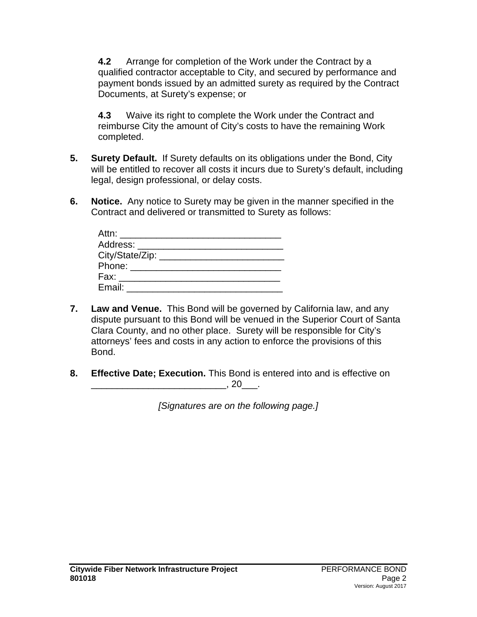**4.2** Arrange for completion of the Work under the Contract by a qualified contractor acceptable to City, and secured by performance and payment bonds issued by an admitted surety as required by the Contract Documents, at Surety's expense; or

**4.3** Waive its right to complete the Work under the Contract and reimburse City the amount of City's costs to have the remaining Work completed.

- **5. Surety Default.** If Surety defaults on its obligations under the Bond, City will be entitled to recover all costs it incurs due to Surety's default, including legal, design professional, or delay costs.
- **6. Notice.** Any notice to Surety may be given in the manner specified in the Contract and delivered or transmitted to Surety as follows:

| Address: _______________________     |  |
|--------------------------------------|--|
| City/State/Zip: ____________________ |  |
|                                      |  |
| Fax: _____________________           |  |
| Email:                               |  |

- **7. Law and Venue.** This Bond will be governed by California law, and any dispute pursuant to this Bond will be venued in the Superior Court of Santa Clara County, and no other place. Surety will be responsible for City's attorneys' fees and costs in any action to enforce the provisions of this Bond.
- **8. Effective Date; Execution.** This Bond is entered into and is effective on \_\_\_\_\_\_\_\_\_\_\_\_\_\_\_\_\_\_\_\_\_\_\_\_\_\_, 20\_\_\_.

*[Signatures are on the following page.]*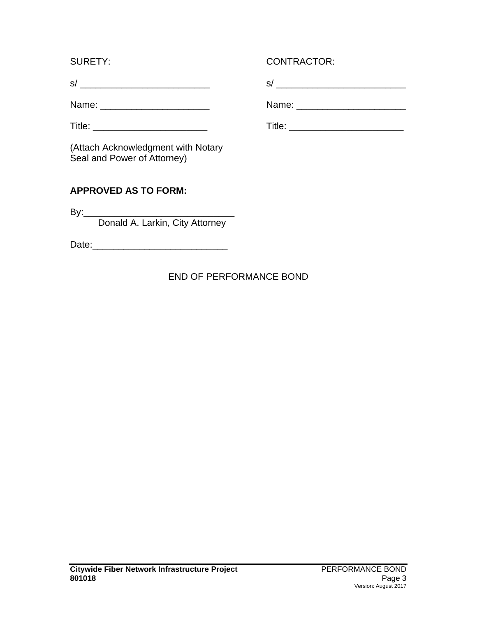| $\mathbf{\hat{c}}$ |  |  |  |  | _ |
|--------------------|--|--|--|--|---|
|                    |  |  |  |  |   |

(Attach Acknowledgment with Notary Seal and Power of Attorney)

# **APPROVED AS TO FORM:**

By:\_\_\_\_\_\_\_\_\_\_\_\_\_\_\_\_\_\_\_\_\_\_\_\_\_\_\_\_\_ Donald A. Larkin, City Attorney

Date:\_\_\_\_\_\_\_\_\_\_\_\_\_\_\_\_\_\_\_\_\_\_\_\_\_\_

# END OF PERFORMANCE BOND

### SURETY: CONTRACTOR:

s/ \_\_\_\_\_\_\_\_\_\_\_\_\_\_\_\_\_\_\_\_\_\_\_\_\_ s/ \_\_\_\_\_\_\_\_\_\_\_\_\_\_\_\_\_\_\_\_\_\_\_\_\_

Name: \_\_\_\_\_\_\_\_\_\_\_\_\_\_\_\_\_\_\_\_\_ Name: \_\_\_\_\_\_\_\_\_\_\_\_\_\_\_\_\_\_\_\_\_

Title: \_\_\_\_\_\_\_\_\_\_\_\_\_\_\_\_\_\_\_\_\_\_ Title: \_\_\_\_\_\_\_\_\_\_\_\_\_\_\_\_\_\_\_\_\_\_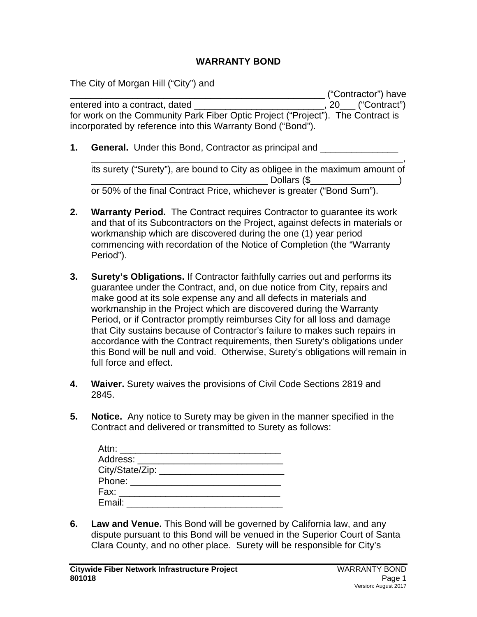#### **WARRANTY BOND**

The City of Morgan Hill ("City") and

\_\_\_\_\_\_\_\_\_\_\_\_\_\_\_\_\_\_\_\_\_\_\_\_\_\_\_\_\_\_\_\_\_\_\_\_\_\_\_\_\_\_\_\_\_\_\_\_\_ ("Contractor") have entered into a contract, dated \_\_\_\_\_\_\_\_\_\_\_\_\_\_\_\_\_\_\_\_\_\_\_\_\_\_\_\_\_, 20\_\_\_ ("Contract") for work on the Community Park Fiber Optic Project ("Project"). The Contract is incorporated by reference into this Warranty Bond ("Bond").

**1. General.** Under this Bond, Contractor as principal and

\_\_\_\_\_\_\_\_\_\_\_\_\_\_\_\_\_\_\_\_\_\_\_\_\_\_\_\_\_\_\_\_\_\_\_\_\_\_\_\_\_\_\_\_\_\_\_\_\_\_\_\_\_\_\_\_\_\_\_\_, its surety ("Surety"), are bound to City as obligee in the maximum amount of  $\Box$  Dollars (\$ or 50% of the final Contract Price, whichever is greater ("Bond Sum").

- **2. Warranty Period.** The Contract requires Contractor to guarantee its work and that of its Subcontractors on the Project, against defects in materials or workmanship which are discovered during the one (1) year period commencing with recordation of the Notice of Completion (the "Warranty Period").
- **3. Surety's Obligations.** If Contractor faithfully carries out and performs its guarantee under the Contract, and, on due notice from City, repairs and make good at its sole expense any and all defects in materials and workmanship in the Project which are discovered during the Warranty Period, or if Contractor promptly reimburses City for all loss and damage that City sustains because of Contractor's failure to makes such repairs in accordance with the Contract requirements, then Surety's obligations under this Bond will be null and void. Otherwise, Surety's obligations will remain in full force and effect.
- **4. Waiver.** Surety waives the provisions of Civil Code Sections 2819 and 2845.
- **5. Notice.** Any notice to Surety may be given in the manner specified in the Contract and delivered or transmitted to Surety as follows:

| Attn: ____________            |  |  |
|-------------------------------|--|--|
| Address: ____________________ |  |  |
| City/State/Zip: _____         |  |  |
| Phone: ________________       |  |  |
| Fax: $\frac{1}{2}$            |  |  |
| Email:                        |  |  |

**6. Law and Venue.** This Bond will be governed by California law, and any dispute pursuant to this Bond will be venued in the Superior Court of Santa Clara County, and no other place. Surety will be responsible for City's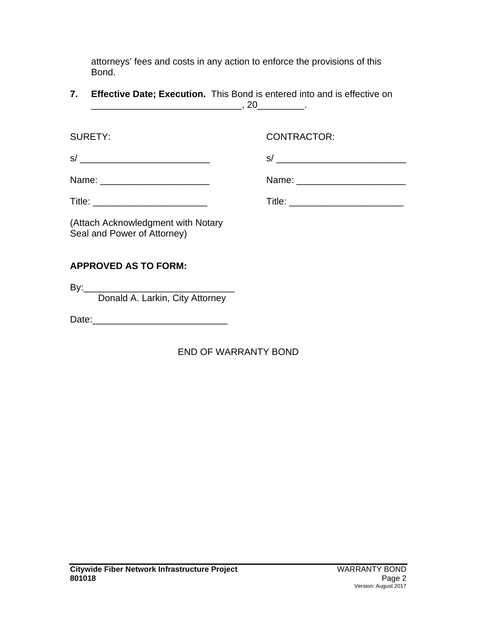attorneys' fees and costs in any action to enforce the provisions of this Bond.

**7. Effective Date; Execution.** This Bond is entered into and is effective on \_\_\_\_\_\_\_\_\_\_\_\_\_\_\_\_\_\_\_\_\_\_\_\_\_\_\_\_\_, 20\_\_\_\_\_\_\_\_\_.

SURETY: CONTRACTOR: s/ \_\_\_\_\_\_\_\_\_\_\_\_\_\_\_\_\_\_\_\_\_\_\_\_\_ s/ \_\_\_\_\_\_\_\_\_\_\_\_\_\_\_\_\_\_\_\_\_\_\_\_\_ Name: \_\_\_\_\_\_\_\_\_\_\_\_\_\_\_\_\_\_\_\_\_ Name: \_\_\_\_\_\_\_\_\_\_\_\_\_\_\_\_\_\_\_\_\_ Title: \_\_\_\_\_\_\_\_\_\_\_\_\_\_\_\_\_\_\_\_\_\_ Title: \_\_\_\_\_\_\_\_\_\_\_\_\_\_\_\_\_\_\_\_\_\_ (Attach Acknowledgment with Notary Seal and Power of Attorney) **APPROVED AS TO FORM:** By:\_\_\_\_\_\_\_\_\_\_\_\_\_\_\_\_\_\_\_\_\_\_\_\_\_\_\_\_\_

Donald A. Larkin, City Attorney

Date:\_\_\_\_\_\_\_\_\_\_\_\_\_\_\_\_\_\_\_\_\_\_\_\_\_\_

# END OF WARRANTY BOND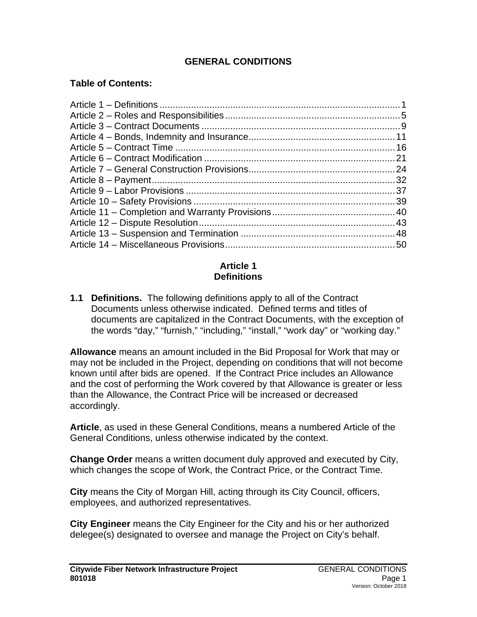### **GENERAL CONDITIONS**

### **Table of Contents:**

#### **Article 1 Definitions**

**1.1 Definitions.** The following definitions apply to all of the Contract Documents unless otherwise indicated. Defined terms and titles of documents are capitalized in the Contract Documents, with the exception of the words "day," "furnish," "including," "install," "work day" or "working day."

**Allowance** means an amount included in the Bid Proposal for Work that may or may not be included in the Project, depending on conditions that will not become known until after bids are opened. If the Contract Price includes an Allowance and the cost of performing the Work covered by that Allowance is greater or less than the Allowance, the Contract Price will be increased or decreased accordingly.

**Article**, as used in these General Conditions, means a numbered Article of the General Conditions, unless otherwise indicated by the context.

**Change Order** means a written document duly approved and executed by City, which changes the scope of Work, the Contract Price, or the Contract Time.

**City** means the City of Morgan Hill, acting through its City Council, officers, employees, and authorized representatives.

**City Engineer** means the City Engineer for the City and his or her authorized delegee(s) designated to oversee and manage the Project on City's behalf.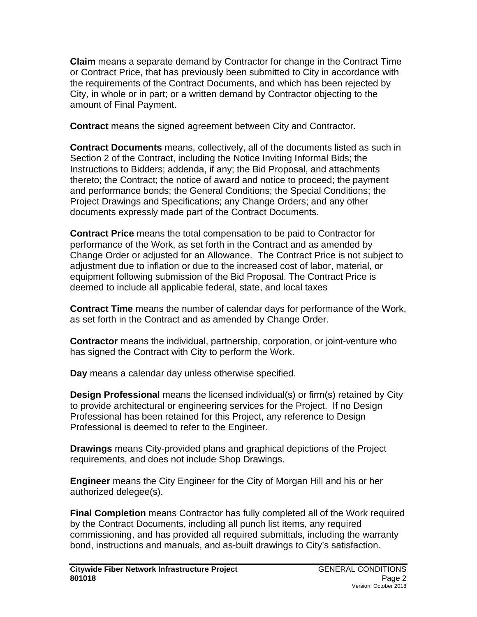**Claim** means a separate demand by Contractor for change in the Contract Time or Contract Price, that has previously been submitted to City in accordance with the requirements of the Contract Documents, and which has been rejected by City, in whole or in part; or a written demand by Contractor objecting to the amount of Final Payment.

**Contract** means the signed agreement between City and Contractor.

**Contract Documents** means, collectively, all of the documents listed as such in Section 2 of the Contract, including the Notice Inviting Informal Bids; the Instructions to Bidders; addenda, if any; the Bid Proposal, and attachments thereto; the Contract; the notice of award and notice to proceed; the payment and performance bonds; the General Conditions; the Special Conditions; the Project Drawings and Specifications; any Change Orders; and any other documents expressly made part of the Contract Documents.

**Contract Price** means the total compensation to be paid to Contractor for performance of the Work, as set forth in the Contract and as amended by Change Order or adjusted for an Allowance. The Contract Price is not subject to adjustment due to inflation or due to the increased cost of labor, material, or equipment following submission of the Bid Proposal. The Contract Price is deemed to include all applicable federal, state, and local taxes

**Contract Time** means the number of calendar days for performance of the Work, as set forth in the Contract and as amended by Change Order.

**Contractor** means the individual, partnership, corporation, or joint-venture who has signed the Contract with City to perform the Work.

**Day** means a calendar day unless otherwise specified.

**Design Professional** means the licensed individual(s) or firm(s) retained by City to provide architectural or engineering services for the Project. If no Design Professional has been retained for this Project, any reference to Design Professional is deemed to refer to the Engineer.

**Drawings** means City-provided plans and graphical depictions of the Project requirements, and does not include Shop Drawings.

**Engineer** means the City Engineer for the City of Morgan Hill and his or her authorized delegee(s).

**Final Completion** means Contractor has fully completed all of the Work required by the Contract Documents, including all punch list items, any required commissioning, and has provided all required submittals, including the warranty bond, instructions and manuals, and as-built drawings to City's satisfaction.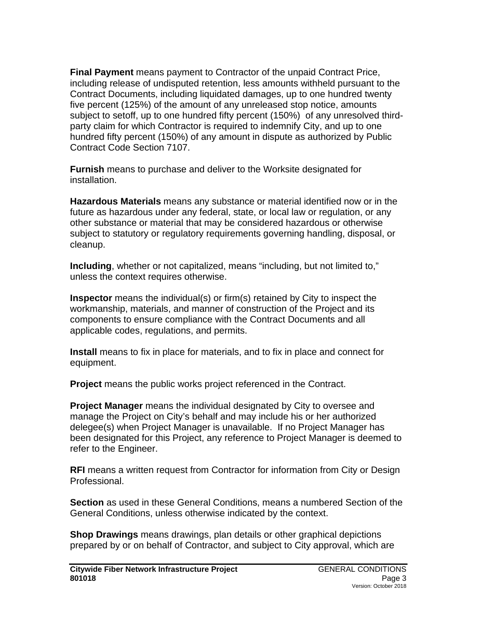**Final Payment** means payment to Contractor of the unpaid Contract Price, including release of undisputed retention, less amounts withheld pursuant to the Contract Documents, including liquidated damages, up to one hundred twenty five percent (125%) of the amount of any unreleased stop notice, amounts subject to setoff, up to one hundred fifty percent (150%) of any unresolved thirdparty claim for which Contractor is required to indemnify City, and up to one hundred fifty percent (150%) of any amount in dispute as authorized by Public Contract Code Section 7107.

**Furnish** means to purchase and deliver to the Worksite designated for installation.

**Hazardous Materials** means any substance or material identified now or in the future as hazardous under any federal, state, or local law or regulation, or any other substance or material that may be considered hazardous or otherwise subject to statutory or regulatory requirements governing handling, disposal, or cleanup.

**Including**, whether or not capitalized, means "including, but not limited to," unless the context requires otherwise.

**Inspector** means the individual(s) or firm(s) retained by City to inspect the workmanship, materials, and manner of construction of the Project and its components to ensure compliance with the Contract Documents and all applicable codes, regulations, and permits.

**Install** means to fix in place for materials, and to fix in place and connect for equipment.

**Project** means the public works project referenced in the Contract.

**Project Manager** means the individual designated by City to oversee and manage the Project on City's behalf and may include his or her authorized delegee(s) when Project Manager is unavailable. If no Project Manager has been designated for this Project, any reference to Project Manager is deemed to refer to the Engineer.

**RFI** means a written request from Contractor for information from City or Design Professional.

**Section** as used in these General Conditions, means a numbered Section of the General Conditions, unless otherwise indicated by the context.

**Shop Drawings** means drawings, plan details or other graphical depictions prepared by or on behalf of Contractor, and subject to City approval, which are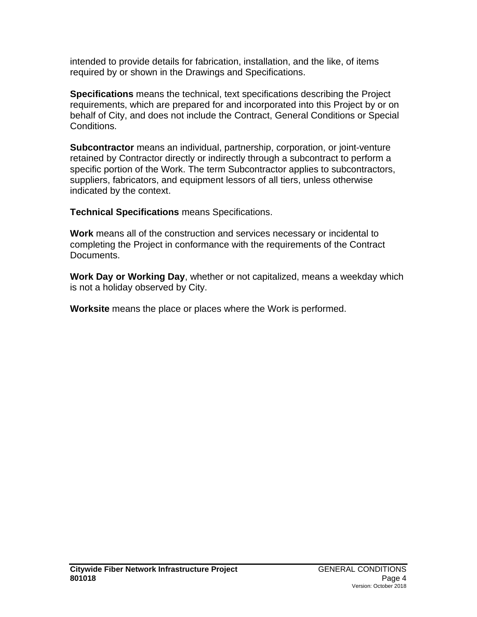intended to provide details for fabrication, installation, and the like, of items required by or shown in the Drawings and Specifications.

**Specifications** means the technical, text specifications describing the Project requirements, which are prepared for and incorporated into this Project by or on behalf of City, and does not include the Contract, General Conditions or Special Conditions.

**Subcontractor** means an individual, partnership, corporation, or joint-venture retained by Contractor directly or indirectly through a subcontract to perform a specific portion of the Work. The term Subcontractor applies to subcontractors, suppliers, fabricators, and equipment lessors of all tiers, unless otherwise indicated by the context.

**Technical Specifications** means Specifications.

**Work** means all of the construction and services necessary or incidental to completing the Project in conformance with the requirements of the Contract Documents.

**Work Day or Working Day**, whether or not capitalized, means a weekday which is not a holiday observed by City.

**Worksite** means the place or places where the Work is performed.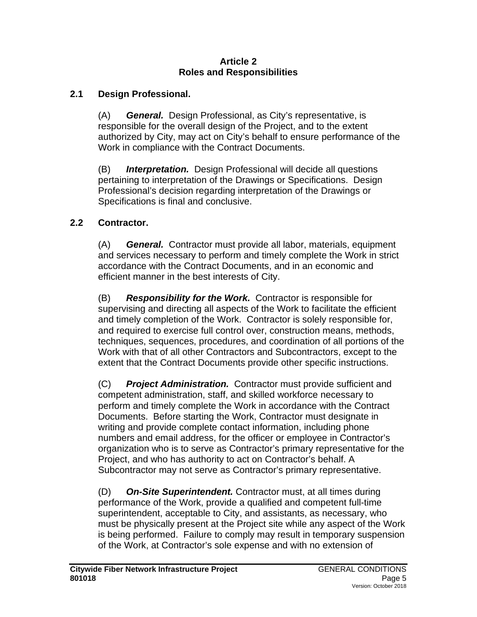#### **Article 2 Roles and Responsibilities**

### **2.1 Design Professional.**

(A) *General.* Design Professional, as City's representative, is responsible for the overall design of the Project, and to the extent authorized by City, may act on City's behalf to ensure performance of the Work in compliance with the Contract Documents.

(B) *Interpretation.* Design Professional will decide all questions pertaining to interpretation of the Drawings or Specifications. Design Professional's decision regarding interpretation of the Drawings or Specifications is final and conclusive.

## **2.2 Contractor.**

(A) *General.* Contractor must provide all labor, materials, equipment and services necessary to perform and timely complete the Work in strict accordance with the Contract Documents, and in an economic and efficient manner in the best interests of City.

(B) *Responsibility for the Work.* Contractor is responsible for supervising and directing all aspects of the Work to facilitate the efficient and timely completion of the Work. Contractor is solely responsible for, and required to exercise full control over, construction means, methods, techniques, sequences, procedures, and coordination of all portions of the Work with that of all other Contractors and Subcontractors, except to the extent that the Contract Documents provide other specific instructions.

(C) *Project Administration.* Contractor must provide sufficient and competent administration, staff, and skilled workforce necessary to perform and timely complete the Work in accordance with the Contract Documents. Before starting the Work, Contractor must designate in writing and provide complete contact information, including phone numbers and email address, for the officer or employee in Contractor's organization who is to serve as Contractor's primary representative for the Project, and who has authority to act on Contractor's behalf. A Subcontractor may not serve as Contractor's primary representative.

(D) *On-Site Superintendent.* Contractor must, at all times during performance of the Work, provide a qualified and competent full-time superintendent, acceptable to City, and assistants, as necessary, who must be physically present at the Project site while any aspect of the Work is being performed. Failure to comply may result in temporary suspension of the Work, at Contractor's sole expense and with no extension of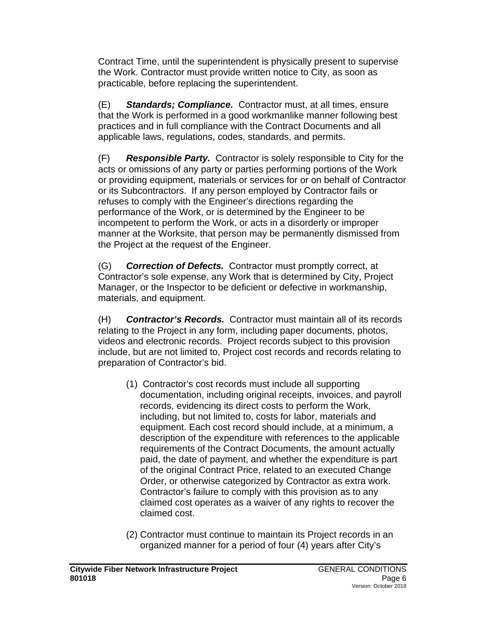Contract Time, until the superintendent is physically present to supervise the Work. Contractor must provide written notice to City, as soon as practicable, before replacing the superintendent.

(E) *Standards; Compliance.* Contractor must, at all times, ensure that the Work is performed in a good workmanlike manner following best practices and in full compliance with the Contract Documents and all applicable laws, regulations, codes, standards, and permits.

(F) *Responsible Party.* Contractor is solely responsible to City for the acts or omissions of any party or parties performing portions of the Work or providing equipment, materials or services for or on behalf of Contractor or its Subcontractors. If any person employed by Contractor fails or refuses to comply with the Engineer's directions regarding the performance of the Work, or is determined by the Engineer to be incompetent to perform the Work, or acts in a disorderly or improper manner at the Worksite, that person may be permanently dismissed from the Project at the request of the Engineer.

(G) *Correction of Defects.* Contractor must promptly correct, at Contractor's sole expense, any Work that is determined by City, Project Manager, or the Inspector to be deficient or defective in workmanship, materials, and equipment.

(H) *Contractor's Records.* Contractor must maintain all of its records relating to the Project in any form, including paper documents, photos, videos and electronic records. Project records subject to this provision include, but are not limited to, Project cost records and records relating to preparation of Contractor's bid.

- (1) Contractor's cost records must include all supporting documentation, including original receipts, invoices, and payroll records, evidencing its direct costs to perform the Work, including, but not limited to, costs for labor, materials and equipment. Each cost record should include, at a minimum, a description of the expenditure with references to the applicable requirements of the Contract Documents, the amount actually paid, the date of payment, and whether the expenditure is part of the original Contract Price, related to an executed Change Order, or otherwise categorized by Contractor as extra work. Contractor's failure to comply with this provision as to any claimed cost operates as a waiver of any rights to recover the claimed cost.
- (2) Contractor must continue to maintain its Project records in an organized manner for a period of four (4) years after City's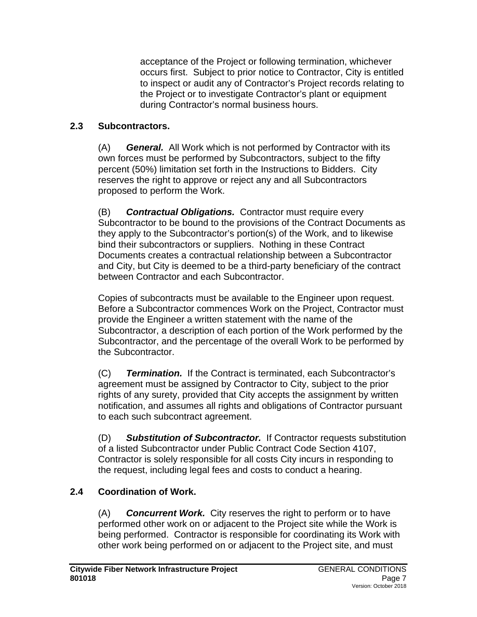acceptance of the Project or following termination, whichever occurs first. Subject to prior notice to Contractor, City is entitled to inspect or audit any of Contractor's Project records relating to the Project or to investigate Contractor's plant or equipment during Contractor's normal business hours.

### **2.3 Subcontractors.**

(A) *General.* All Work which is not performed by Contractor with its own forces must be performed by Subcontractors, subject to the fifty percent (50%) limitation set forth in the Instructions to Bidders. City reserves the right to approve or reject any and all Subcontractors proposed to perform the Work.

(B) *Contractual Obligations.* Contractor must require every Subcontractor to be bound to the provisions of the Contract Documents as they apply to the Subcontractor's portion(s) of the Work, and to likewise bind their subcontractors or suppliers. Nothing in these Contract Documents creates a contractual relationship between a Subcontractor and City, but City is deemed to be a third-party beneficiary of the contract between Contractor and each Subcontractor.

Copies of subcontracts must be available to the Engineer upon request. Before a Subcontractor commences Work on the Project, Contractor must provide the Engineer a written statement with the name of the Subcontractor, a description of each portion of the Work performed by the Subcontractor, and the percentage of the overall Work to be performed by the Subcontractor.

(C) *Termination.* If the Contract is terminated, each Subcontractor's agreement must be assigned by Contractor to City, subject to the prior rights of any surety, provided that City accepts the assignment by written notification, and assumes all rights and obligations of Contractor pursuant to each such subcontract agreement.

(D) *Substitution of Subcontractor.* If Contractor requests substitution of a listed Subcontractor under Public Contract Code Section 4107, Contractor is solely responsible for all costs City incurs in responding to the request, including legal fees and costs to conduct a hearing.

## **2.4 Coordination of Work.**

(A) *Concurrent Work.* City reserves the right to perform or to have performed other work on or adjacent to the Project site while the Work is being performed. Contractor is responsible for coordinating its Work with other work being performed on or adjacent to the Project site, and must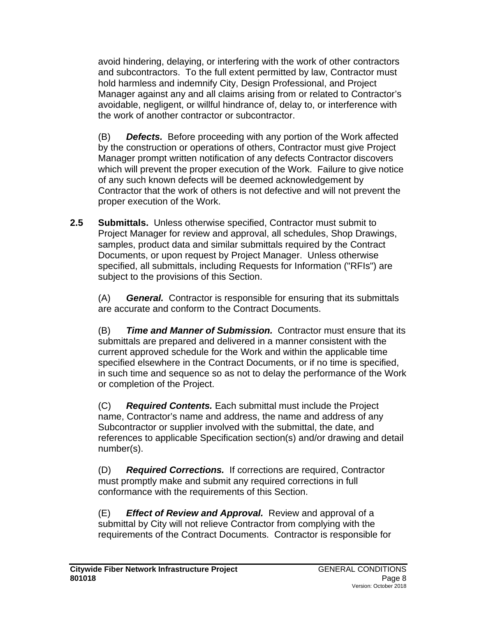avoid hindering, delaying, or interfering with the work of other contractors and subcontractors. To the full extent permitted by law, Contractor must hold harmless and indemnify City, Design Professional, and Project Manager against any and all claims arising from or related to Contractor's avoidable, negligent, or willful hindrance of, delay to, or interference with the work of another contractor or subcontractor.

(B) *Defects.* Before proceeding with any portion of the Work affected by the construction or operations of others, Contractor must give Project Manager prompt written notification of any defects Contractor discovers which will prevent the proper execution of the Work. Failure to give notice of any such known defects will be deemed acknowledgement by Contractor that the work of others is not defective and will not prevent the proper execution of the Work.

**2.5 Submittals.** Unless otherwise specified, Contractor must submit to Project Manager for review and approval, all schedules, Shop Drawings, samples, product data and similar submittals required by the Contract Documents, or upon request by Project Manager. Unless otherwise specified, all submittals, including Requests for Information ("RFIs") are subject to the provisions of this Section.

(A) *General.* Contractor is responsible for ensuring that its submittals are accurate and conform to the Contract Documents.

(B) *Time and Manner of Submission.* Contractor must ensure that its submittals are prepared and delivered in a manner consistent with the current approved schedule for the Work and within the applicable time specified elsewhere in the Contract Documents, or if no time is specified, in such time and sequence so as not to delay the performance of the Work or completion of the Project.

(C) *Required Contents.* Each submittal must include the Project name, Contractor's name and address, the name and address of any Subcontractor or supplier involved with the submittal, the date, and references to applicable Specification section(s) and/or drawing and detail number(s).

(D) *Required Corrections.* If corrections are required, Contractor must promptly make and submit any required corrections in full conformance with the requirements of this Section.

(E) *Effect of Review and Approval.* Review and approval of a submittal by City will not relieve Contractor from complying with the requirements of the Contract Documents. Contractor is responsible for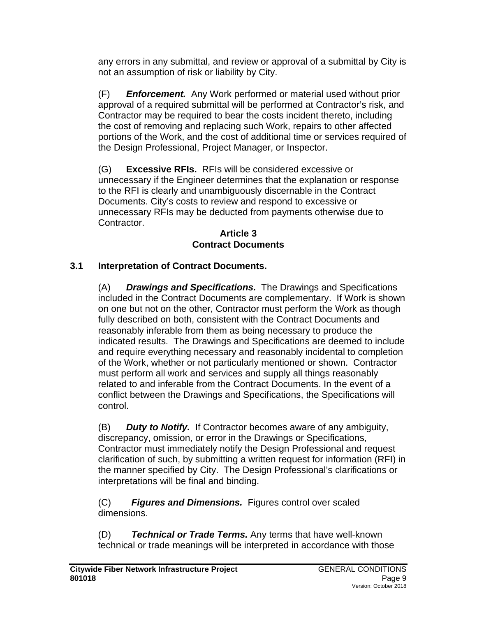any errors in any submittal, and review or approval of a submittal by City is not an assumption of risk or liability by City.

(F) *Enforcement.* Any Work performed or material used without prior approval of a required submittal will be performed at Contractor's risk, and Contractor may be required to bear the costs incident thereto, including the cost of removing and replacing such Work, repairs to other affected portions of the Work, and the cost of additional time or services required of the Design Professional, Project Manager, or Inspector.

(G) **Excessive RFIs.** RFIs will be considered excessive or unnecessary if the Engineer determines that the explanation or response to the RFI is clearly and unambiguously discernable in the Contract Documents. City's costs to review and respond to excessive or unnecessary RFIs may be deducted from payments otherwise due to Contractor.

#### **Article 3 Contract Documents**

## **3.1 Interpretation of Contract Documents.**

(A) *Drawings and Specifications.* The Drawings and Specifications included in the Contract Documents are complementary. If Work is shown on one but not on the other, Contractor must perform the Work as though fully described on both, consistent with the Contract Documents and reasonably inferable from them as being necessary to produce the indicated results. The Drawings and Specifications are deemed to include and require everything necessary and reasonably incidental to completion of the Work, whether or not particularly mentioned or shown. Contractor must perform all work and services and supply all things reasonably related to and inferable from the Contract Documents. In the event of a conflict between the Drawings and Specifications, the Specifications will control.

(B) *Duty to Notify.* If Contractor becomes aware of any ambiguity, discrepancy, omission, or error in the Drawings or Specifications, Contractor must immediately notify the Design Professional and request clarification of such, by submitting a written request for information (RFI) in the manner specified by City. The Design Professional's clarifications or interpretations will be final and binding.

(C)*Figures and Dimensions.* Figures control over scaled dimensions.

(D) *Technical or Trade Terms.* Any terms that have well-known technical or trade meanings will be interpreted in accordance with those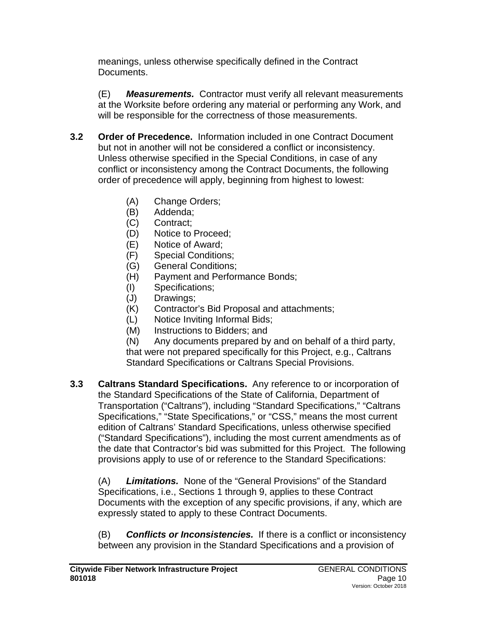meanings, unless otherwise specifically defined in the Contract Documents.

(E) *Measurements.* Contractor must verify all relevant measurements at the Worksite before ordering any material or performing any Work, and will be responsible for the correctness of those measurements.

- **3.2 Order of Precedence.** Information included in one Contract Document but not in another will not be considered a conflict or inconsistency. Unless otherwise specified in the Special Conditions, in case of any conflict or inconsistency among the Contract Documents, the following order of precedence will apply, beginning from highest to lowest:
	- (A) Change Orders;
	- (B) Addenda;
	- (C) Contract;
	- (D) Notice to Proceed;
	- (E) Notice of Award;
	- (F) Special Conditions;
	- (G) General Conditions;
	- (H) Payment and Performance Bonds;
	- (I) Specifications;
	- (J) Drawings;
	- (K) Contractor's Bid Proposal and attachments;
	- (L) Notice Inviting Informal Bids;
	- (M) Instructions to Bidders; and

(N) Any documents prepared by and on behalf of a third party, that were not prepared specifically for this Project, e.g., Caltrans Standard Specifications or Caltrans Special Provisions.

**3.3 Caltrans Standard Specifications.** Any reference to or incorporation of the Standard Specifications of the State of California, Department of Transportation ("Caltrans"), including "Standard Specifications," "Caltrans Specifications," "State Specifications," or "CSS," means the most current edition of Caltrans' Standard Specifications, unless otherwise specified ("Standard Specifications"), including the most current amendments as of the date that Contractor's bid was submitted for this Project. The following provisions apply to use of or reference to the Standard Specifications:

(A) *Limitations.* None of the "General Provisions" of the Standard Specifications, i.e., Sections 1 through 9, applies to these Contract Documents with the exception of any specific provisions, if any, which are expressly stated to apply to these Contract Documents.

(B) *Conflicts or Inconsistencies.* If there is a conflict or inconsistency between any provision in the Standard Specifications and a provision of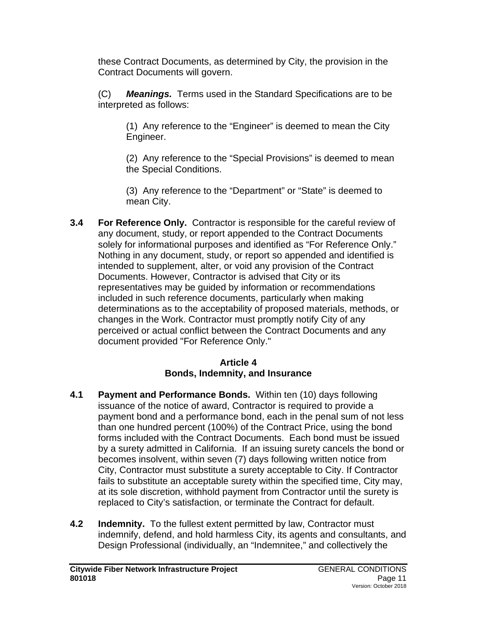these Contract Documents, as determined by City, the provision in the Contract Documents will govern.

(C) *Meanings.* Terms used in the Standard Specifications are to be interpreted as follows:

(1) Any reference to the "Engineer" is deemed to mean the City Engineer.

(2) Any reference to the "Special Provisions" is deemed to mean the Special Conditions.

(3) Any reference to the "Department" or "State" is deemed to mean City.

**3.4 For Reference Only.** Contractor is responsible for the careful review of any document, study, or report appended to the Contract Documents solely for informational purposes and identified as "For Reference Only." Nothing in any document, study, or report so appended and identified is intended to supplement, alter, or void any provision of the Contract Documents. However, Contractor is advised that City or its representatives may be guided by information or recommendations included in such reference documents, particularly when making determinations as to the acceptability of proposed materials, methods, or changes in the Work. Contractor must promptly notify City of any perceived or actual conflict between the Contract Documents and any document provided "For Reference Only."

### **Article 4 Bonds, Indemnity, and Insurance**

- **4.1 Payment and Performance Bonds.** Within ten (10) days following issuance of the notice of award, Contractor is required to provide a payment bond and a performance bond, each in the penal sum of not less than one hundred percent (100%) of the Contract Price, using the bond forms included with the Contract Documents. Each bond must be issued by a surety admitted in California. If an issuing surety cancels the bond or becomes insolvent, within seven (7) days following written notice from City, Contractor must substitute a surety acceptable to City. If Contractor fails to substitute an acceptable surety within the specified time, City may, at its sole discretion, withhold payment from Contractor until the surety is replaced to City's satisfaction, or terminate the Contract for default.
- **4.2 Indemnity.** To the fullest extent permitted by law, Contractor must indemnify, defend, and hold harmless City, its agents and consultants, and Design Professional (individually, an "Indemnitee," and collectively the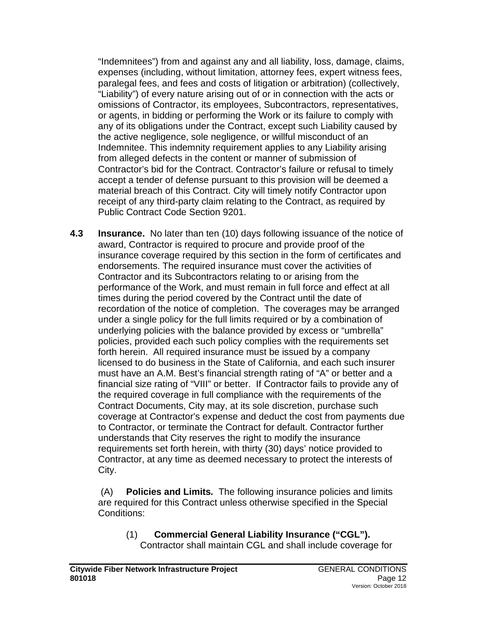"Indemnitees") from and against any and all liability, loss, damage, claims, expenses (including, without limitation, attorney fees, expert witness fees, paralegal fees, and fees and costs of litigation or arbitration) (collectively, "Liability") of every nature arising out of or in connection with the acts or omissions of Contractor, its employees, Subcontractors, representatives, or agents, in bidding or performing the Work or its failure to comply with any of its obligations under the Contract, except such Liability caused by the active negligence, sole negligence, or willful misconduct of an Indemnitee. This indemnity requirement applies to any Liability arising from alleged defects in the content or manner of submission of Contractor's bid for the Contract. Contractor's failure or refusal to timely accept a tender of defense pursuant to this provision will be deemed a material breach of this Contract. City will timely notify Contractor upon receipt of any third-party claim relating to the Contract, as required by Public Contract Code Section 9201.

**4.3 Insurance.** No later than ten (10) days following issuance of the notice of award, Contractor is required to procure and provide proof of the insurance coverage required by this section in the form of certificates and endorsements. The required insurance must cover the activities of Contractor and its Subcontractors relating to or arising from the performance of the Work, and must remain in full force and effect at all times during the period covered by the Contract until the date of recordation of the notice of completion. The coverages may be arranged under a single policy for the full limits required or by a combination of underlying policies with the balance provided by excess or "umbrella" policies, provided each such policy complies with the requirements set forth herein. All required insurance must be issued by a company licensed to do business in the State of California, and each such insurer must have an A.M. Best's financial strength rating of "A" or better and a financial size rating of "VIII" or better. If Contractor fails to provide any of the required coverage in full compliance with the requirements of the Contract Documents, City may, at its sole discretion, purchase such coverage at Contractor's expense and deduct the cost from payments due to Contractor, or terminate the Contract for default. Contractor further understands that City reserves the right to modify the insurance requirements set forth herein, with thirty (30) days' notice provided to Contractor, at any time as deemed necessary to protect the interests of City.

(A) **Policies and Limits***.* The following insurance policies and limits are required for this Contract unless otherwise specified in the Special Conditions:

(1) **Commercial General Liability Insurance ("CGL").** Contractor shall maintain CGL and shall include coverage for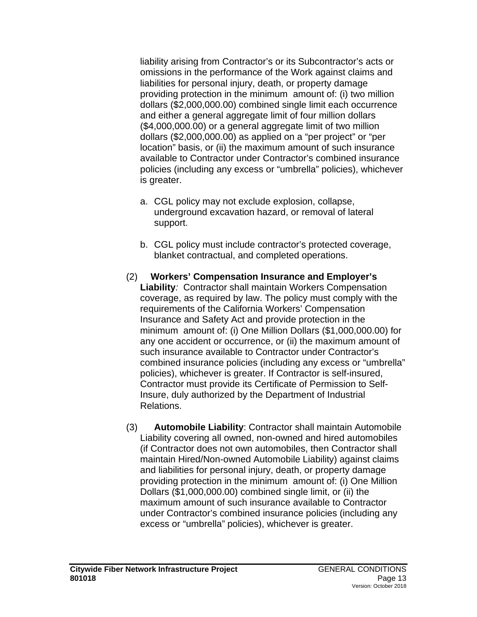liability arising from Contractor's or its Subcontractor's acts or omissions in the performance of the Work against claims and liabilities for personal injury, death, or property damage providing protection in the minimum amount of: (i) two million dollars (\$2,000,000.00) combined single limit each occurrence and either a general aggregate limit of four million dollars (\$4,000,000.00) or a general aggregate limit of two million dollars (\$2,000,000.00) as applied on a "per project" or "per location" basis, or (ii) the maximum amount of such insurance available to Contractor under Contractor's combined insurance policies (including any excess or "umbrella" policies), whichever is greater.

- a. CGL policy may not exclude explosion, collapse, underground excavation hazard, or removal of lateral support.
- b. CGL policy must include contractor's protected coverage, blanket contractual, and completed operations.
- (2) **Workers' Compensation Insurance and Employer's Liability***:* Contractor shall maintain Workers Compensation coverage, as required by law. The policy must comply with the requirements of the California Workers' Compensation Insurance and Safety Act and provide protection in the minimum amount of: (i) One Million Dollars (\$1,000,000.00) for any one accident or occurrence, or (ii) the maximum amount of such insurance available to Contractor under Contractor's combined insurance policies (including any excess or "umbrella" policies), whichever is greater. If Contractor is self-insured, Contractor must provide its Certificate of Permission to Self-Insure, duly authorized by the Department of Industrial Relations.
- (3) **Automobile Liability**: Contractor shall maintain Automobile Liability covering all owned, non-owned and hired automobiles (if Contractor does not own automobiles, then Contractor shall maintain Hired/Non-owned Automobile Liability) against claims and liabilities for personal injury, death, or property damage providing protection in the minimum amount of: (i) One Million Dollars (\$1,000,000.00) combined single limit, or (ii) the maximum amount of such insurance available to Contractor under Contractor's combined insurance policies (including any excess or "umbrella" policies), whichever is greater.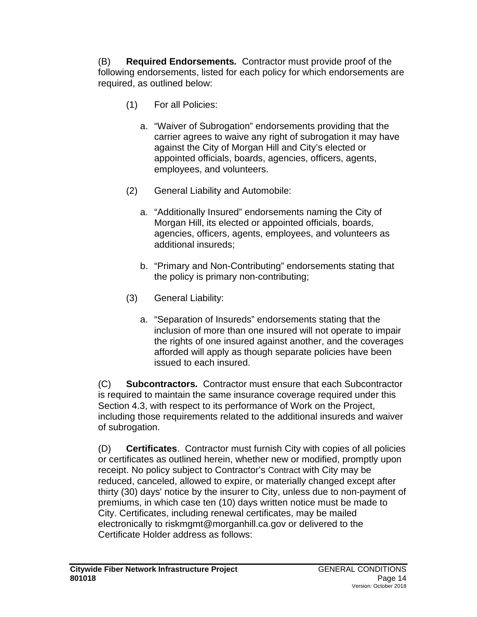(B) **Required Endorsements***.* Contractor must provide proof of the following endorsements, listed for each policy for which endorsements are required, as outlined below:

- (1) For all Policies:
	- a. "Waiver of Subrogation" endorsements providing that the carrier agrees to waive any right of subrogation it may have against the City of Morgan Hill and City's elected or appointed officials, boards, agencies, officers, agents, employees, and volunteers.
- (2) General Liability and Automobile:
	- a. "Additionally Insured" endorsements naming the City of Morgan Hill, its elected or appointed officials, boards, agencies, officers, agents, employees, and volunteers as additional insureds;
	- b. "Primary and Non-Contributing" endorsements stating that the policy is primary non-contributing;
- (3) General Liability:
	- a. "Separation of Insureds" endorsements stating that the inclusion of more than one insured will not operate to impair the rights of one insured against another, and the coverages afforded will apply as though separate policies have been issued to each insured.

(C) **Subcontractors***.* Contractor must ensure that each Subcontractor is required to maintain the same insurance coverage required under this Section 4.3, with respect to its performance of Work on the Project, including those requirements related to the additional insureds and waiver of subrogation.

(D) **Certificates**. Contractor must furnish City with copies of all policies or certificates as outlined herein, whether new or modified, promptly upon receipt. No policy subject to Contractor's Contract with City may be reduced, canceled, allowed to expire, or materially changed except after thirty (30) days' notice by the insurer to City, unless due to non-payment of premiums, in which case ten (10) days written notice must be made to City. Certificates, including renewal certificates, may be mailed electronically to riskmgmt@morganhill.ca.gov or delivered to the Certificate Holder address as follows: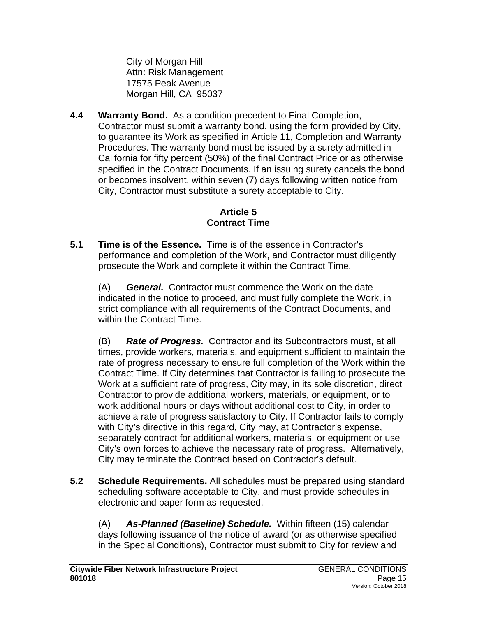City of Morgan Hill Attn: Risk Management 17575 Peak Avenue Morgan Hill, CA 95037

**4.4 Warranty Bond.** As a condition precedent to Final Completion, Contractor must submit a warranty bond, using the form provided by City, to guarantee its Work as specified in Article 11, Completion and Warranty Procedures. The warranty bond must be issued by a surety admitted in California for fifty percent (50%) of the final Contract Price or as otherwise specified in the Contract Documents. If an issuing surety cancels the bond or becomes insolvent, within seven (7) days following written notice from City, Contractor must substitute a surety acceptable to City.

### **Article 5 Contract Time**

**5.1 Time is of the Essence.** Time is of the essence in Contractor's performance and completion of the Work, and Contractor must diligently prosecute the Work and complete it within the Contract Time.

(A) *General.* Contractor must commence the Work on the date indicated in the notice to proceed, and must fully complete the Work, in strict compliance with all requirements of the Contract Documents, and within the Contract Time.

(B) *Rate of Progress.* Contractor and its Subcontractors must, at all times, provide workers, materials, and equipment sufficient to maintain the rate of progress necessary to ensure full completion of the Work within the Contract Time. If City determines that Contractor is failing to prosecute the Work at a sufficient rate of progress, City may, in its sole discretion, direct Contractor to provide additional workers, materials, or equipment, or to work additional hours or days without additional cost to City, in order to achieve a rate of progress satisfactory to City. If Contractor fails to comply with City's directive in this regard, City may, at Contractor's expense, separately contract for additional workers, materials, or equipment or use City's own forces to achieve the necessary rate of progress. Alternatively, City may terminate the Contract based on Contractor's default.

**5.2 Schedule Requirements.** All schedules must be prepared using standard scheduling software acceptable to City, and must provide schedules in electronic and paper form as requested.

(A) *As-Planned (Baseline) Schedule.* Within fifteen (15) calendar days following issuance of the notice of award (or as otherwise specified in the Special Conditions), Contractor must submit to City for review and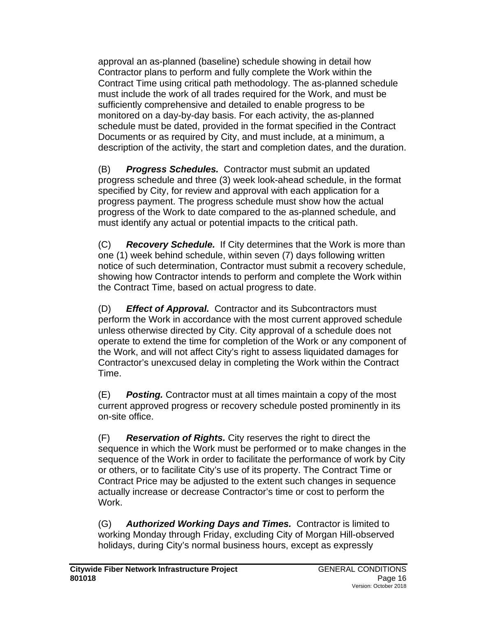approval an as-planned (baseline) schedule showing in detail how Contractor plans to perform and fully complete the Work within the Contract Time using critical path methodology. The as-planned schedule must include the work of all trades required for the Work, and must be sufficiently comprehensive and detailed to enable progress to be monitored on a day-by-day basis. For each activity, the as-planned schedule must be dated, provided in the format specified in the Contract Documents or as required by City, and must include, at a minimum, a description of the activity, the start and completion dates, and the duration.

(B) *Progress Schedules.* Contractor must submit an updated progress schedule and three (3) week look-ahead schedule, in the format specified by City, for review and approval with each application for a progress payment. The progress schedule must show how the actual progress of the Work to date compared to the as-planned schedule, and must identify any actual or potential impacts to the critical path.

(C) *Recovery Schedule.* If City determines that the Work is more than one (1) week behind schedule, within seven (7) days following written notice of such determination, Contractor must submit a recovery schedule, showing how Contractor intends to perform and complete the Work within the Contract Time, based on actual progress to date.

(D) *Effect of Approval.* Contractor and its Subcontractors must perform the Work in accordance with the most current approved schedule unless otherwise directed by City. City approval of a schedule does not operate to extend the time for completion of the Work or any component of the Work, and will not affect City's right to assess liquidated damages for Contractor's unexcused delay in completing the Work within the Contract Time.

(E) *Posting.* Contractor must at all times maintain a copy of the most current approved progress or recovery schedule posted prominently in its on-site office.

(F) *Reservation of Rights.* City reserves the right to direct the sequence in which the Work must be performed or to make changes in the sequence of the Work in order to facilitate the performance of work by City or others, or to facilitate City's use of its property. The Contract Time or Contract Price may be adjusted to the extent such changes in sequence actually increase or decrease Contractor's time or cost to perform the Work.

(G) *Authorized Working Days and Times.* Contractor is limited to working Monday through Friday, excluding City of Morgan Hill-observed holidays, during City's normal business hours, except as expressly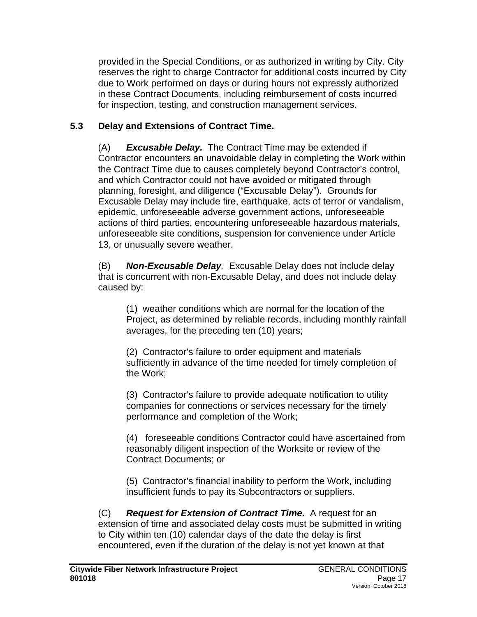provided in the Special Conditions, or as authorized in writing by City. City reserves the right to charge Contractor for additional costs incurred by City due to Work performed on days or during hours not expressly authorized in these Contract Documents, including reimbursement of costs incurred for inspection, testing, and construction management services.

## **5.3 Delay and Extensions of Contract Time.**

(A) *Excusable Delay.* The Contract Time may be extended if Contractor encounters an unavoidable delay in completing the Work within the Contract Time due to causes completely beyond Contractor's control, and which Contractor could not have avoided or mitigated through planning, foresight, and diligence ("Excusable Delay"). Grounds for Excusable Delay may include fire, earthquake, acts of terror or vandalism, epidemic, unforeseeable adverse government actions, unforeseeable actions of third parties, encountering unforeseeable hazardous materials, unforeseeable site conditions, suspension for convenience under Article 13, or unusually severe weather.

(B) *Non-Excusable Delay.* Excusable Delay does not include delay that is concurrent with non-Excusable Delay, and does not include delay caused by:

(1) weather conditions which are normal for the location of the Project, as determined by reliable records, including monthly rainfall averages, for the preceding ten (10) years;

(2) Contractor's failure to order equipment and materials sufficiently in advance of the time needed for timely completion of the Work;

(3) Contractor's failure to provide adequate notification to utility companies for connections or services necessary for the timely performance and completion of the Work;

(4) foreseeable conditions Contractor could have ascertained from reasonably diligent inspection of the Worksite or review of the Contract Documents; or

(5) Contractor's financial inability to perform the Work, including insufficient funds to pay its Subcontractors or suppliers.

(C) *Request for Extension of Contract Time.* A request for an extension of time and associated delay costs must be submitted in writing to City within ten (10) calendar days of the date the delay is first encountered, even if the duration of the delay is not yet known at that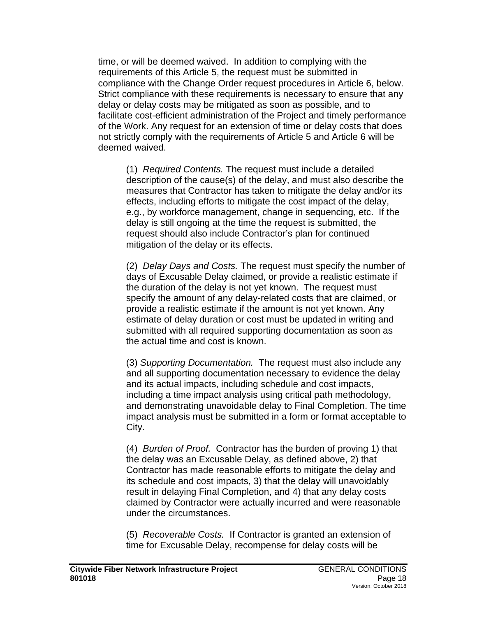time, or will be deemed waived. In addition to complying with the requirements of this Article 5, the request must be submitted in compliance with the Change Order request procedures in Article 6, below. Strict compliance with these requirements is necessary to ensure that any delay or delay costs may be mitigated as soon as possible, and to facilitate cost-efficient administration of the Project and timely performance of the Work. Any request for an extension of time or delay costs that does not strictly comply with the requirements of Article 5 and Article 6 will be deemed waived.

(1) *Required Contents.* The request must include a detailed description of the cause(s) of the delay, and must also describe the measures that Contractor has taken to mitigate the delay and/or its effects, including efforts to mitigate the cost impact of the delay, e.g., by workforce management, change in sequencing, etc. If the delay is still ongoing at the time the request is submitted, the request should also include Contractor's plan for continued mitigation of the delay or its effects.

(2) *Delay Days and Costs.* The request must specify the number of days of Excusable Delay claimed, or provide a realistic estimate if the duration of the delay is not yet known. The request must specify the amount of any delay-related costs that are claimed, or provide a realistic estimate if the amount is not yet known. Any estimate of delay duration or cost must be updated in writing and submitted with all required supporting documentation as soon as the actual time and cost is known.

(3) *Supporting Documentation.* The request must also include any and all supporting documentation necessary to evidence the delay and its actual impacts, including schedule and cost impacts, including a time impact analysis using critical path methodology, and demonstrating unavoidable delay to Final Completion. The time impact analysis must be submitted in a form or format acceptable to City.

(4) *Burden of Proof.* Contractor has the burden of proving 1) that the delay was an Excusable Delay, as defined above, 2) that Contractor has made reasonable efforts to mitigate the delay and its schedule and cost impacts, 3) that the delay will unavoidably result in delaying Final Completion, and 4) that any delay costs claimed by Contractor were actually incurred and were reasonable under the circumstances.

(5) *Recoverable Costs.* If Contractor is granted an extension of time for Excusable Delay, recompense for delay costs will be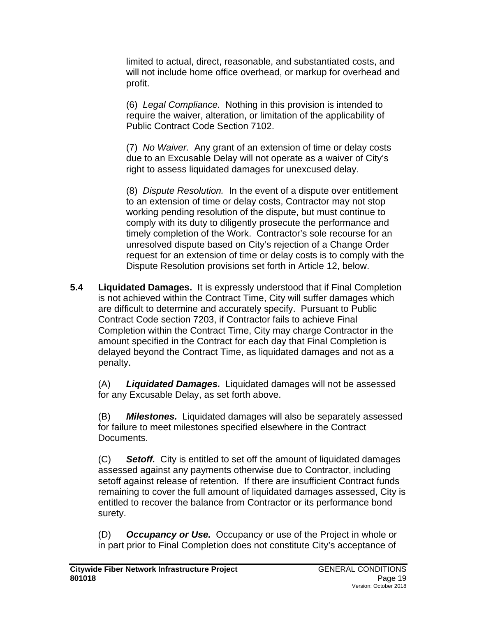limited to actual, direct, reasonable, and substantiated costs, and will not include home office overhead, or markup for overhead and profit.

(6) *Legal Compliance.* Nothing in this provision is intended to require the waiver, alteration, or limitation of the applicability of Public Contract Code Section 7102.

(7) *No Waiver.* Any grant of an extension of time or delay costs due to an Excusable Delay will not operate as a waiver of City's right to assess liquidated damages for unexcused delay.

(8) *Dispute Resolution.* In the event of a dispute over entitlement to an extension of time or delay costs, Contractor may not stop working pending resolution of the dispute, but must continue to comply with its duty to diligently prosecute the performance and timely completion of the Work. Contractor's sole recourse for an unresolved dispute based on City's rejection of a Change Order request for an extension of time or delay costs is to comply with the Dispute Resolution provisions set forth in Article 12, below.

**5.4 Liquidated Damages.** It is expressly understood that if Final Completion is not achieved within the Contract Time, City will suffer damages which are difficult to determine and accurately specify. Pursuant to Public Contract Code section 7203, if Contractor fails to achieve Final Completion within the Contract Time, City may charge Contractor in the amount specified in the Contract for each day that Final Completion is delayed beyond the Contract Time, as liquidated damages and not as a penalty.

(A) *Liquidated Damages.* Liquidated damages will not be assessed for any Excusable Delay, as set forth above.

(B) *Milestones.* Liquidated damages will also be separately assessed for failure to meet milestones specified elsewhere in the Contract Documents.

(C) *Setoff.* City is entitled to set off the amount of liquidated damages assessed against any payments otherwise due to Contractor, including setoff against release of retention. If there are insufficient Contract funds remaining to cover the full amount of liquidated damages assessed, City is entitled to recover the balance from Contractor or its performance bond surety.

(D) *Occupancy or Use.* Occupancy or use of the Project in whole or in part prior to Final Completion does not constitute City's acceptance of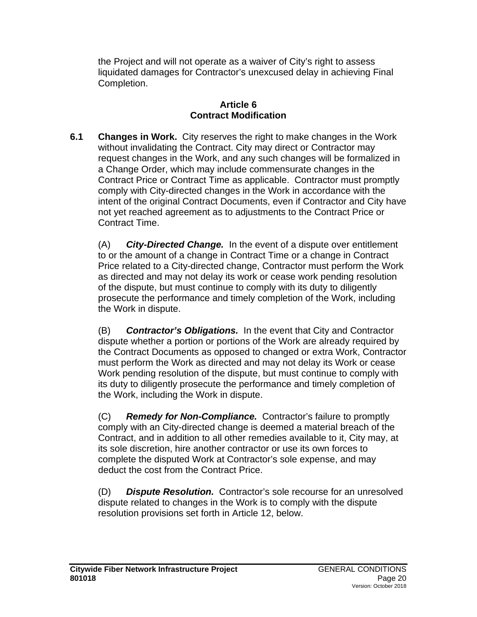the Project and will not operate as a waiver of City's right to assess liquidated damages for Contractor's unexcused delay in achieving Final Completion.

#### **Article 6 Contract Modification**

**6.1 Changes in Work.** City reserves the right to make changes in the Work without invalidating the Contract. City may direct or Contractor may request changes in the Work, and any such changes will be formalized in a Change Order, which may include commensurate changes in the Contract Price or Contract Time as applicable. Contractor must promptly comply with City-directed changes in the Work in accordance with the intent of the original Contract Documents, even if Contractor and City have not yet reached agreement as to adjustments to the Contract Price or Contract Time.

(A) *City-Directed Change.* In the event of a dispute over entitlement to or the amount of a change in Contract Time or a change in Contract Price related to a City-directed change, Contractor must perform the Work as directed and may not delay its work or cease work pending resolution of the dispute, but must continue to comply with its duty to diligently prosecute the performance and timely completion of the Work, including the Work in dispute.

(B) *Contractor's Obligations.* In the event that City and Contractor dispute whether a portion or portions of the Work are already required by the Contract Documents as opposed to changed or extra Work, Contractor must perform the Work as directed and may not delay its Work or cease Work pending resolution of the dispute, but must continue to comply with its duty to diligently prosecute the performance and timely completion of the Work, including the Work in dispute.

(C) *Remedy for Non-Compliance.* Contractor's failure to promptly comply with an City-directed change is deemed a material breach of the Contract, and in addition to all other remedies available to it, City may, at its sole discretion, hire another contractor or use its own forces to complete the disputed Work at Contractor's sole expense, and may deduct the cost from the Contract Price.

(D) *Dispute Resolution.* Contractor's sole recourse for an unresolved dispute related to changes in the Work is to comply with the dispute resolution provisions set forth in Article 12, below.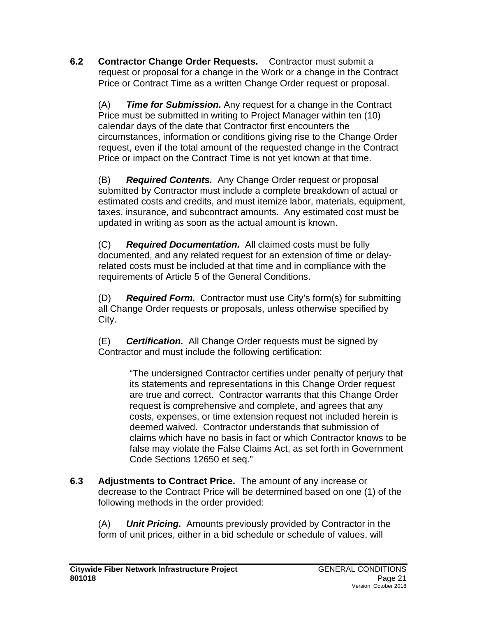**6.2 Contractor Change Order Requests.** Contractor must submit a request or proposal for a change in the Work or a change in the Contract Price or Contract Time as a written Change Order request or proposal.

(A) *Time for Submission.* Any request for a change in the Contract Price must be submitted in writing to Project Manager within ten (10) calendar days of the date that Contractor first encounters the circumstances, information or conditions giving rise to the Change Order request, even if the total amount of the requested change in the Contract Price or impact on the Contract Time is not yet known at that time.

(B) *Required Contents.* Any Change Order request or proposal submitted by Contractor must include a complete breakdown of actual or estimated costs and credits, and must itemize labor, materials, equipment, taxes, insurance, and subcontract amounts. Any estimated cost must be updated in writing as soon as the actual amount is known.

(C) *Required Documentation.* All claimed costs must be fully documented, and any related request for an extension of time or delayrelated costs must be included at that time and in compliance with the requirements of Article 5 of the General Conditions.

(D) *Required Form.* Contractor must use City's form(s) for submitting all Change Order requests or proposals, unless otherwise specified by City.

(E) *Certification.* All Change Order requests must be signed by Contractor and must include the following certification:

> "The undersigned Contractor certifies under penalty of perjury that its statements and representations in this Change Order request are true and correct. Contractor warrants that this Change Order request is comprehensive and complete, and agrees that any costs, expenses, or time extension request not included herein is deemed waived. Contractor understands that submission of claims which have no basis in fact or which Contractor knows to be false may violate the False Claims Act, as set forth in Government Code Sections 12650 et seq."

**6.3 Adjustments to Contract Price.** The amount of any increase or decrease to the Contract Price will be determined based on one (1) of the following methods in the order provided:

(A) *Unit Pricing.* Amounts previously provided by Contractor in the form of unit prices, either in a bid schedule or schedule of values, will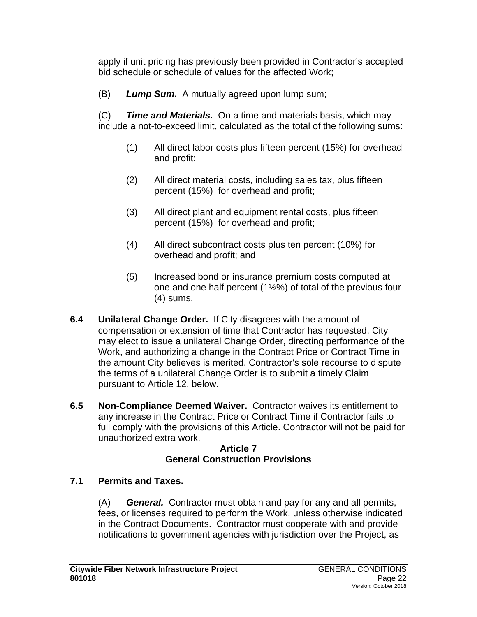apply if unit pricing has previously been provided in Contractor's accepted bid schedule or schedule of values for the affected Work;

(B) *Lump Sum.* A mutually agreed upon lump sum;

(C) *Time and Materials.* On a time and materials basis, which may include a not-to-exceed limit, calculated as the total of the following sums:

- (1) All direct labor costs plus fifteen percent (15%) for overhead and profit;
- (2) All direct material costs, including sales tax, plus fifteen percent (15%) for overhead and profit;
- (3) All direct plant and equipment rental costs, plus fifteen percent (15%) for overhead and profit;
- (4) All direct subcontract costs plus ten percent (10%) for overhead and profit; and
- (5) Increased bond or insurance premium costs computed at one and one half percent (1½%) of total of the previous four (4) sums.
- **6.4 Unilateral Change Order.**If City disagrees with the amount of compensation or extension of time that Contractor has requested, City may elect to issue a unilateral Change Order, directing performance of the Work, and authorizing a change in the Contract Price or Contract Time in the amount City believes is merited. Contractor's sole recourse to dispute the terms of a unilateral Change Order is to submit a timely Claim pursuant to Article 12, below.
- **6.5 Non-Compliance Deemed Waiver.** Contractor waives its entitlement to any increase in the Contract Price or Contract Time if Contractor fails to full comply with the provisions of this Article. Contractor will not be paid for unauthorized extra work.

### **Article 7 General Construction Provisions**

## **7.1 Permits and Taxes.**

(A) *General.* Contractor must obtain and pay for any and all permits, fees, or licenses required to perform the Work, unless otherwise indicated in the Contract Documents. Contractor must cooperate with and provide notifications to government agencies with jurisdiction over the Project, as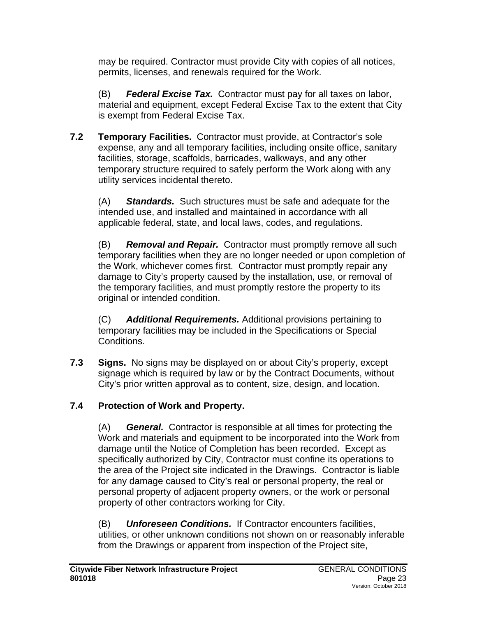may be required. Contractor must provide City with copies of all notices, permits, licenses, and renewals required for the Work.

(B) *Federal Excise Tax.* Contractor must pay for all taxes on labor, material and equipment, except Federal Excise Tax to the extent that City is exempt from Federal Excise Tax.

**7.2 Temporary Facilities.** Contractor must provide, at Contractor's sole expense, any and all temporary facilities, including onsite office, sanitary facilities, storage, scaffolds, barricades, walkways, and any other temporary structure required to safely perform the Work along with any utility services incidental thereto.

(A) *Standards.* Such structures must be safe and adequate for the intended use, and installed and maintained in accordance with all applicable federal, state, and local laws, codes, and regulations.

(B) *Removal and Repair.* Contractor must promptly remove all such temporary facilities when they are no longer needed or upon completion of the Work, whichever comes first. Contractor must promptly repair any damage to City's property caused by the installation, use, or removal of the temporary facilities, and must promptly restore the property to its original or intended condition.

(C) *Additional Requirements.* Additional provisions pertaining to temporary facilities may be included in the Specifications or Special Conditions.

**7.3 Signs.** No signs may be displayed on or about City's property, except signage which is required by law or by the Contract Documents, without City's prior written approval as to content, size, design, and location.

# **7.4 Protection of Work and Property.**

(A) *General.* Contractor is responsible at all times for protecting the Work and materials and equipment to be incorporated into the Work from damage until the Notice of Completion has been recorded. Except as specifically authorized by City, Contractor must confine its operations to the area of the Project site indicated in the Drawings. Contractor is liable for any damage caused to City's real or personal property, the real or personal property of adjacent property owners, or the work or personal property of other contractors working for City.

(B) *Unforeseen Conditions.* If Contractor encounters facilities, utilities, or other unknown conditions not shown on or reasonably inferable from the Drawings or apparent from inspection of the Project site,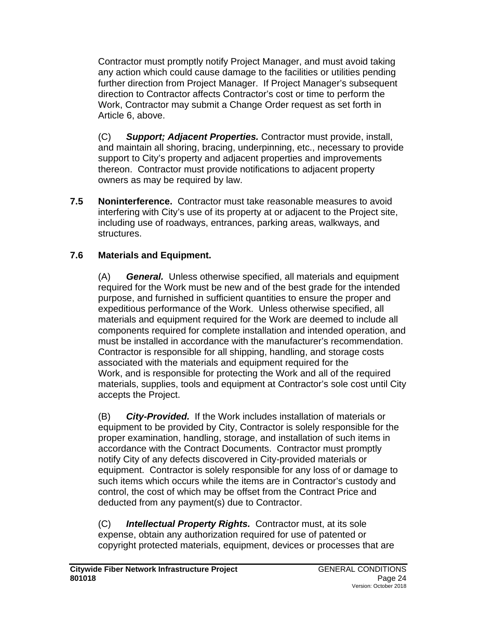Contractor must promptly notify Project Manager, and must avoid taking any action which could cause damage to the facilities or utilities pending further direction from Project Manager. If Project Manager's subsequent direction to Contractor affects Contractor's cost or time to perform the Work, Contractor may submit a Change Order request as set forth in Article 6, above.

(C) *Support; Adjacent Properties.* Contractor must provide, install, and maintain all shoring, bracing, underpinning, etc., necessary to provide support to City's property and adjacent properties and improvements thereon. Contractor must provide notifications to adjacent property owners as may be required by law.

**7.5 Noninterference.** Contractor must take reasonable measures to avoid interfering with City's use of its property at or adjacent to the Project site, including use of roadways, entrances, parking areas, walkways, and structures.

## **7.6 Materials and Equipment.**

(A) *General.* Unless otherwise specified, all materials and equipment required for the Work must be new and of the best grade for the intended purpose, and furnished in sufficient quantities to ensure the proper and expeditious performance of the Work. Unless otherwise specified, all materials and equipment required for the Work are deemed to include all components required for complete installation and intended operation, and must be installed in accordance with the manufacturer's recommendation. Contractor is responsible for all shipping, handling, and storage costs associated with the materials and equipment required for the Work, and is responsible for protecting the Work and all of the required materials, supplies, tools and equipment at Contractor's sole cost until City accepts the Project.

(B) *City-Provided.* If the Work includes installation of materials or equipment to be provided by City, Contractor is solely responsible for the proper examination, handling, storage, and installation of such items in accordance with the Contract Documents. Contractor must promptly notify City of any defects discovered in City-provided materials or equipment. Contractor is solely responsible for any loss of or damage to such items which occurs while the items are in Contractor's custody and control, the cost of which may be offset from the Contract Price and deducted from any payment(s) due to Contractor.

(C) *Intellectual Property Rights.* Contractor must, at its sole expense, obtain any authorization required for use of patented or copyright protected materials, equipment, devices or processes that are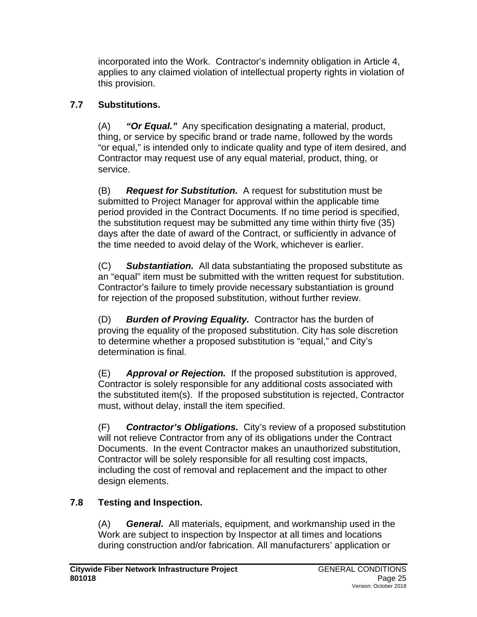incorporated into the Work. Contractor's indemnity obligation in Article 4, applies to any claimed violation of intellectual property rights in violation of this provision.

# **7.7 Substitutions.**

(A) *"Or Equal."* Any specification designating a material, product, thing, or service by specific brand or trade name, followed by the words "or equal," is intended only to indicate quality and type of item desired, and Contractor may request use of any equal material, product, thing, or service.

(B) *Request for Substitution.* A request for substitution must be submitted to Project Manager for approval within the applicable time period provided in the Contract Documents. If no time period is specified, the substitution request may be submitted any time within thirty five (35) days after the date of award of the Contract, or sufficiently in advance of the time needed to avoid delay of the Work, whichever is earlier.

(C) *Substantiation.* All data substantiating the proposed substitute as an "equal" item must be submitted with the written request for substitution. Contractor's failure to timely provide necessary substantiation is ground for rejection of the proposed substitution, without further review.

(D) *Burden of Proving Equality.* Contractor has the burden of proving the equality of the proposed substitution. City has sole discretion to determine whether a proposed substitution is "equal," and City's determination is final.

(E) *Approval or Rejection.* If the proposed substitution is approved, Contractor is solely responsible for any additional costs associated with the substituted item(s). If the proposed substitution is rejected, Contractor must, without delay, install the item specified.

(F) *Contractor's Obligations.* City's review of a proposed substitution will not relieve Contractor from any of its obligations under the Contract Documents. In the event Contractor makes an unauthorized substitution, Contractor will be solely responsible for all resulting cost impacts, including the cost of removal and replacement and the impact to other design elements.

# **7.8 Testing and Inspection.**

(A) *General.* All materials, equipment, and workmanship used in the Work are subject to inspection by Inspector at all times and locations during construction and/or fabrication. All manufacturers' application or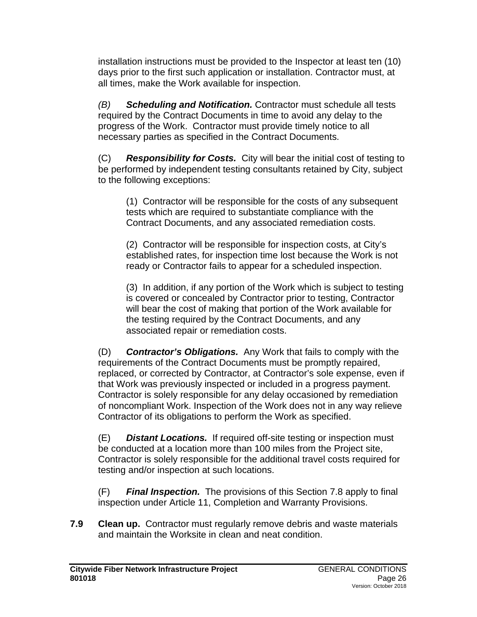installation instructions must be provided to the Inspector at least ten (10) days prior to the first such application or installation. Contractor must, at all times, make the Work available for inspection.

*(B) Scheduling and Notification.* Contractor must schedule all tests required by the Contract Documents in time to avoid any delay to the progress of the Work. Contractor must provide timely notice to all necessary parties as specified in the Contract Documents.

(C) *Responsibility for Costs.* City will bear the initial cost of testing to be performed by independent testing consultants retained by City, subject to the following exceptions:

(1) Contractor will be responsible for the costs of any subsequent tests which are required to substantiate compliance with the Contract Documents, and any associated remediation costs.

(2) Contractor will be responsible for inspection costs, at City's established rates, for inspection time lost because the Work is not ready or Contractor fails to appear for a scheduled inspection.

(3) In addition, if any portion of the Work which is subject to testing is covered or concealed by Contractor prior to testing, Contractor will bear the cost of making that portion of the Work available for the testing required by the Contract Documents, and any associated repair or remediation costs.

(D) *Contractor's Obligations.* Any Work that fails to comply with the requirements of the Contract Documents must be promptly repaired, replaced, or corrected by Contractor, at Contractor's sole expense, even if that Work was previously inspected or included in a progress payment. Contractor is solely responsible for any delay occasioned by remediation of noncompliant Work. Inspection of the Work does not in any way relieve Contractor of its obligations to perform the Work as specified.

(E) *Distant Locations.* If required off-site testing or inspection must be conducted at a location more than 100 miles from the Project site, Contractor is solely responsible for the additional travel costs required for testing and/or inspection at such locations.

(F) *Final Inspection.* The provisions of this Section 7.8 apply to final inspection under Article 11, Completion and Warranty Provisions.

**7.9 Clean up.** Contractor must regularly remove debris and waste materials and maintain the Worksite in clean and neat condition.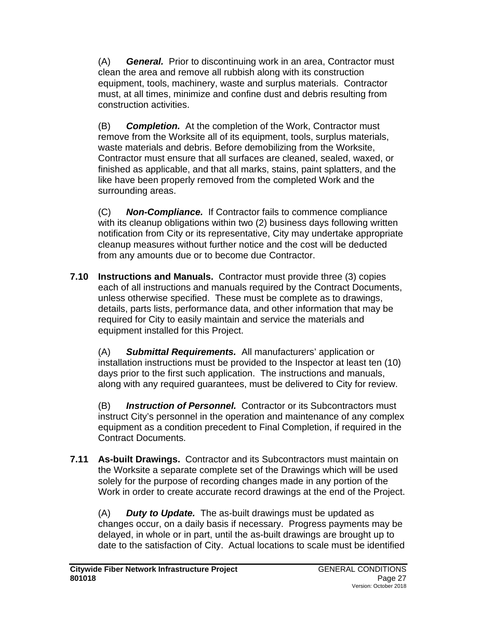(A) *General.* Prior to discontinuing work in an area, Contractor must clean the area and remove all rubbish along with its construction equipment, tools, machinery, waste and surplus materials. Contractor must, at all times, minimize and confine dust and debris resulting from construction activities.

(B) *Completion.* At the completion of the Work, Contractor must remove from the Worksite all of its equipment, tools, surplus materials, waste materials and debris. Before demobilizing from the Worksite, Contractor must ensure that all surfaces are cleaned, sealed, waxed, or finished as applicable, and that all marks, stains, paint splatters, and the like have been properly removed from the completed Work and the surrounding areas.

(C) *Non-Compliance.* If Contractor fails to commence compliance with its cleanup obligations within two (2) business days following written notification from City or its representative, City may undertake appropriate cleanup measures without further notice and the cost will be deducted from any amounts due or to become due Contractor.

**7.10 Instructions and Manuals.** Contractor must provide three (3) copies each of all instructions and manuals required by the Contract Documents, unless otherwise specified. These must be complete as to drawings, details, parts lists, performance data, and other information that may be required for City to easily maintain and service the materials and equipment installed for this Project.

(A) *Submittal Requirements.* All manufacturers' application or installation instructions must be provided to the Inspector at least ten (10) days prior to the first such application. The instructions and manuals, along with any required guarantees, must be delivered to City for review.

(B) *Instruction of Personnel.* Contractor or its Subcontractors must instruct City's personnel in the operation and maintenance of any complex equipment as a condition precedent to Final Completion, if required in the Contract Documents.

**7.11 As-built Drawings.** Contractor and its Subcontractors must maintain on the Worksite a separate complete set of the Drawings which will be used solely for the purpose of recording changes made in any portion of the Work in order to create accurate record drawings at the end of the Project.

(A) *Duty to Update.* The as-built drawings must be updated as changes occur, on a daily basis if necessary. Progress payments may be delayed, in whole or in part, until the as-built drawings are brought up to date to the satisfaction of City. Actual locations to scale must be identified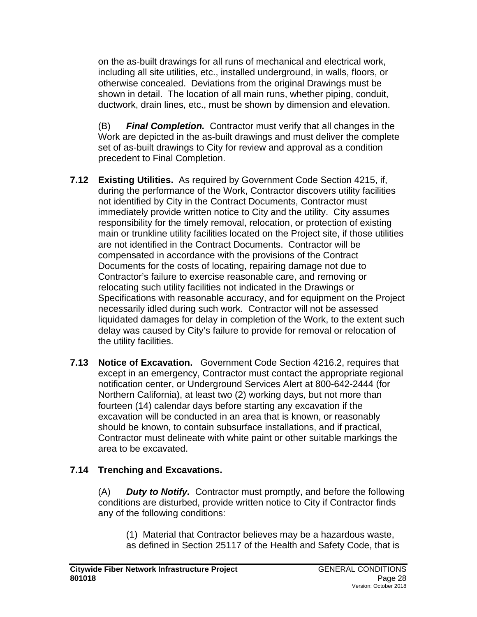on the as-built drawings for all runs of mechanical and electrical work, including all site utilities, etc., installed underground, in walls, floors, or otherwise concealed. Deviations from the original Drawings must be shown in detail. The location of all main runs, whether piping, conduit, ductwork, drain lines, etc., must be shown by dimension and elevation.

(B) *Final Completion.* Contractor must verify that all changes in the Work are depicted in the as-built drawings and must deliver the complete set of as-built drawings to City for review and approval as a condition precedent to Final Completion.

- **7.12 Existing Utilities.** As required by Government Code Section 4215, if, during the performance of the Work, Contractor discovers utility facilities not identified by City in the Contract Documents, Contractor must immediately provide written notice to City and the utility. City assumes responsibility for the timely removal, relocation, or protection of existing main or trunkline utility facilities located on the Project site, if those utilities are not identified in the Contract Documents. Contractor will be compensated in accordance with the provisions of the Contract Documents for the costs of locating, repairing damage not due to Contractor's failure to exercise reasonable care, and removing or relocating such utility facilities not indicated in the Drawings or Specifications with reasonable accuracy, and for equipment on the Project necessarily idled during such work. Contractor will not be assessed liquidated damages for delay in completion of the Work, to the extent such delay was caused by City's failure to provide for removal or relocation of the utility facilities.
- **7.13 Notice of Excavation.** Government Code Section 4216.2, requires that except in an emergency, Contractor must contact the appropriate regional notification center, or Underground Services Alert at 800-642-2444 (for Northern California), at least two (2) working days, but not more than fourteen (14) calendar days before starting any excavation if the excavation will be conducted in an area that is known, or reasonably should be known, to contain subsurface installations, and if practical, Contractor must delineate with white paint or other suitable markings the area to be excavated.

### **7.14 Trenching and Excavations.**

(A) *Duty to Notify.* Contractor must promptly, and before the following conditions are disturbed, provide written notice to City if Contractor finds any of the following conditions:

(1) Material that Contractor believes may be a hazardous waste, as defined in Section 25117 of the Health and Safety Code, that is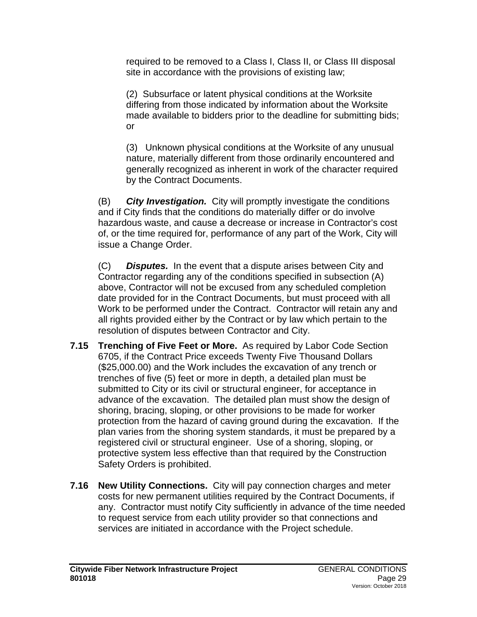required to be removed to a Class I, Class II, or Class III disposal site in accordance with the provisions of existing law;

(2) Subsurface or latent physical conditions at the Worksite differing from those indicated by information about the Worksite made available to bidders prior to the deadline for submitting bids; or

(3) Unknown physical conditions at the Worksite of any unusual nature, materially different from those ordinarily encountered and generally recognized as inherent in work of the character required by the Contract Documents.

(B) *City Investigation.* City will promptly investigate the conditions and if City finds that the conditions do materially differ or do involve hazardous waste, and cause a decrease or increase in Contractor's cost of, or the time required for, performance of any part of the Work, City will issue a Change Order.

(C) *Disputes.* In the event that a dispute arises between City and Contractor regarding any of the conditions specified in subsection (A) above, Contractor will not be excused from any scheduled completion date provided for in the Contract Documents, but must proceed with all Work to be performed under the Contract. Contractor will retain any and all rights provided either by the Contract or by law which pertain to the resolution of disputes between Contractor and City.

- **7.15 Trenching of Five Feet or More.** As required by Labor Code Section 6705, if the Contract Price exceeds Twenty Five Thousand Dollars (\$25,000.00) and the Work includes the excavation of any trench or trenches of five (5) feet or more in depth, a detailed plan must be submitted to City or its civil or structural engineer, for acceptance in advance of the excavation. The detailed plan must show the design of shoring, bracing, sloping, or other provisions to be made for worker protection from the hazard of caving ground during the excavation. If the plan varies from the shoring system standards, it must be prepared by a registered civil or structural engineer. Use of a shoring, sloping, or protective system less effective than that required by the Construction Safety Orders is prohibited.
- **7.16 New Utility Connections.** City will pay connection charges and meter costs for new permanent utilities required by the Contract Documents, if any. Contractor must notify City sufficiently in advance of the time needed to request service from each utility provider so that connections and services are initiated in accordance with the Project schedule.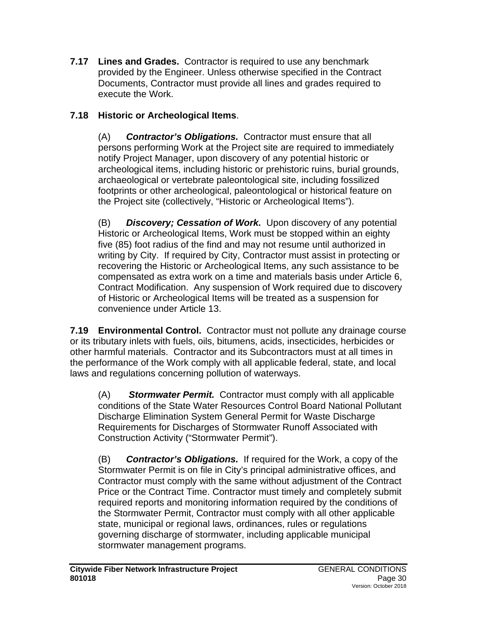**7.17 Lines and Grades.** Contractor is required to use any benchmark provided by the Engineer. Unless otherwise specified in the Contract Documents, Contractor must provide all lines and grades required to execute the Work.

# **7.18 Historic or Archeological Items**.

(A) *Contractor's Obligations.* Contractor must ensure that all persons performing Work at the Project site are required to immediately notify Project Manager, upon discovery of any potential historic or archeological items, including historic or prehistoric ruins, burial grounds, archaeological or vertebrate paleontological site, including fossilized footprints or other archeological, paleontological or historical feature on the Project site (collectively, "Historic or Archeological Items").

(B) *Discovery; Cessation of Work.* Upon discovery of any potential Historic or Archeological Items, Work must be stopped within an eighty five (85) foot radius of the find and may not resume until authorized in writing by City. If required by City, Contractor must assist in protecting or recovering the Historic or Archeological Items, any such assistance to be compensated as extra work on a time and materials basis under Article 6, Contract Modification. Any suspension of Work required due to discovery of Historic or Archeological Items will be treated as a suspension for convenience under Article 13.

**7.19 Environmental Control.** Contractor must not pollute any drainage course or its tributary inlets with fuels, oils, bitumens, acids, insecticides, herbicides or other harmful materials. Contractor and its Subcontractors must at all times in the performance of the Work comply with all applicable federal, state, and local laws and regulations concerning pollution of waterways.

(A) *Stormwater Permit.* Contractor must comply with all applicable conditions of the State Water Resources Control Board National Pollutant Discharge Elimination System General Permit for Waste Discharge Requirements for Discharges of Stormwater Runoff Associated with Construction Activity ("Stormwater Permit").

(B) *Contractor's Obligations.* If required for the Work, a copy of the Stormwater Permit is on file in City's principal administrative offices, and Contractor must comply with the same without adjustment of the Contract Price or the Contract Time. Contractor must timely and completely submit required reports and monitoring information required by the conditions of the Stormwater Permit, Contractor must comply with all other applicable state, municipal or regional laws, ordinances, rules or regulations governing discharge of stormwater, including applicable municipal stormwater management programs.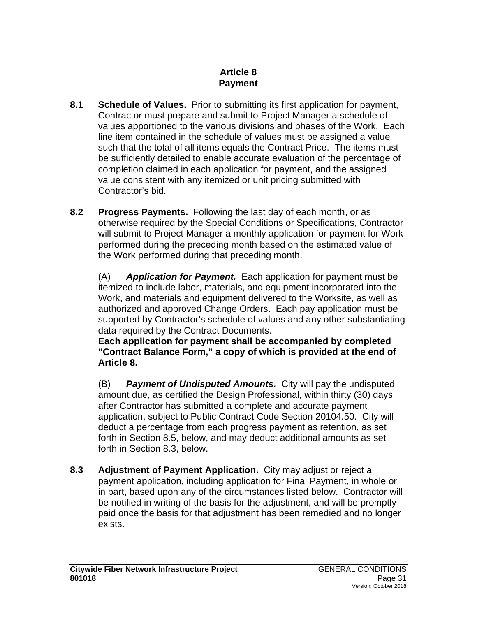### **Article 8 Payment**

- **8.1 Schedule of Values.** Prior to submitting its first application for payment, Contractor must prepare and submit to Project Manager a schedule of values apportioned to the various divisions and phases of the Work. Each line item contained in the schedule of values must be assigned a value such that the total of all items equals the Contract Price. The items must be sufficiently detailed to enable accurate evaluation of the percentage of completion claimed in each application for payment, and the assigned value consistent with any itemized or unit pricing submitted with Contractor's bid.
- **8.2 Progress Payments.** Following the last day of each month, or as otherwise required by the Special Conditions or Specifications, Contractor will submit to Project Manager a monthly application for payment for Work performed during the preceding month based on the estimated value of the Work performed during that preceding month.

(A) *Application for Payment.* Each application for payment must be itemized to include labor, materials, and equipment incorporated into the Work, and materials and equipment delivered to the Worksite, as well as authorized and approved Change Orders. Each pay application must be supported by Contractor's schedule of values and any other substantiating data required by the Contract Documents.

**Each application for payment shall be accompanied by completed "Contract Balance Form," a copy of which is provided at the end of Article 8.**

(B) *Payment of Undisputed Amounts.* City will pay the undisputed amount due, as certified the Design Professional, within thirty (30) days after Contractor has submitted a complete and accurate payment application, subject to Public Contract Code Section 20104.50. City will deduct a percentage from each progress payment as retention, as set forth in Section 8.5, below, and may deduct additional amounts as set forth in Section 8.3, below.

**8.3 Adjustment of Payment Application.** City may adjust or reject a payment application, including application for Final Payment, in whole or in part, based upon any of the circumstances listed below. Contractor will be notified in writing of the basis for the adjustment, and will be promptly paid once the basis for that adjustment has been remedied and no longer exists.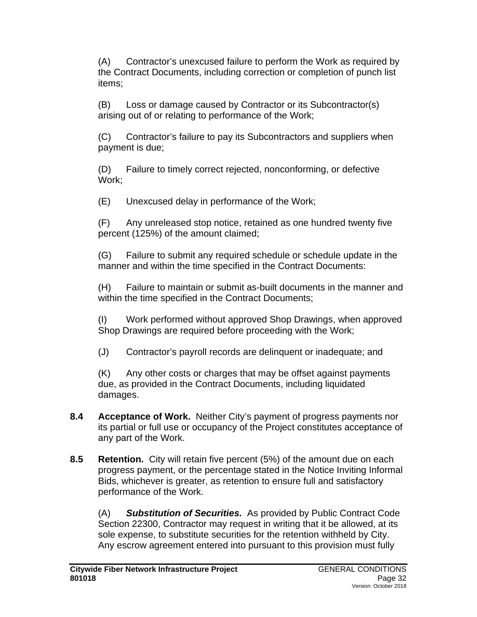(A) Contractor's unexcused failure to perform the Work as required by the Contract Documents, including correction or completion of punch list items;

(B) Loss or damage caused by Contractor or its Subcontractor(s) arising out of or relating to performance of the Work;

(C) Contractor's failure to pay its Subcontractors and suppliers when payment is due;

(D) Failure to timely correct rejected, nonconforming, or defective Work;

(E) Unexcused delay in performance of the Work;

(F) Any unreleased stop notice, retained as one hundred twenty five percent (125%) of the amount claimed;

(G) Failure to submit any required schedule or schedule update in the manner and within the time specified in the Contract Documents:

(H) Failure to maintain or submit as-built documents in the manner and within the time specified in the Contract Documents;

(I) Work performed without approved Shop Drawings, when approved Shop Drawings are required before proceeding with the Work;

(J) Contractor's payroll records are delinquent or inadequate; and

(K) Any other costs or charges that may be offset against payments due, as provided in the Contract Documents, including liquidated damages.

- **8.4 Acceptance of Work.** Neither City's payment of progress payments nor its partial or full use or occupancy of the Project constitutes acceptance of any part of the Work.
- **8.5 Retention.** City will retain five percent (5%) of the amount due on each progress payment, or the percentage stated in the Notice Inviting Informal Bids, whichever is greater, as retention to ensure full and satisfactory performance of the Work.

(A) *Substitution of Securities.* As provided by Public Contract Code Section 22300, Contractor may request in writing that it be allowed, at its sole expense, to substitute securities for the retention withheld by City. Any escrow agreement entered into pursuant to this provision must fully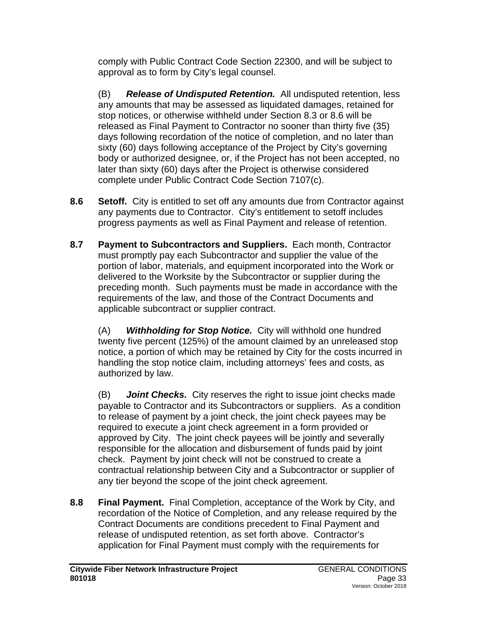comply with Public Contract Code Section 22300, and will be subject to approval as to form by City's legal counsel.

(B) *Release of Undisputed Retention.* All undisputed retention, less any amounts that may be assessed as liquidated damages, retained for stop notices, or otherwise withheld under Section 8.3 or 8.6 will be released as Final Payment to Contractor no sooner than thirty five (35) days following recordation of the notice of completion, and no later than sixty (60) days following acceptance of the Project by City's governing body or authorized designee, or, if the Project has not been accepted, no later than sixty (60) days after the Project is otherwise considered complete under Public Contract Code Section 7107(c).

- **8.6 Setoff.** City is entitled to set off any amounts due from Contractor against any payments due to Contractor. City's entitlement to setoff includes progress payments as well as Final Payment and release of retention.
- **8.7 Payment to Subcontractors and Suppliers.** Each month, Contractor must promptly pay each Subcontractor and supplier the value of the portion of labor, materials, and equipment incorporated into the Work or delivered to the Worksite by the Subcontractor or supplier during the preceding month. Such payments must be made in accordance with the requirements of the law, and those of the Contract Documents and applicable subcontract or supplier contract.

(A) *Withholding for Stop Notice.* City will withhold one hundred twenty five percent (125%) of the amount claimed by an unreleased stop notice, a portion of which may be retained by City for the costs incurred in handling the stop notice claim, including attorneys' fees and costs, as authorized by law.

(B) *Joint Checks.* City reserves the right to issue joint checks made payable to Contractor and its Subcontractors or suppliers. As a condition to release of payment by a joint check, the joint check payees may be required to execute a joint check agreement in a form provided or approved by City. The joint check payees will be jointly and severally responsible for the allocation and disbursement of funds paid by joint check. Payment by joint check will not be construed to create a contractual relationship between City and a Subcontractor or supplier of any tier beyond the scope of the joint check agreement.

**8.8 Final Payment.** Final Completion, acceptance of the Work by City, and recordation of the Notice of Completion, and any release required by the Contract Documents are conditions precedent to Final Payment and release of undisputed retention, as set forth above. Contractor's application for Final Payment must comply with the requirements for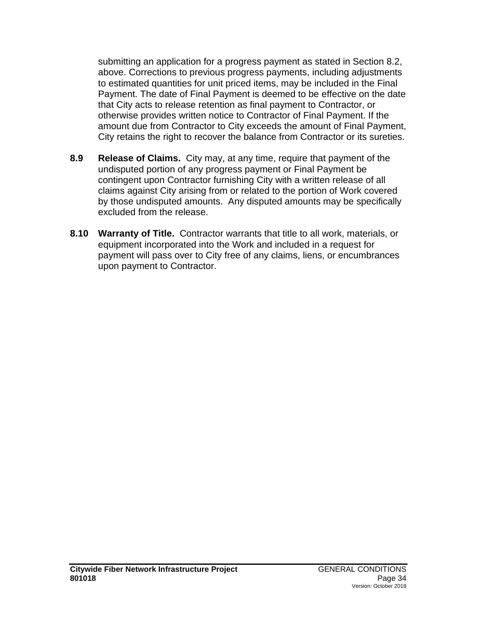submitting an application for a progress payment as stated in Section 8.2, above. Corrections to previous progress payments, including adjustments to estimated quantities for unit priced items, may be included in the Final Payment. The date of Final Payment is deemed to be effective on the date that City acts to release retention as final payment to Contractor, or otherwise provides written notice to Contractor of Final Payment. If the amount due from Contractor to City exceeds the amount of Final Payment, City retains the right to recover the balance from Contractor or its sureties.

- **8.9 Release of Claims.** City may, at any time, require that payment of the undisputed portion of any progress payment or Final Payment be contingent upon Contractor furnishing City with a written release of all claims against City arising from or related to the portion of Work covered by those undisputed amounts. Any disputed amounts may be specifically excluded from the release.
- **8.10 Warranty of Title.** Contractor warrants that title to all work, materials, or equipment incorporated into the Work and included in a request for payment will pass over to City free of any claims, liens, or encumbrances upon payment to Contractor.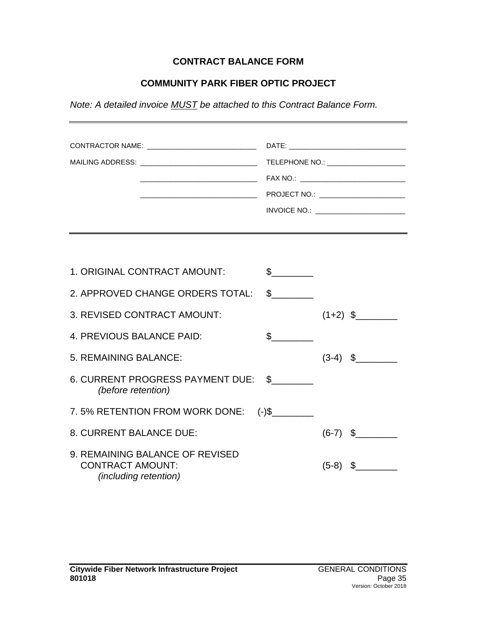### **CONTRACT BALANCE FORM**

### **COMMUNITY PARK FIBER OPTIC PROJECT**

*Note: A detailed invoice MUST be attached to this Contract Balance Form.*

| CONTRACTOR NAME: _________________________________<br>MAILING ADDRESS: ________________________________ |               | TELEPHONE NO.: ________________________ |            |  |
|---------------------------------------------------------------------------------------------------------|---------------|-----------------------------------------|------------|--|
|                                                                                                         |               |                                         |            |  |
| 1. ORIGINAL CONTRACT AMOUNT:                                                                            | $\mathfrak s$ |                                         |            |  |
| 2. APPROVED CHANGE ORDERS TOTAL:                                                                        | $\frac{1}{2}$ |                                         |            |  |
| 3. REVISED CONTRACT AMOUNT:                                                                             |               |                                         | $(1+2)$ \$ |  |
| 4. PREVIOUS BALANCE PAID:                                                                               | $\mathbb{S}$  |                                         |            |  |
| 5. REMAINING BALANCE:                                                                                   |               |                                         | $(3-4)$ \$ |  |
| 6. CURRENT PROGRESS PAYMENT DUE: \$<br>(before retention)                                               |               |                                         |            |  |
| 7.5% RETENTION FROM WORK DONE: (-)\$                                                                    |               |                                         |            |  |
| 8. CURRENT BALANCE DUE:                                                                                 |               |                                         | $(6-7)$ \$ |  |
| 9. REMAINING BALANCE OF REVISED<br><b>CONTRACT AMOUNT:</b><br><i>(including retention)</i>              |               | $(5-8)$                                 | \$         |  |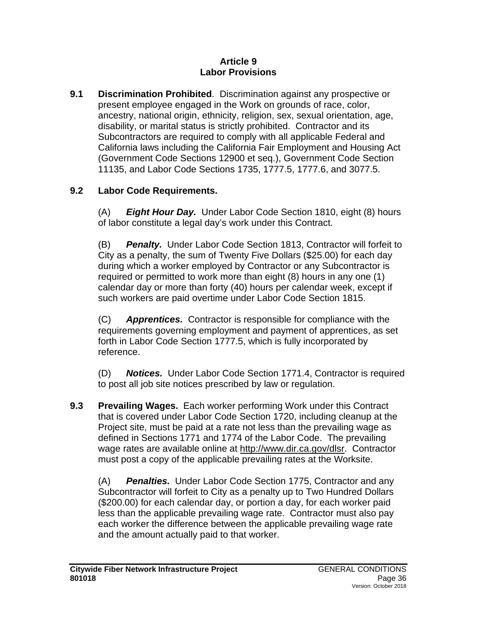#### **Article 9 Labor Provisions**

**9.1 Discrimination Prohibited**. Discrimination against any prospective or present employee engaged in the Work on grounds of race, color, ancestry, national origin, ethnicity, religion, sex, sexual orientation, age, disability, or marital status is strictly prohibited. Contractor and its Subcontractors are required to comply with all applicable Federal and California laws including the California Fair Employment and Housing Act (Government Code Sections 12900 et seq.), Government Code Section 11135, and Labor Code Sections 1735, 1777.5, 1777.6, and 3077.5.

## **9.2 Labor Code Requirements.**

(A) *Eight Hour Day.* Under Labor Code Section 1810, eight (8) hours of labor constitute a legal day's work under this Contract.

(B) *Penalty.* Under Labor Code Section 1813, Contractor will forfeit to City as a penalty, the sum of Twenty Five Dollars (\$25.00) for each day during which a worker employed by Contractor or any Subcontractor is required or permitted to work more than eight (8) hours in any one (1) calendar day or more than forty (40) hours per calendar week, except if such workers are paid overtime under Labor Code Section 1815.

(C) *Apprentices.* Contractor is responsible for compliance with the requirements governing employment and payment of apprentices, as set forth in Labor Code Section 1777.5, which is fully incorporated by reference.

(D) *Notices.* Under Labor Code Section 1771.4, Contractor is required to post all job site notices prescribed by law or regulation.

**9.3 Prevailing Wages.** Each worker performing Work under this Contract that is covered under Labor Code Section 1720, including cleanup at the Project site, must be paid at a rate not less than the prevailing wage as defined in Sections 1771 and 1774 of the Labor Code. The prevailing wage rates are available online at [http://www.dir.ca.gov/dlsr.](http://www.dir.ca.gov/dlsr) Contractor must post a copy of the applicable prevailing rates at the Worksite.

(A) *Penalties.* Under Labor Code Section 1775, Contractor and any Subcontractor will forfeit to City as a penalty up to Two Hundred Dollars (\$200.00) for each calendar day, or portion a day, for each worker paid less than the applicable prevailing wage rate. Contractor must also pay each worker the difference between the applicable prevailing wage rate and the amount actually paid to that worker.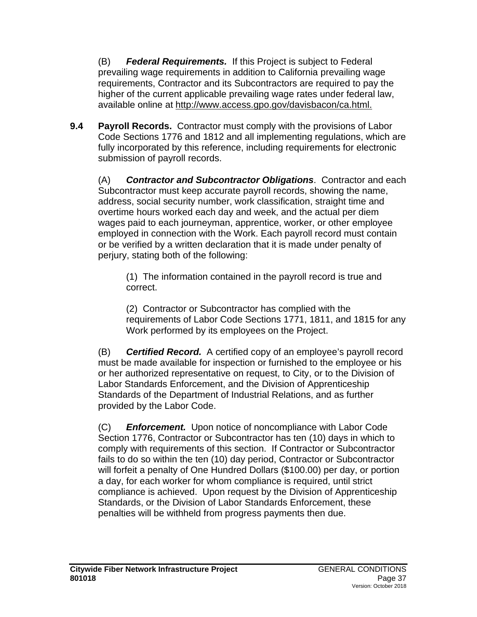(B) *Federal Requirements.* If this Project is subject to Federal prevailing wage requirements in addition to California prevailing wage requirements, Contractor and its Subcontractors are required to pay the higher of the current applicable prevailing wage rates under federal law, available online at [http://www.access.gpo.gov/davisbacon/ca.html.](http://www.access.gpo.gov/davisbacon/ca.html)

**9.4 Payroll Records.** Contractor must comply with the provisions of Labor Code Sections 1776 and 1812 and all implementing regulations, which are fully incorporated by this reference, including requirements for electronic submission of payroll records.

(A) *Contractor and Subcontractor Obligations*. Contractor and each Subcontractor must keep accurate payroll records, showing the name, address, social security number, work classification, straight time and overtime hours worked each day and week, and the actual per diem wages paid to each journeyman, apprentice, worker, or other employee employed in connection with the Work. Each payroll record must contain or be verified by a written declaration that it is made under penalty of perjury, stating both of the following:

(1) The information contained in the payroll record is true and correct.

(2) Contractor or Subcontractor has complied with the requirements of Labor Code Sections 1771, 1811, and 1815 for any Work performed by its employees on the Project.

(B) *Certified Record.* A certified copy of an employee's payroll record must be made available for inspection or furnished to the employee or his or her authorized representative on request, to City, or to the Division of Labor Standards Enforcement, and the Division of Apprenticeship Standards of the Department of Industrial Relations, and as further provided by the Labor Code.

(C) *Enforcement.* Upon notice of noncompliance with Labor Code Section 1776, Contractor or Subcontractor has ten (10) days in which to comply with requirements of this section. If Contractor or Subcontractor fails to do so within the ten (10) day period, Contractor or Subcontractor will forfeit a penalty of One Hundred Dollars (\$100.00) per day, or portion a day, for each worker for whom compliance is required, until strict compliance is achieved. Upon request by the Division of Apprenticeship Standards, or the Division of Labor Standards Enforcement, these penalties will be withheld from progress payments then due.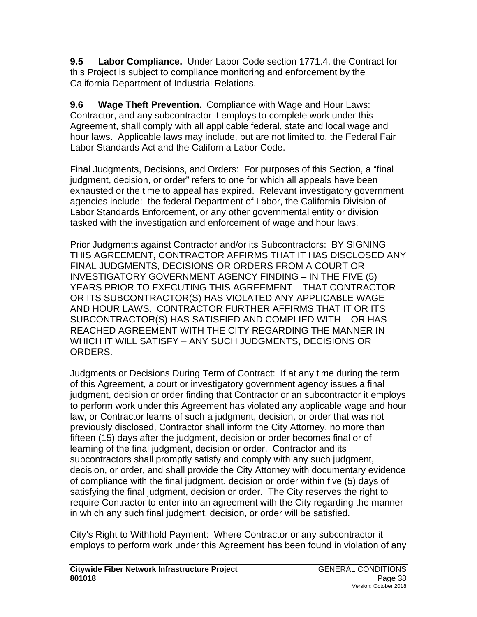**9.5 Labor Compliance.** Under Labor Code section 1771.4, the Contract for this Project is subject to compliance monitoring and enforcement by the California Department of Industrial Relations.

**9.6 Wage Theft Prevention.** Compliance with Wage and Hour Laws: Contractor, and any subcontractor it employs to complete work under this Agreement, shall comply with all applicable federal, state and local wage and hour laws. Applicable laws may include, but are not limited to, the Federal Fair Labor Standards Act and the California Labor Code.

Final Judgments, Decisions, and Orders: For purposes of this Section, a "final judgment, decision, or order" refers to one for which all appeals have been exhausted or the time to appeal has expired. Relevant investigatory government agencies include: the federal Department of Labor, the California Division of Labor Standards Enforcement, or any other governmental entity or division tasked with the investigation and enforcement of wage and hour laws.

Prior Judgments against Contractor and/or its Subcontractors: BY SIGNING THIS AGREEMENT, CONTRACTOR AFFIRMS THAT IT HAS DISCLOSED ANY FINAL JUDGMENTS, DECISIONS OR ORDERS FROM A COURT OR INVESTIGATORY GOVERNMENT AGENCY FINDING – IN THE FIVE (5) YEARS PRIOR TO EXECUTING THIS AGREEMENT – THAT CONTRACTOR OR ITS SUBCONTRACTOR(S) HAS VIOLATED ANY APPLICABLE WAGE AND HOUR LAWS. CONTRACTOR FURTHER AFFIRMS THAT IT OR ITS SUBCONTRACTOR(S) HAS SATISFIED AND COMPLIED WITH – OR HAS REACHED AGREEMENT WITH THE CITY REGARDING THE MANNER IN WHICH IT WILL SATISFY – ANY SUCH JUDGMENTS, DECISIONS OR ORDERS.

Judgments or Decisions During Term of Contract: If at any time during the term of this Agreement, a court or investigatory government agency issues a final judgment, decision or order finding that Contractor or an subcontractor it employs to perform work under this Agreement has violated any applicable wage and hour law, or Contractor learns of such a judgment, decision, or order that was not previously disclosed, Contractor shall inform the City Attorney, no more than fifteen (15) days after the judgment, decision or order becomes final or of learning of the final judgment, decision or order. Contractor and its subcontractors shall promptly satisfy and comply with any such judgment, decision, or order, and shall provide the City Attorney with documentary evidence of compliance with the final judgment, decision or order within five (5) days of satisfying the final judgment, decision or order. The City reserves the right to require Contractor to enter into an agreement with the City regarding the manner in which any such final judgment, decision, or order will be satisfied.

City's Right to Withhold Payment: Where Contractor or any subcontractor it employs to perform work under this Agreement has been found in violation of any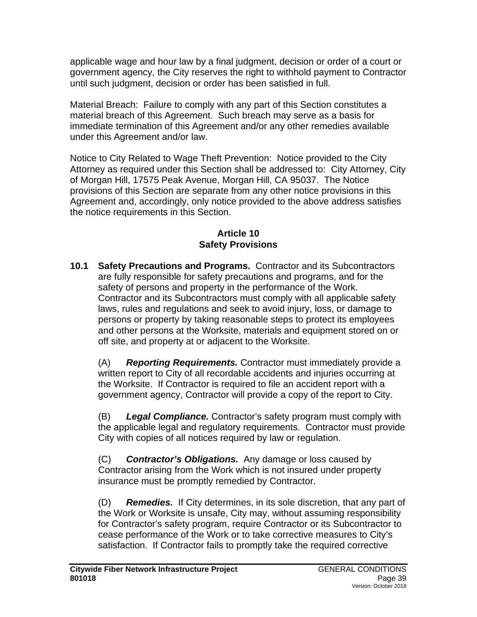applicable wage and hour law by a final judgment, decision or order of a court or government agency, the City reserves the right to withhold payment to Contractor until such judgment, decision or order has been satisfied in full.

Material Breach: Failure to comply with any part of this Section constitutes a material breach of this Agreement. Such breach may serve as a basis for immediate termination of this Agreement and/or any other remedies available under this Agreement and/or law.

Notice to City Related to Wage Theft Prevention: Notice provided to the City Attorney as required under this Section shall be addressed to: City Attorney, City of Morgan Hill, 17575 Peak Avenue, Morgan Hill, CA 95037. The Notice provisions of this Section are separate from any other notice provisions in this Agreement and, accordingly, only notice provided to the above address satisfies the notice requirements in this Section.

#### **Article 10 Safety Provisions**

**10.1 Safety Precautions and Programs.** Contractor and its Subcontractors are fully responsible for safety precautions and programs, and for the safety of persons and property in the performance of the Work. Contractor and its Subcontractors must comply with all applicable safety laws, rules and regulations and seek to avoid injury, loss, or damage to persons or property by taking reasonable steps to protect its employees and other persons at the Worksite, materials and equipment stored on or off site, and property at or adjacent to the Worksite.

(A) *Reporting Requirements.* Contractor must immediately provide a written report to City of all recordable accidents and injuries occurring at the Worksite. If Contractor is required to file an accident report with a government agency, Contractor will provide a copy of the report to City.

(B) *Legal Compliance.* Contractor's safety program must comply with the applicable legal and regulatory requirements. Contractor must provide City with copies of all notices required by law or regulation.

(C) *Contractor's Obligations.* Any damage or loss caused by Contractor arising from the Work which is not insured under property insurance must be promptly remedied by Contractor.

(D) *Remedies.* If City determines, in its sole discretion, that any part of the Work or Worksite is unsafe, City may, without assuming responsibility for Contractor's safety program, require Contractor or its Subcontractor to cease performance of the Work or to take corrective measures to City's satisfaction. If Contractor fails to promptly take the required corrective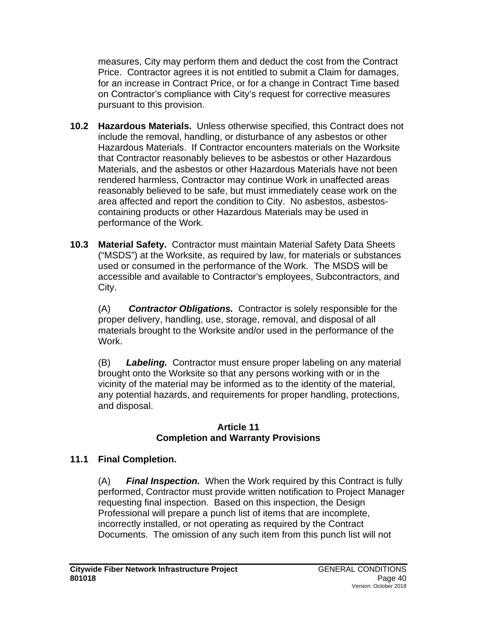measures, City may perform them and deduct the cost from the Contract Price. Contractor agrees it is not entitled to submit a Claim for damages, for an increase in Contract Price, or for a change in Contract Time based on Contractor's compliance with City's request for corrective measures pursuant to this provision.

- **10.2 Hazardous Materials.** Unless otherwise specified, this Contract does not include the removal, handling, or disturbance of any asbestos or other Hazardous Materials. If Contractor encounters materials on the Worksite that Contractor reasonably believes to be asbestos or other Hazardous Materials, and the asbestos or other Hazardous Materials have not been rendered harmless, Contractor may continue Work in unaffected areas reasonably believed to be safe, but must immediately cease work on the area affected and report the condition to City. No asbestos, asbestoscontaining products or other Hazardous Materials may be used in performance of the Work.
- **10.3 Material Safety.** Contractor must maintain Material Safety Data Sheets ("MSDS") at the Worksite, as required by law, for materials or substances used or consumed in the performance of the Work. The MSDS will be accessible and available to Contractor's employees, Subcontractors, and City.

(A) *Contractor Obligations.* Contractor is solely responsible for the proper delivery, handling, use, storage, removal, and disposal of all materials brought to the Worksite and/or used in the performance of the Work.

(B) *Labeling.* Contractor must ensure proper labeling on any material brought onto the Worksite so that any persons working with or in the vicinity of the material may be informed as to the identity of the material, any potential hazards, and requirements for proper handling, protections, and disposal.

#### **Article 11 Completion and Warranty Provisions**

## **11.1 Final Completion.**

(A) *Final Inspection.* When the Work required by this Contract is fully performed, Contractor must provide written notification to Project Manager requesting final inspection. Based on this inspection, the Design Professional will prepare a punch list of items that are incomplete, incorrectly installed, or not operating as required by the Contract Documents. The omission of any such item from this punch list will not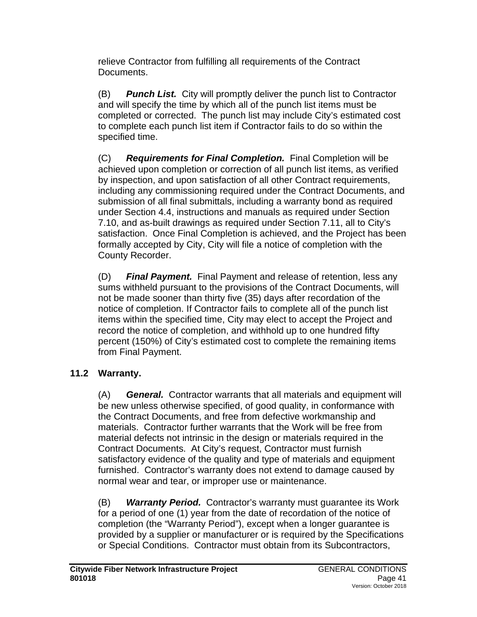relieve Contractor from fulfilling all requirements of the Contract Documents.

(B) *Punch List.* City will promptly deliver the punch list to Contractor and will specify the time by which all of the punch list items must be completed or corrected. The punch list may include City's estimated cost to complete each punch list item if Contractor fails to do so within the specified time.

(C) *Requirements for Final Completion.* Final Completion will be achieved upon completion or correction of all punch list items, as verified by inspection, and upon satisfaction of all other Contract requirements, including any commissioning required under the Contract Documents, and submission of all final submittals, including a warranty bond as required under Section 4.4, instructions and manuals as required under Section 7.10, and as-built drawings as required under Section 7.11, all to City's satisfaction. Once Final Completion is achieved, and the Project has been formally accepted by City, City will file a notice of completion with the County Recorder.

(D) *Final Payment.* Final Payment and release of retention, less any sums withheld pursuant to the provisions of the Contract Documents, will not be made sooner than thirty five (35) days after recordation of the notice of completion. If Contractor fails to complete all of the punch list items within the specified time, City may elect to accept the Project and record the notice of completion, and withhold up to one hundred fifty percent (150%) of City's estimated cost to complete the remaining items from Final Payment.

## **11.2 Warranty.**

(A) *General.* Contractor warrants that all materials and equipment will be new unless otherwise specified, of good quality, in conformance with the Contract Documents, and free from defective workmanship and materials. Contractor further warrants that the Work will be free from material defects not intrinsic in the design or materials required in the Contract Documents. At City's request, Contractor must furnish satisfactory evidence of the quality and type of materials and equipment furnished. Contractor's warranty does not extend to damage caused by normal wear and tear, or improper use or maintenance.

(B) *Warranty Period.* Contractor's warranty must guarantee its Work for a period of one (1) year from the date of recordation of the notice of completion (the "Warranty Period"), except when a longer guarantee is provided by a supplier or manufacturer or is required by the Specifications or Special Conditions. Contractor must obtain from its Subcontractors,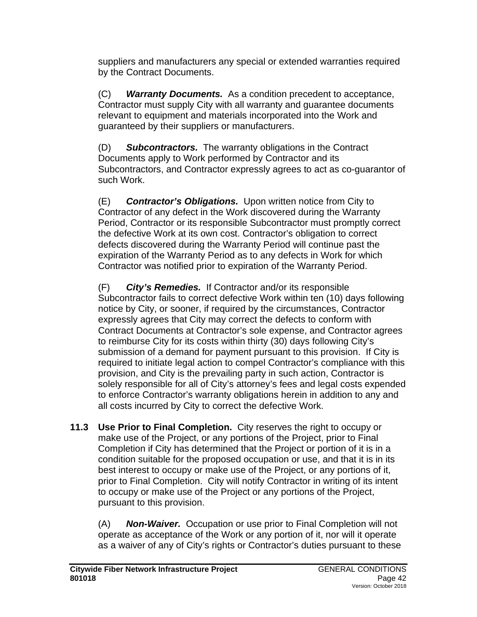suppliers and manufacturers any special or extended warranties required by the Contract Documents.

(C) *Warranty Documents.* As a condition precedent to acceptance, Contractor must supply City with all warranty and guarantee documents relevant to equipment and materials incorporated into the Work and guaranteed by their suppliers or manufacturers.

(D) *Subcontractors.* The warranty obligations in the Contract Documents apply to Work performed by Contractor and its Subcontractors, and Contractor expressly agrees to act as co-guarantor of such Work.

(E) *Contractor's Obligations.* Upon written notice from City to Contractor of any defect in the Work discovered during the Warranty Period, Contractor or its responsible Subcontractor must promptly correct the defective Work at its own cost. Contractor's obligation to correct defects discovered during the Warranty Period will continue past the expiration of the Warranty Period as to any defects in Work for which Contractor was notified prior to expiration of the Warranty Period.

(F) *City's Remedies.* If Contractor and/or its responsible Subcontractor fails to correct defective Work within ten (10) days following notice by City, or sooner, if required by the circumstances, Contractor expressly agrees that City may correct the defects to conform with Contract Documents at Contractor's sole expense, and Contractor agrees to reimburse City for its costs within thirty (30) days following City's submission of a demand for payment pursuant to this provision. If City is required to initiate legal action to compel Contractor's compliance with this provision, and City is the prevailing party in such action, Contractor is solely responsible for all of City's attorney's fees and legal costs expended to enforce Contractor's warranty obligations herein in addition to any and all costs incurred by City to correct the defective Work.

**11.3 Use Prior to Final Completion.** City reserves the right to occupy or make use of the Project, or any portions of the Project, prior to Final Completion if City has determined that the Project or portion of it is in a condition suitable for the proposed occupation or use, and that it is in its best interest to occupy or make use of the Project, or any portions of it, prior to Final Completion. City will notify Contractor in writing of its intent to occupy or make use of the Project or any portions of the Project, pursuant to this provision.

(A) *Non-Waiver.* Occupation or use prior to Final Completion will not operate as acceptance of the Work or any portion of it, nor will it operate as a waiver of any of City's rights or Contractor's duties pursuant to these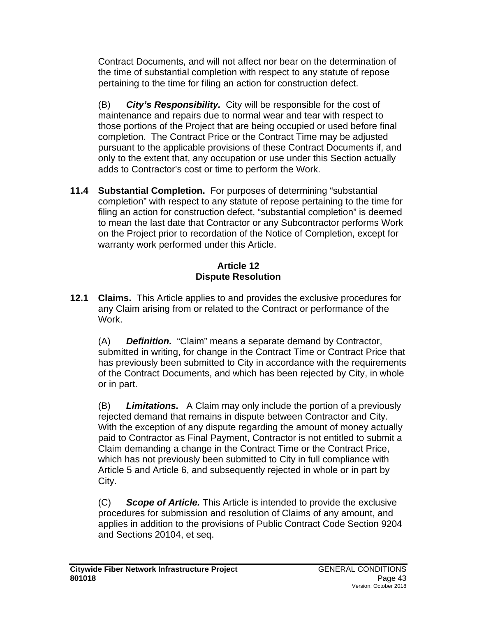Contract Documents, and will not affect nor bear on the determination of the time of substantial completion with respect to any statute of repose pertaining to the time for filing an action for construction defect.

(B) *City's Responsibility.* City will be responsible for the cost of maintenance and repairs due to normal wear and tear with respect to those portions of the Project that are being occupied or used before final completion. The Contract Price or the Contract Time may be adjusted pursuant to the applicable provisions of these Contract Documents if, and only to the extent that, any occupation or use under this Section actually adds to Contractor's cost or time to perform the Work.

**11.4 Substantial Completion.** For purposes of determining "substantial completion" with respect to any statute of repose pertaining to the time for filing an action for construction defect, "substantial completion" is deemed to mean the last date that Contractor or any Subcontractor performs Work on the Project prior to recordation of the Notice of Completion, except for warranty work performed under this Article.

#### **Article 12 Dispute Resolution**

**12.1 Claims.** This Article applies to and provides the exclusive procedures for any Claim arising from or related to the Contract or performance of the Work.

(A) *Definition.* "Claim" means a separate demand by Contractor, submitted in writing, for change in the Contract Time or Contract Price that has previously been submitted to City in accordance with the requirements of the Contract Documents, and which has been rejected by City, in whole or in part.

(B) *Limitations.* A Claim may only include the portion of a previously rejected demand that remains in dispute between Contractor and City. With the exception of any dispute regarding the amount of money actually paid to Contractor as Final Payment, Contractor is not entitled to submit a Claim demanding a change in the Contract Time or the Contract Price, which has not previously been submitted to City in full compliance with Article 5 and Article 6, and subsequently rejected in whole or in part by City.

(C) *Scope of Article.* This Article is intended to provide the exclusive procedures for submission and resolution of Claims of any amount, and applies in addition to the provisions of Public Contract Code Section 9204 and Sections 20104, et seq.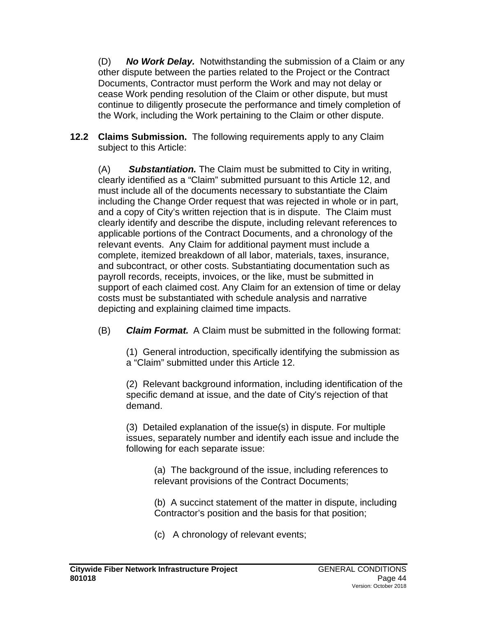(D) *No Work Delay.* Notwithstanding the submission of a Claim or any other dispute between the parties related to the Project or the Contract Documents, Contractor must perform the Work and may not delay or cease Work pending resolution of the Claim or other dispute, but must continue to diligently prosecute the performance and timely completion of the Work, including the Work pertaining to the Claim or other dispute.

**12.2 Claims Submission.** The following requirements apply to any Claim subject to this Article:

(A) *Substantiation.* The Claim must be submitted to City in writing, clearly identified as a "Claim" submitted pursuant to this Article 12, and must include all of the documents necessary to substantiate the Claim including the Change Order request that was rejected in whole or in part, and a copy of City's written rejection that is in dispute. The Claim must clearly identify and describe the dispute, including relevant references to applicable portions of the Contract Documents, and a chronology of the relevant events. Any Claim for additional payment must include a complete, itemized breakdown of all labor, materials, taxes, insurance, and subcontract, or other costs. Substantiating documentation such as payroll records, receipts, invoices, or the like, must be submitted in support of each claimed cost. Any Claim for an extension of time or delay costs must be substantiated with schedule analysis and narrative depicting and explaining claimed time impacts.

(B) *Claim Format.* A Claim must be submitted in the following format:

(1) General introduction, specifically identifying the submission as a "Claim" submitted under this Article 12.

(2) Relevant background information, including identification of the specific demand at issue, and the date of City's rejection of that demand.

(3) Detailed explanation of the issue(s) in dispute. For multiple issues, separately number and identify each issue and include the following for each separate issue:

> (a) The background of the issue, including references to relevant provisions of the Contract Documents;

(b) A succinct statement of the matter in dispute, including Contractor's position and the basis for that position;

(c) A chronology of relevant events;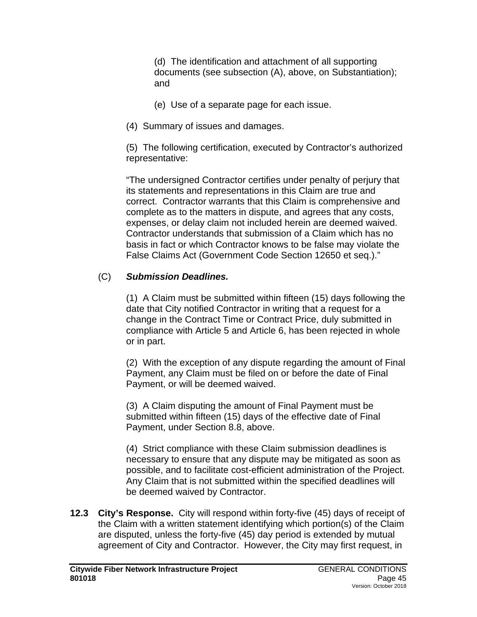(d) The identification and attachment of all supporting documents (see subsection (A), above, on Substantiation); and

- (e) Use of a separate page for each issue.
- (4) Summary of issues and damages.

(5) The following certification, executed by Contractor's authorized representative:

"The undersigned Contractor certifies under penalty of perjury that its statements and representations in this Claim are true and correct. Contractor warrants that this Claim is comprehensive and complete as to the matters in dispute, and agrees that any costs, expenses, or delay claim not included herein are deemed waived. Contractor understands that submission of a Claim which has no basis in fact or which Contractor knows to be false may violate the False Claims Act (Government Code Section 12650 et seq.)."

# (C) *Submission Deadlines.*

(1) A Claim must be submitted within fifteen (15) days following the date that City notified Contractor in writing that a request for a change in the Contract Time or Contract Price, duly submitted in compliance with Article 5 and Article 6, has been rejected in whole or in part.

(2) With the exception of any dispute regarding the amount of Final Payment, any Claim must be filed on or before the date of Final Payment, or will be deemed waived.

(3) A Claim disputing the amount of Final Payment must be submitted within fifteen (15) days of the effective date of Final Payment, under Section 8.8, above.

(4) Strict compliance with these Claim submission deadlines is necessary to ensure that any dispute may be mitigated as soon as possible, and to facilitate cost-efficient administration of the Project. Any Claim that is not submitted within the specified deadlines will be deemed waived by Contractor.

**12.3 City's Response.** City will respond within forty-five (45) days of receipt of the Claim with a written statement identifying which portion(s) of the Claim are disputed, unless the forty-five (45) day period is extended by mutual agreement of City and Contractor. However, the City may first request, in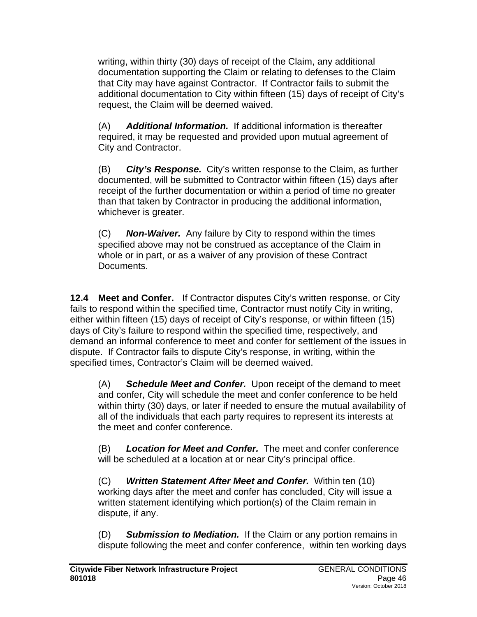writing, within thirty (30) days of receipt of the Claim, any additional documentation supporting the Claim or relating to defenses to the Claim that City may have against Contractor. If Contractor fails to submit the additional documentation to City within fifteen (15) days of receipt of City's request, the Claim will be deemed waived.

(A) *Additional Information.* If additional information is thereafter required, it may be requested and provided upon mutual agreement of City and Contractor.

(B) *City's Response.* City's written response to the Claim, as further documented, will be submitted to Contractor within fifteen (15) days after receipt of the further documentation or within a period of time no greater than that taken by Contractor in producing the additional information, whichever is greater.

(C) *Non-Waiver.* Any failure by City to respond within the times specified above may not be construed as acceptance of the Claim in whole or in part, or as a waiver of any provision of these Contract Documents.

**12.4 Meet and Confer.** If Contractor disputes City's written response, or City fails to respond within the specified time, Contractor must notify City in writing, either within fifteen (15) days of receipt of City's response, or within fifteen (15) days of City's failure to respond within the specified time, respectively, and demand an informal conference to meet and confer for settlement of the issues in dispute. If Contractor fails to dispute City's response, in writing, within the specified times, Contractor's Claim will be deemed waived.

(A) *Schedule Meet and Confer.* Upon receipt of the demand to meet and confer, City will schedule the meet and confer conference to be held within thirty (30) days, or later if needed to ensure the mutual availability of all of the individuals that each party requires to represent its interests at the meet and confer conference.

(B) *Location for Meet and Confer.* The meet and confer conference will be scheduled at a location at or near City's principal office.

(C) *Written Statement After Meet and Confer.* Within ten (10) working days after the meet and confer has concluded, City will issue a written statement identifying which portion(s) of the Claim remain in dispute, if any.

(D) *Submission to Mediation.* If the Claim or any portion remains in dispute following the meet and confer conference, within ten working days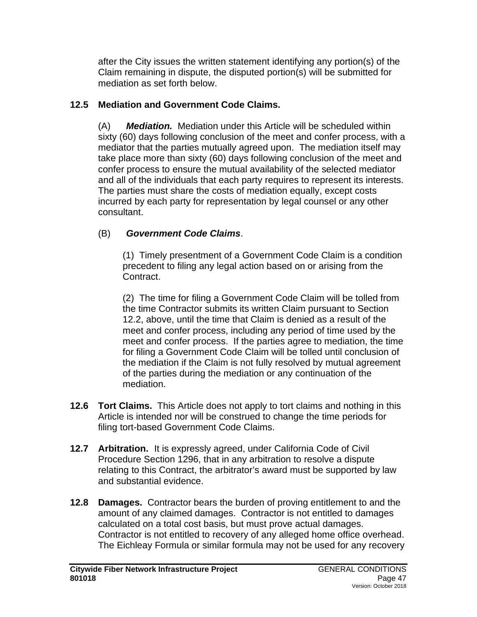after the City issues the written statement identifying any portion(s) of the Claim remaining in dispute, the disputed portion(s) will be submitted for mediation as set forth below.

## **12.5 Mediation and Government Code Claims.**

(A) *Mediation.*Mediation under this Article will be scheduled within sixty (60) days following conclusion of the meet and confer process, with a mediator that the parties mutually agreed upon. The mediation itself may take place more than sixty (60) days following conclusion of the meet and confer process to ensure the mutual availability of the selected mediator and all of the individuals that each party requires to represent its interests. The parties must share the costs of mediation equally, except costs incurred by each party for representation by legal counsel or any other consultant.

## (B) *Government Code Claims*.

(1)Timely presentment of a Government Code Claim is a condition precedent to filing any legal action based on or arising from the Contract.

(2) The time for filing a Government Code Claim will be tolled from the time Contractor submits its written Claim pursuant to Section 12.2, above, until the time that Claim is denied as a result of the meet and confer process, including any period of time used by the meet and confer process. If the parties agree to mediation, the time for filing a Government Code Claim will be tolled until conclusion of the mediation if the Claim is not fully resolved by mutual agreement of the parties during the mediation or any continuation of the mediation.

- **12.6 Tort Claims.** This Article does not apply to tort claims and nothing in this Article is intended nor will be construed to change the time periods for filing tort-based Government Code Claims.
- **12.7 Arbitration.** It is expressly agreed, under California Code of Civil Procedure Section 1296, that in any arbitration to resolve a dispute relating to this Contract, the arbitrator's award must be supported by law and substantial evidence.
- **12.8 Damages.** Contractor bears the burden of proving entitlement to and the amount of any claimed damages. Contractor is not entitled to damages calculated on a total cost basis, but must prove actual damages. Contractor is not entitled to recovery of any alleged home office overhead. The Eichleay Formula or similar formula may not be used for any recovery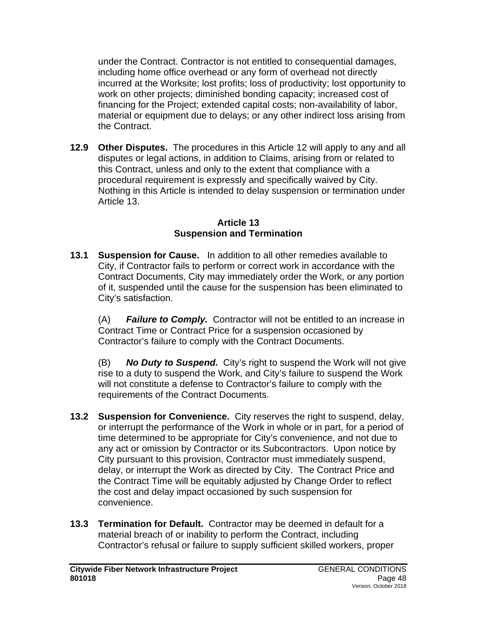under the Contract. Contractor is not entitled to consequential damages, including home office overhead or any form of overhead not directly incurred at the Worksite; lost profits; loss of productivity; lost opportunity to work on other projects; diminished bonding capacity; increased cost of financing for the Project; extended capital costs; non-availability of labor, material or equipment due to delays; or any other indirect loss arising from the Contract.

**12.9 Other Disputes.** The procedures in this Article 12 will apply to any and all disputes or legal actions, in addition to Claims, arising from or related to this Contract, unless and only to the extent that compliance with a procedural requirement is expressly and specifically waived by City. Nothing in this Article is intended to delay suspension or termination under Article 13.

#### **Article 13 Suspension and Termination**

**13.1 Suspension for Cause.** In addition to all other remedies available to City, if Contractor fails to perform or correct work in accordance with the Contract Documents, City may immediately order the Work, or any portion of it, suspended until the cause for the suspension has been eliminated to City's satisfaction.

(A) *Failure to Comply.* Contractor will not be entitled to an increase in Contract Time or Contract Price for a suspension occasioned by Contractor's failure to comply with the Contract Documents.

(B) *No Duty to Suspend.* City's right to suspend the Work will not give rise to a duty to suspend the Work, and City's failure to suspend the Work will not constitute a defense to Contractor's failure to comply with the requirements of the Contract Documents.

- **13.2 Suspension for Convenience.** City reserves the right to suspend, delay, or interrupt the performance of the Work in whole or in part, for a period of time determined to be appropriate for City's convenience, and not due to any act or omission by Contractor or its Subcontractors. Upon notice by City pursuant to this provision, Contractor must immediately suspend, delay, or interrupt the Work as directed by City. The Contract Price and the Contract Time will be equitably adjusted by Change Order to reflect the cost and delay impact occasioned by such suspension for convenience.
- **13.3 Termination for Default.** Contractor may be deemed in default for a material breach of or inability to perform the Contract, including Contractor's refusal or failure to supply sufficient skilled workers, proper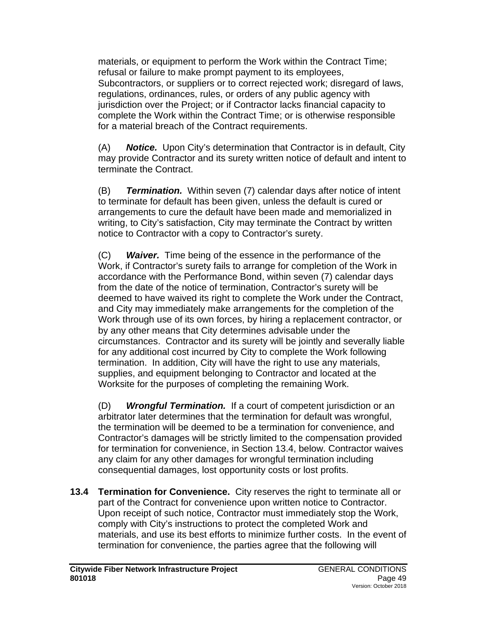materials, or equipment to perform the Work within the Contract Time; refusal or failure to make prompt payment to its employees, Subcontractors, or suppliers or to correct rejected work; disregard of laws, regulations, ordinances, rules, or orders of any public agency with jurisdiction over the Project; or if Contractor lacks financial capacity to complete the Work within the Contract Time; or is otherwise responsible for a material breach of the Contract requirements.

(A) *Notice.* Upon City's determination that Contractor is in default, City may provide Contractor and its surety written notice of default and intent to terminate the Contract.

(B) *Termination.* Within seven (7) calendar days after notice of intent to terminate for default has been given, unless the default is cured or arrangements to cure the default have been made and memorialized in writing, to City's satisfaction, City may terminate the Contract by written notice to Contractor with a copy to Contractor's surety.

(C) *Waiver.* Time being of the essence in the performance of the Work, if Contractor's surety fails to arrange for completion of the Work in accordance with the Performance Bond, within seven (7) calendar days from the date of the notice of termination, Contractor's surety will be deemed to have waived its right to complete the Work under the Contract, and City may immediately make arrangements for the completion of the Work through use of its own forces, by hiring a replacement contractor, or by any other means that City determines advisable under the circumstances. Contractor and its surety will be jointly and severally liable for any additional cost incurred by City to complete the Work following termination. In addition, City will have the right to use any materials, supplies, and equipment belonging to Contractor and located at the Worksite for the purposes of completing the remaining Work.

(D) *Wrongful Termination.* If a court of competent jurisdiction or an arbitrator later determines that the termination for default was wrongful, the termination will be deemed to be a termination for convenience, and Contractor's damages will be strictly limited to the compensation provided for termination for convenience, in Section 13.4, below. Contractor waives any claim for any other damages for wrongful termination including consequential damages, lost opportunity costs or lost profits.

**13.4 Termination for Convenience.** City reserves the right to terminate all or part of the Contract for convenience upon written notice to Contractor. Upon receipt of such notice, Contractor must immediately stop the Work, comply with City's instructions to protect the completed Work and materials, and use its best efforts to minimize further costs. In the event of termination for convenience, the parties agree that the following will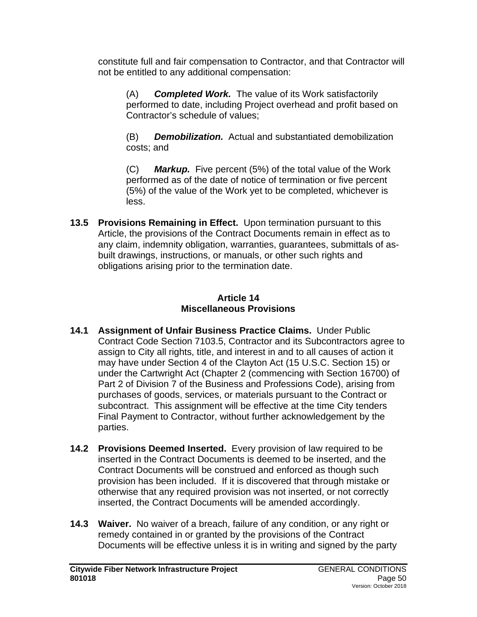constitute full and fair compensation to Contractor, and that Contractor will not be entitled to any additional compensation:

(A) *Completed Work.* The value of its Work satisfactorily performed to date, including Project overhead and profit based on Contractor's schedule of values;

(B) *Demobilization.* Actual and substantiated demobilization costs; and

(C) *Markup.* Five percent (5%) of the total value of the Work performed as of the date of notice of termination or five percent (5%) of the value of the Work yet to be completed, whichever is less.

**13.5 Provisions Remaining in Effect.** Upon termination pursuant to this Article, the provisions of the Contract Documents remain in effect as to any claim, indemnity obligation, warranties, guarantees, submittals of asbuilt drawings, instructions, or manuals, or other such rights and obligations arising prior to the termination date.

#### **Article 14 Miscellaneous Provisions**

- **14.1 Assignment of Unfair Business Practice Claims.** Under Public Contract Code Section 7103.5, Contractor and its Subcontractors agree to assign to City all rights, title, and interest in and to all causes of action it may have under Section 4 of the Clayton Act (15 U.S.C. Section 15) or under the Cartwright Act (Chapter 2 (commencing with Section 16700) of Part 2 of Division 7 of the Business and Professions Code), arising from purchases of goods, services, or materials pursuant to the Contract or subcontract. This assignment will be effective at the time City tenders Final Payment to Contractor, without further acknowledgement by the parties.
- **14.2 Provisions Deemed Inserted.** Every provision of law required to be inserted in the Contract Documents is deemed to be inserted, and the Contract Documents will be construed and enforced as though such provision has been included. If it is discovered that through mistake or otherwise that any required provision was not inserted, or not correctly inserted, the Contract Documents will be amended accordingly.
- **14.3 Waiver.** No waiver of a breach, failure of any condition, or any right or remedy contained in or granted by the provisions of the Contract Documents will be effective unless it is in writing and signed by the party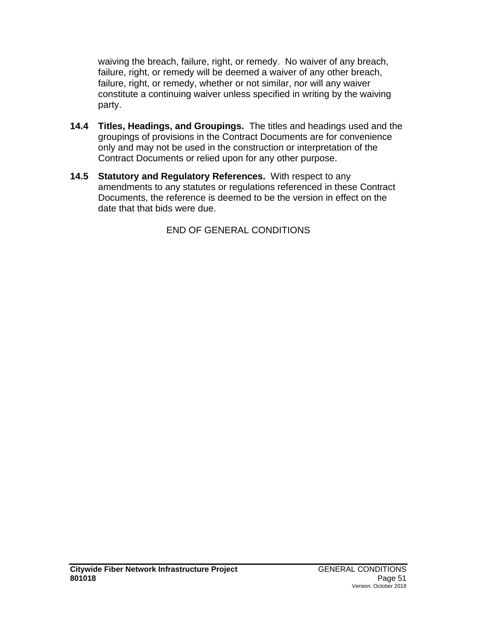waiving the breach, failure, right, or remedy. No waiver of any breach, failure, right, or remedy will be deemed a waiver of any other breach, failure, right, or remedy, whether or not similar, nor will any waiver constitute a continuing waiver unless specified in writing by the waiving party.

- **14.4 Titles, Headings, and Groupings.** The titles and headings used and the groupings of provisions in the Contract Documents are for convenience only and may not be used in the construction or interpretation of the Contract Documents or relied upon for any other purpose.
- **14.5 Statutory and Regulatory References.** With respect to any amendments to any statutes or regulations referenced in these Contract Documents, the reference is deemed to be the version in effect on the date that that bids were due.

END OF GENERAL CONDITIONS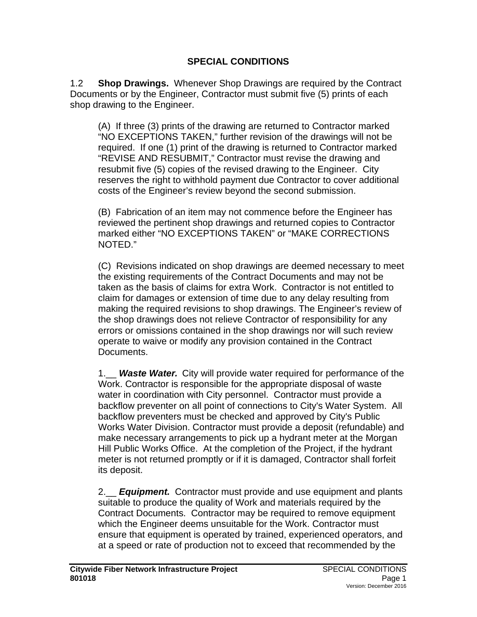#### **SPECIAL CONDITIONS**

1.2 **Shop Drawings.** Whenever Shop Drawings are required by the Contract Documents or by the Engineer, Contractor must submit five (5) prints of each shop drawing to the Engineer.

(A) If three (3) prints of the drawing are returned to Contractor marked "NO EXCEPTIONS TAKEN," further revision of the drawings will not be required. If one (1) print of the drawing is returned to Contractor marked "REVISE AND RESUBMIT," Contractor must revise the drawing and resubmit five (5) copies of the revised drawing to the Engineer. City reserves the right to withhold payment due Contractor to cover additional costs of the Engineer's review beyond the second submission.

(B) Fabrication of an item may not commence before the Engineer has reviewed the pertinent shop drawings and returned copies to Contractor marked either "NO EXCEPTIONS TAKEN" or "MAKE CORRECTIONS NOTED."

(C) Revisions indicated on shop drawings are deemed necessary to meet the existing requirements of the Contract Documents and may not be taken as the basis of claims for extra Work. Contractor is not entitled to claim for damages or extension of time due to any delay resulting from making the required revisions to shop drawings. The Engineer's review of the shop drawings does not relieve Contractor of responsibility for any errors or omissions contained in the shop drawings nor will such review operate to waive or modify any provision contained in the Contract Documents.

1.\_\_ *Waste Water.* City will provide water required for performance of the Work. Contractor is responsible for the appropriate disposal of waste water in coordination with City personnel. Contractor must provide a backflow preventer on all point of connections to City's Water System. All backflow preventers must be checked and approved by City's Public Works Water Division. Contractor must provide a deposit (refundable) and make necessary arrangements to pick up a hydrant meter at the Morgan Hill Public Works Office. At the completion of the Project, if the hydrant meter is not returned promptly or if it is damaged, Contractor shall forfeit its deposit.

2.\_\_ *Equipment.* Contractor must provide and use equipment and plants suitable to produce the quality of Work and materials required by the Contract Documents. Contractor may be required to remove equipment which the Engineer deems unsuitable for the Work. Contractor must ensure that equipment is operated by trained, experienced operators, and at a speed or rate of production not to exceed that recommended by the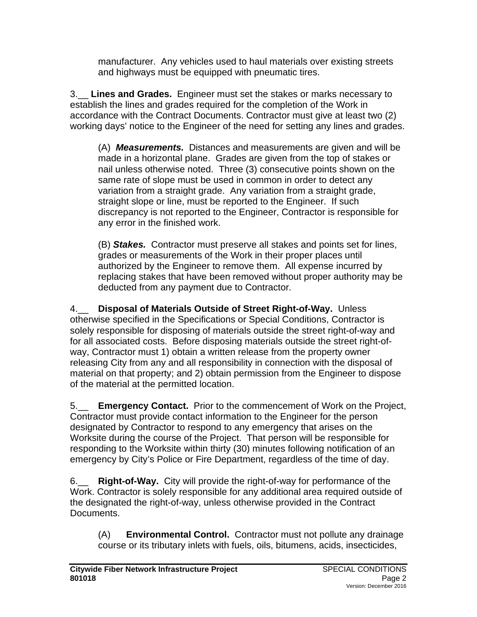manufacturer. Any vehicles used to haul materials over existing streets and highways must be equipped with pneumatic tires.

3.\_\_ **Lines and Grades.** Engineer must set the stakes or marks necessary to establish the lines and grades required for the completion of the Work in accordance with the Contract Documents. Contractor must give at least two (2) working days' notice to the Engineer of the need for setting any lines and grades.

(A) *Measurements.* Distances and measurements are given and will be made in a horizontal plane. Grades are given from the top of stakes or nail unless otherwise noted. Three (3) consecutive points shown on the same rate of slope must be used in common in order to detect any variation from a straight grade. Any variation from a straight grade, straight slope or line, must be reported to the Engineer. If such discrepancy is not reported to the Engineer, Contractor is responsible for any error in the finished work.

(B) *Stakes.* Contractor must preserve all stakes and points set for lines, grades or measurements of the Work in their proper places until authorized by the Engineer to remove them. All expense incurred by replacing stakes that have been removed without proper authority may be deducted from any payment due to Contractor.

4.\_\_ **Disposal of Materials Outside of Street Right-of-Way.** Unless otherwise specified in the Specifications or Special Conditions, Contractor is solely responsible for disposing of materials outside the street right-of-way and for all associated costs. Before disposing materials outside the street right-ofway, Contractor must 1) obtain a written release from the property owner releasing City from any and all responsibility in connection with the disposal of material on that property; and 2) obtain permission from the Engineer to dispose of the material at the permitted location.

5.\_\_ **Emergency Contact.** Prior to the commencement of Work on the Project, Contractor must provide contact information to the Engineer for the person designated by Contractor to respond to any emergency that arises on the Worksite during the course of the Project. That person will be responsible for responding to the Worksite within thirty (30) minutes following notification of an emergency by City's Police or Fire Department, regardless of the time of day.

6.\_\_ **Right-of-Way.** City will provide the right-of-way for performance of the Work. Contractor is solely responsible for any additional area required outside of the designated the right-of-way, unless otherwise provided in the Contract Documents.

(A) **Environmental Control.** Contractor must not pollute any drainage course or its tributary inlets with fuels, oils, bitumens, acids, insecticides,